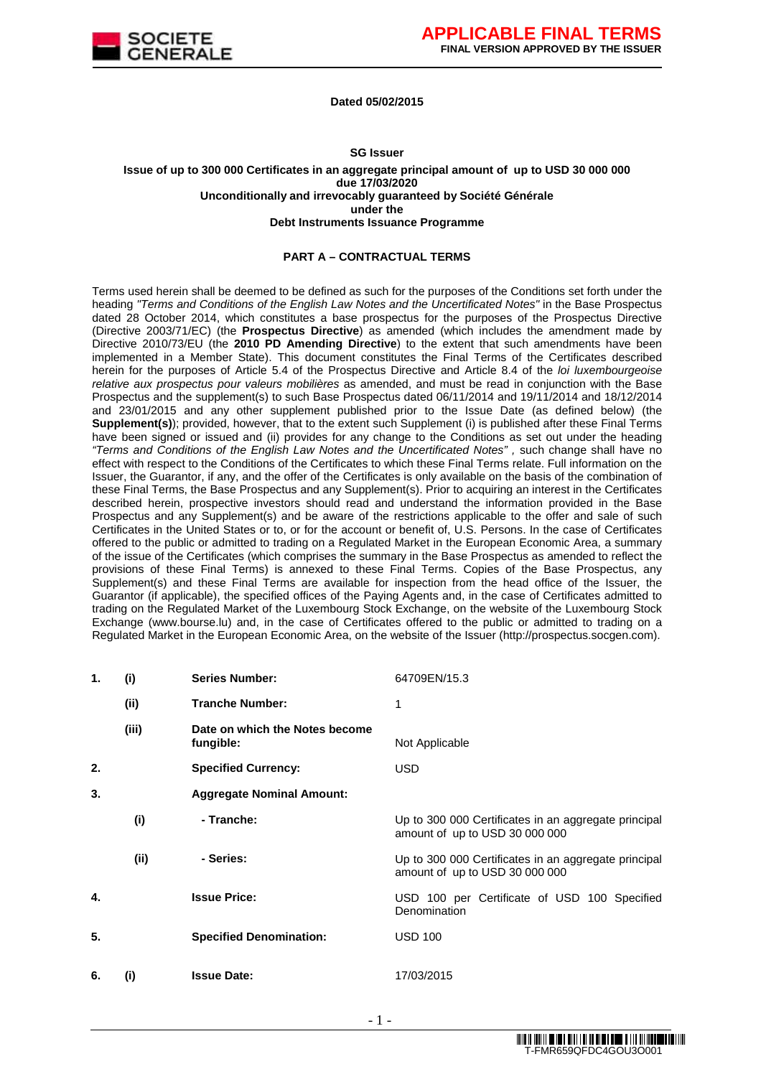

#### **Dated 05/02/2015**

#### **SG Issuer**

**Issue of up to 300 000 Certificates in an aggregate principal amount of up to USD 30 000 000 due 17/03/2020 Unconditionally and irrevocably guaranteed by Société Générale under the Debt Instruments Issuance Programme**

#### **PART A – CONTRACTUAL TERMS**

Terms used herein shall be deemed to be defined as such for the purposes of the Conditions set forth under the heading "Terms and Conditions of the English Law Notes and the Uncertificated Notes" in the Base Prospectus dated 28 October 2014, which constitutes a base prospectus for the purposes of the Prospectus Directive (Directive 2003/71/EC) (the **Prospectus Directive**) as amended (which includes the amendment made by Directive 2010/73/EU (the **2010 PD Amending Directive**) to the extent that such amendments have been implemented in a Member State). This document constitutes the Final Terms of the Certificates described herein for the purposes of Article 5.4 of the Prospectus Directive and Article 8.4 of the loi luxembourgeoise relative aux prospectus pour valeurs mobilières as amended, and must be read in conjunction with the Base Prospectus and the supplement(s) to such Base Prospectus dated 06/11/2014 and 19/11/2014 and 18/12/2014 and 23/01/2015 and any other supplement published prior to the Issue Date (as defined below) (the **Supplement(s)**); provided, however, that to the extent such Supplement (i) is published after these Final Terms have been signed or issued and (ii) provides for any change to the Conditions as set out under the heading "Terms and Conditions of the English Law Notes and the Uncertificated Notes", such change shall have no effect with respect to the Conditions of the Certificates to which these Final Terms relate. Full information on the Issuer, the Guarantor, if any, and the offer of the Certificates is only available on the basis of the combination of these Final Terms, the Base Prospectus and any Supplement(s). Prior to acquiring an interest in the Certificates described herein, prospective investors should read and understand the information provided in the Base Prospectus and any Supplement(s) and be aware of the restrictions applicable to the offer and sale of such Certificates in the United States or to, or for the account or benefit of, U.S. Persons. In the case of Certificates offered to the public or admitted to trading on a Regulated Market in the European Economic Area, a summary of the issue of the Certificates (which comprises the summary in the Base Prospectus as amended to reflect the provisions of these Final Terms) is annexed to these Final Terms. Copies of the Base Prospectus, any Supplement(s) and these Final Terms are available for inspection from the head office of the Issuer, the Guarantor (if applicable), the specified offices of the Paying Agents and, in the case of Certificates admitted to trading on the Regulated Market of the Luxembourg Stock Exchange, on the website of the Luxembourg Stock Exchange (www.bourse.lu) and, in the case of Certificates offered to the public or admitted to trading on a Regulated Market in the European Economic Area, on the website of the Issuer (http://prospectus.socgen.com).

| 1. | (i)   | <b>Series Number:</b>                       | 64709EN/15.3                                                                           |
|----|-------|---------------------------------------------|----------------------------------------------------------------------------------------|
|    | (ii)  | <b>Tranche Number:</b>                      | 1                                                                                      |
|    | (iii) | Date on which the Notes become<br>fungible: | Not Applicable                                                                         |
| 2. |       | <b>Specified Currency:</b>                  | <b>USD</b>                                                                             |
| 3. |       | <b>Aggregate Nominal Amount:</b>            |                                                                                        |
|    | (i)   | - Tranche:                                  | Up to 300 000 Certificates in an aggregate principal<br>amount of up to USD 30 000 000 |
|    | (ii)  | - Series:                                   | Up to 300 000 Certificates in an aggregate principal<br>amount of up to USD 30 000 000 |
| 4. |       | <b>Issue Price:</b>                         | USD 100 per Certificate of USD 100 Specified<br>Denomination                           |
| 5. |       | <b>Specified Denomination:</b>              | <b>USD 100</b>                                                                         |
| 6. | (i)   | <b>Issue Date:</b>                          | 17/03/2015                                                                             |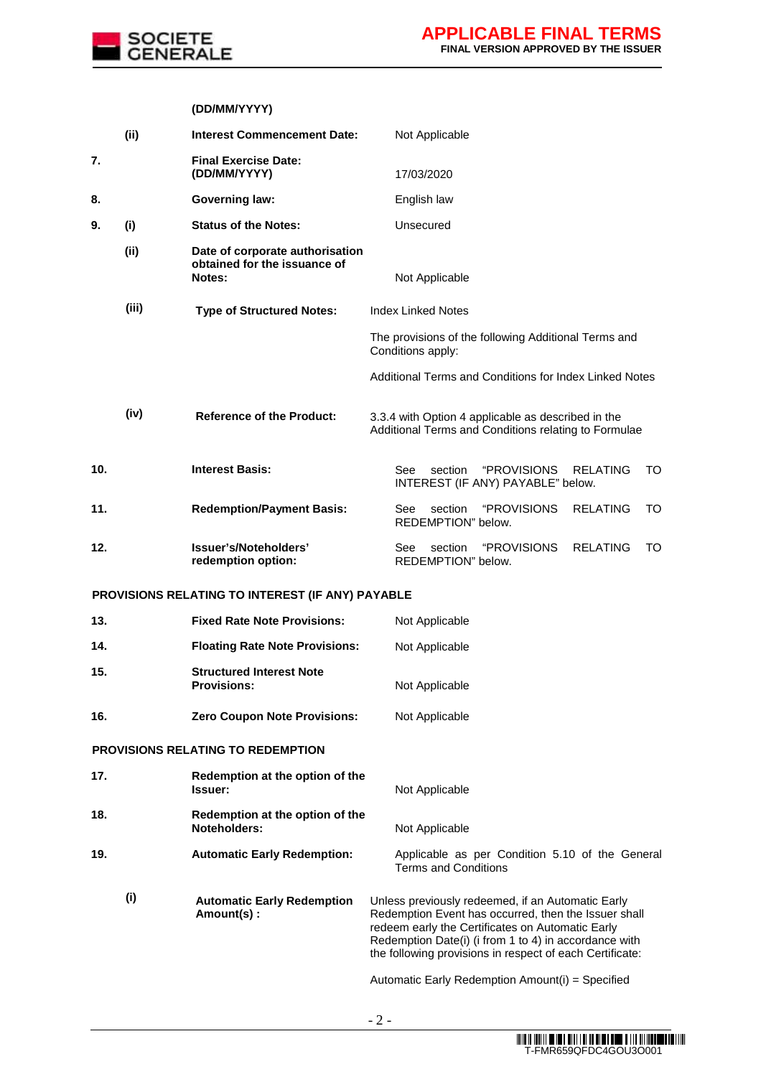

# **(DD/MM/YYYY)**

|     | (i)   | <b>Interest Commencement Date:</b>                                        | Not Applicable                                                                                                                                                                                                                                                                     |
|-----|-------|---------------------------------------------------------------------------|------------------------------------------------------------------------------------------------------------------------------------------------------------------------------------------------------------------------------------------------------------------------------------|
| 7.  |       | <b>Final Exercise Date:</b><br>(DD/MM/YYYY)                               | 17/03/2020                                                                                                                                                                                                                                                                         |
| 8.  |       | <b>Governing law:</b>                                                     | English law                                                                                                                                                                                                                                                                        |
| 9.  | (i)   | <b>Status of the Notes:</b>                                               | Unsecured                                                                                                                                                                                                                                                                          |
|     | (ii)  | Date of corporate authorisation<br>obtained for the issuance of<br>Notes: | Not Applicable                                                                                                                                                                                                                                                                     |
|     | (iii) | <b>Type of Structured Notes:</b>                                          | <b>Index Linked Notes</b>                                                                                                                                                                                                                                                          |
|     |       |                                                                           | The provisions of the following Additional Terms and<br>Conditions apply:                                                                                                                                                                                                          |
|     |       |                                                                           | Additional Terms and Conditions for Index Linked Notes                                                                                                                                                                                                                             |
|     | (iv)  | <b>Reference of the Product:</b>                                          | 3.3.4 with Option 4 applicable as described in the<br>Additional Terms and Conditions relating to Formulae                                                                                                                                                                         |
| 10. |       | <b>Interest Basis:</b>                                                    | section<br><b>"PROVISIONS</b><br><b>RELATING</b><br>TO<br>See<br>INTEREST (IF ANY) PAYABLE" below.                                                                                                                                                                                 |
| 11. |       | <b>Redemption/Payment Basis:</b>                                          | "PROVISIONS<br>section<br><b>RELATING</b><br>TO<br>See<br>REDEMPTION" below.                                                                                                                                                                                                       |
| 12. |       | Issuer's/Noteholders'<br>redemption option:                               | <b>"PROVISIONS</b><br><b>RELATING</b><br>See<br>section<br>TO<br>REDEMPTION" below.                                                                                                                                                                                                |
|     |       | PROVISIONS RELATING TO INTEREST (IF ANY) PAYABLE                          |                                                                                                                                                                                                                                                                                    |
| 13. |       | <b>Fixed Rate Note Provisions:</b>                                        | Not Applicable                                                                                                                                                                                                                                                                     |
| 14. |       | <b>Floating Rate Note Provisions:</b>                                     | Not Applicable                                                                                                                                                                                                                                                                     |
| 15. |       | <b>Structured Interest Note</b><br><b>Provisions:</b>                     | Not Applicable                                                                                                                                                                                                                                                                     |
| 16. |       | <b>Zero Coupon Note Provisions:</b>                                       | Not Applicable                                                                                                                                                                                                                                                                     |
|     |       | PROVISIONS RELATING TO REDEMPTION                                         |                                                                                                                                                                                                                                                                                    |
| 17. |       | Redemption at the option of the<br><b>Issuer:</b>                         | Not Applicable                                                                                                                                                                                                                                                                     |
| 18. |       | Redemption at the option of the<br>Noteholders:                           | Not Applicable                                                                                                                                                                                                                                                                     |
| 19. |       | <b>Automatic Early Redemption:</b>                                        | Applicable as per Condition 5.10 of the General<br><b>Terms and Conditions</b>                                                                                                                                                                                                     |
|     | (i)   | <b>Automatic Early Redemption</b><br>Amount(s):                           | Unless previously redeemed, if an Automatic Early<br>Redemption Event has occurred, then the Issuer shall<br>redeem early the Certificates on Automatic Early<br>Redemption Date(i) (i from 1 to 4) in accordance with<br>the following provisions in respect of each Certificate: |
|     |       |                                                                           | Automatic Early Redemption Amount(i) = Specified                                                                                                                                                                                                                                   |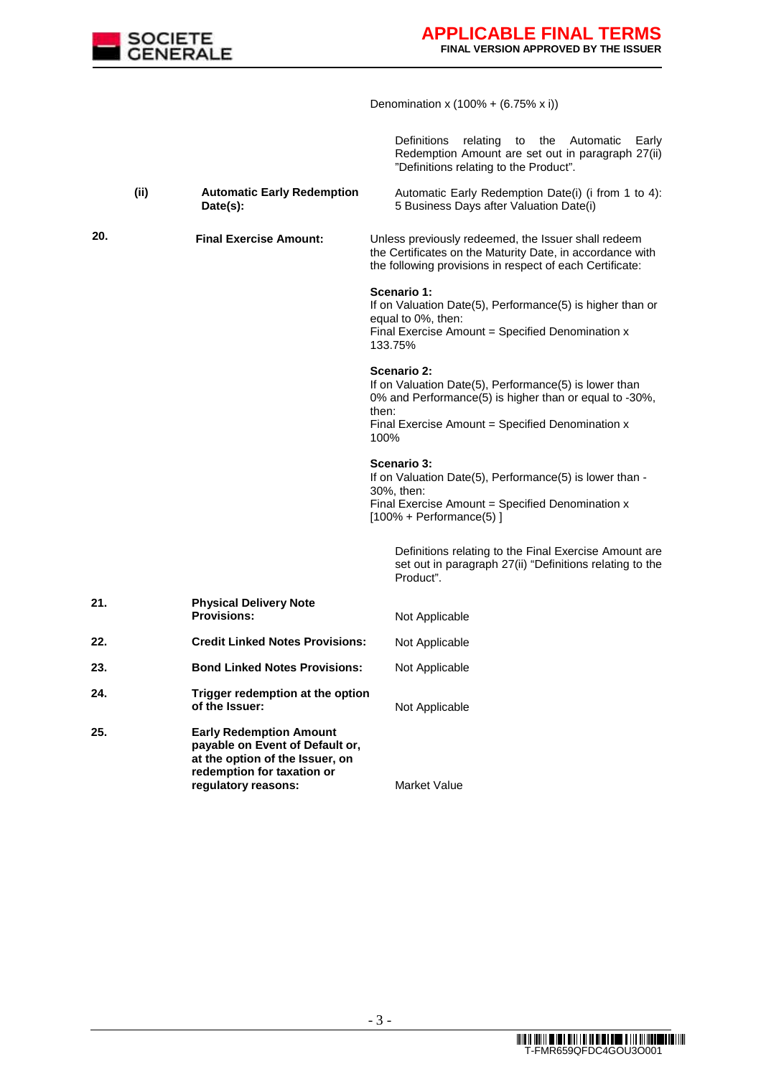

Denomination x (100% + (6.75% x i))

Definitions relating to the Automatic Early Redemption Amount are set out in paragraph 27(ii) "Definitions relating to the Product".

**(ii) Automatic Early Redemption Date(s):**  Automatic Early Redemption Date(i) (i from 1 to 4): 5 Business Days after Valuation Date(i)

**20. Final Exercise Amount:** Unless previously redeemed, the Issuer shall redeem

equal to 0%, then: Final Exercise Amount = Specified Denomination x 133.75%

If on Valuation Date(5), Performance(5) is higher than or

the Certificates on the Maturity Date, in accordance with the following provisions in respect of each Certificate:

**Scenario 2:**  If on Valuation Date(5), Performance(5) is lower than 0% and Performance(5) is higher than or equal to -30%, then: Final Exercise Amount = Specified Denomination x 100%

#### **Scenario 3:**

**Scenario 1:** 

If on Valuation Date(5), Performance(5) is lower than - 30%, then: Final Exercise Amount = Specified Denomination  $x$  $[100\% +$  Performance $(5)$ ]

Definitions relating to the Final Exercise Amount are set out in paragraph 27(ii) "Definitions relating to the Product".

| 21. | <b>Physical Delivery Note</b><br><b>Provisions:</b>              | Not Applicable |
|-----|------------------------------------------------------------------|----------------|
| 22. | <b>Credit Linked Notes Provisions:</b>                           | Not Applicable |
| 23. | <b>Bond Linked Notes Provisions:</b>                             | Not Applicable |
| 24. | Trigger redemption at the option<br>of the Issuer:               | Not Applicable |
| 25. | <b>Early Redemption Amount</b><br>navable on Event of Default or |                |

**payable on Event of Default or, at the option of the Issuer, on redemption for taxation or regulatory reasons:** Market Value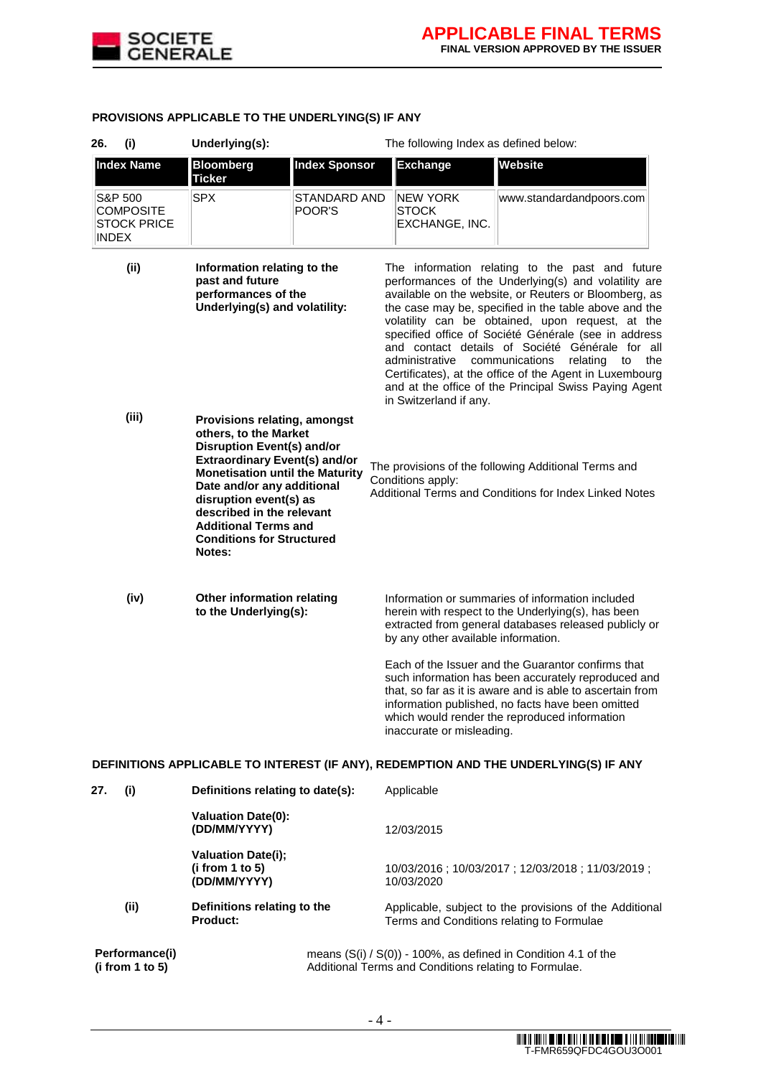

|  | PROVISIONS APPLICABLE TO THE UNDERLYING(S) IF ANY |  |  |  |  |
|--|---------------------------------------------------|--|--|--|--|
|--|---------------------------------------------------|--|--|--|--|

| 26.<br>(i)   |                                                   | Underlying(s):                                                                                                                                                                                                                                                                                                                                 |                               | The following Index as defined below:                 |                                                                                                                                                                                                                                                                                                                                                                                                                                                                                                                                                         |  |
|--------------|---------------------------------------------------|------------------------------------------------------------------------------------------------------------------------------------------------------------------------------------------------------------------------------------------------------------------------------------------------------------------------------------------------|-------------------------------|-------------------------------------------------------|---------------------------------------------------------------------------------------------------------------------------------------------------------------------------------------------------------------------------------------------------------------------------------------------------------------------------------------------------------------------------------------------------------------------------------------------------------------------------------------------------------------------------------------------------------|--|
|              | <b>Index Name</b>                                 | <b>Bloomberg</b><br><b>Ticker</b>                                                                                                                                                                                                                                                                                                              | <b>Index Sponsor</b>          | <b>Exchange</b>                                       | Website                                                                                                                                                                                                                                                                                                                                                                                                                                                                                                                                                 |  |
| <b>INDEX</b> | S&P 500<br><b>COMPOSITE</b><br><b>STOCK PRICE</b> | <b>SPX</b>                                                                                                                                                                                                                                                                                                                                     | <b>STANDARD AND</b><br>POOR'S | NEW YORK<br><b>STOCK</b><br>EXCHANGE, INC.            | www.standardandpoors.com                                                                                                                                                                                                                                                                                                                                                                                                                                                                                                                                |  |
|              | (ii)                                              | Information relating to the<br>past and future<br>performances of the<br>Underlying(s) and volatility:                                                                                                                                                                                                                                         |                               | administrative<br>in Switzerland if any.              | The information relating to the past and future<br>performances of the Underlying(s) and volatility are<br>available on the website, or Reuters or Bloomberg, as<br>the case may be, specified in the table above and the<br>volatility can be obtained, upon request, at the<br>specified office of Société Générale (see in address<br>and contact details of Société Générale for all<br>communications<br>relating<br>to<br>the<br>Certificates), at the office of the Agent in Luxembourg<br>and at the office of the Principal Swiss Paying Agent |  |
|              | (iii)                                             | Provisions relating, amongst<br>others, to the Market<br><b>Disruption Event(s) and/or</b><br><b>Extraordinary Event(s) and/or</b><br><b>Monetisation until the Maturity</b><br>Date and/or any additional<br>disruption event(s) as<br>described in the relevant<br><b>Additional Terms and</b><br><b>Conditions for Structured</b><br>Notes: |                               | Conditions apply:                                     | The provisions of the following Additional Terms and<br>Additional Terms and Conditions for Index Linked Notes                                                                                                                                                                                                                                                                                                                                                                                                                                          |  |
|              | (iv)                                              | Other information relating<br>to the Underlying(s):                                                                                                                                                                                                                                                                                            |                               | by any other available information.                   | Information or summaries of information included<br>herein with respect to the Underlying(s), has been<br>extracted from general databases released publicly or                                                                                                                                                                                                                                                                                                                                                                                         |  |
|              |                                                   |                                                                                                                                                                                                                                                                                                                                                |                               | inaccurate or misleading.                             | Each of the Issuer and the Guarantor confirms that<br>such information has been accurately reproduced and<br>that, so far as it is aware and is able to ascertain from<br>information published, no facts have been omitted<br>which would render the reproduced information                                                                                                                                                                                                                                                                            |  |
|              |                                                   |                                                                                                                                                                                                                                                                                                                                                |                               |                                                       | DEFINITIONS APPLICABLE TO INTEREST (IF ANY), REDEMPTION AND THE UNDERLYING(S) IF ANY                                                                                                                                                                                                                                                                                                                                                                                                                                                                    |  |
| 27.          | (i)                                               | Definitions relating to date(s):                                                                                                                                                                                                                                                                                                               |                               | Applicable                                            |                                                                                                                                                                                                                                                                                                                                                                                                                                                                                                                                                         |  |
|              |                                                   | <b>Valuation Date(0):</b><br>(DD/MM/YYYY)                                                                                                                                                                                                                                                                                                      |                               | 12/03/2015                                            |                                                                                                                                                                                                                                                                                                                                                                                                                                                                                                                                                         |  |
|              |                                                   | <b>Valuation Date(i);</b><br>(i from 1 to 5)<br>(DD/MM/YYYY)                                                                                                                                                                                                                                                                                   |                               | 10/03/2020                                            | 10/03/2016; 10/03/2017; 12/03/2018; 11/03/2019;                                                                                                                                                                                                                                                                                                                                                                                                                                                                                                         |  |
|              | (ii)                                              | Definitions relating to the<br><b>Product:</b>                                                                                                                                                                                                                                                                                                 |                               |                                                       | Applicable, subject to the provisions of the Additional<br>Terms and Conditions relating to Formulae                                                                                                                                                                                                                                                                                                                                                                                                                                                    |  |
|              | Performance(i)<br>(i from 1 to 5)                 |                                                                                                                                                                                                                                                                                                                                                |                               | Additional Terms and Conditions relating to Formulae. | means $(S(i) / S(0))$ - 100%, as defined in Condition 4.1 of the                                                                                                                                                                                                                                                                                                                                                                                                                                                                                        |  |

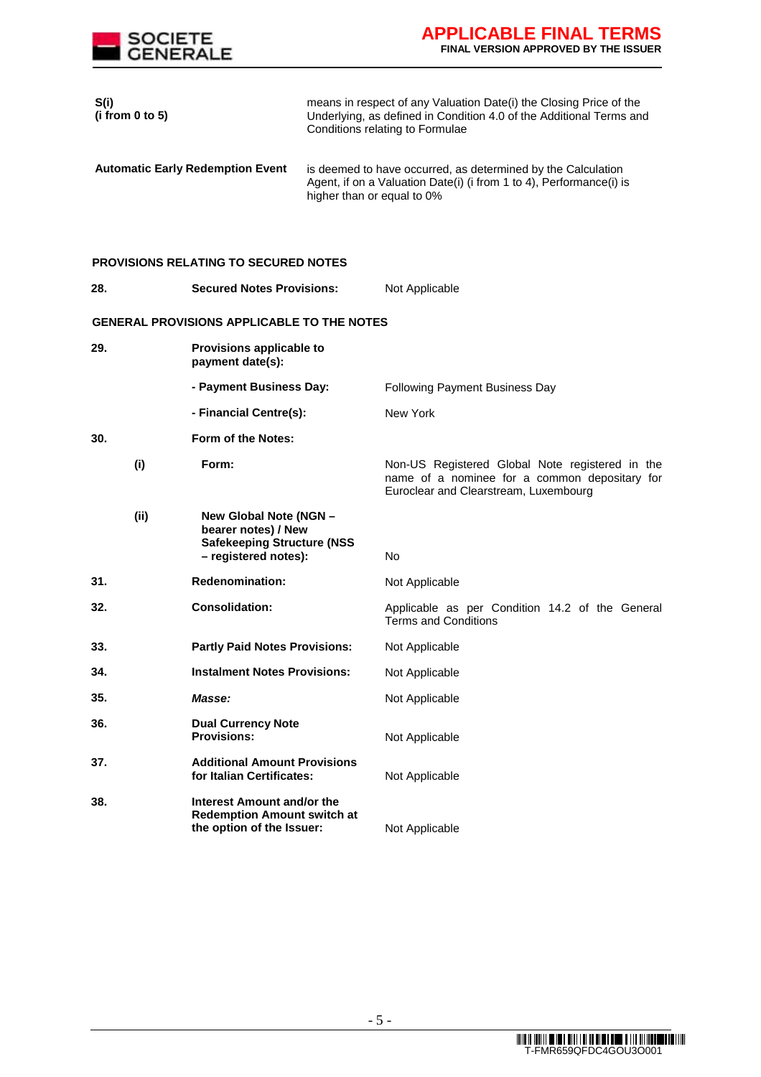

| S(i)<br>(i from 0 to 5) |                                                                                                            |                            | means in respect of any Valuation Date(i) the Closing Price of the<br>Underlying, as defined in Condition 4.0 of the Additional Terms and<br>Conditions relating to Formulae |
|-------------------------|------------------------------------------------------------------------------------------------------------|----------------------------|------------------------------------------------------------------------------------------------------------------------------------------------------------------------------|
|                         | <b>Automatic Early Redemption Event</b>                                                                    | higher than or equal to 0% | is deemed to have occurred, as determined by the Calculation<br>Agent, if on a Valuation Date(i) (i from 1 to 4), Performance(i) is                                          |
|                         | <b>PROVISIONS RELATING TO SECURED NOTES</b>                                                                |                            |                                                                                                                                                                              |
| 28.                     | <b>Secured Notes Provisions:</b>                                                                           |                            | Not Applicable                                                                                                                                                               |
|                         | <b>GENERAL PROVISIONS APPLICABLE TO THE NOTES</b>                                                          |                            |                                                                                                                                                                              |
| 29.                     | Provisions applicable to<br>payment date(s):                                                               |                            |                                                                                                                                                                              |
|                         | - Payment Business Day:                                                                                    |                            | <b>Following Payment Business Day</b>                                                                                                                                        |
|                         | - Financial Centre(s):                                                                                     |                            | New York                                                                                                                                                                     |
| 30.                     | Form of the Notes:                                                                                         |                            |                                                                                                                                                                              |
| (i)                     | Form:                                                                                                      |                            | Non-US Registered Global Note registered in the<br>name of a nominee for a common depositary for<br>Euroclear and Clearstream, Luxembourg                                    |
| (ii)                    | New Global Note (NGN -<br>bearer notes) / New<br><b>Safekeeping Structure (NSS</b><br>- registered notes): |                            | No                                                                                                                                                                           |
| 31.                     | <b>Redenomination:</b>                                                                                     |                            | Not Applicable                                                                                                                                                               |
| 32.                     | <b>Consolidation:</b>                                                                                      |                            | Applicable as per Condition 14.2 of the General<br><b>Terms and Conditions</b>                                                                                               |
| 33.                     | <b>Partly Paid Notes Provisions:</b>                                                                       |                            | Not Applicable                                                                                                                                                               |
| 34.                     | <b>Instalment Notes Provisions:</b>                                                                        |                            | Not Applicable                                                                                                                                                               |
| 35.                     | Masse:                                                                                                     |                            | Not Applicable                                                                                                                                                               |
| 36.                     | <b>Dual Currency Note</b><br><b>Provisions:</b>                                                            |                            | Not Applicable                                                                                                                                                               |
| 37.                     | <b>Additional Amount Provisions</b><br>for Italian Certificates:                                           |                            | Not Applicable                                                                                                                                                               |
| 38.                     | Interest Amount and/or the<br><b>Redemption Amount switch at</b><br>the option of the Issuer:              |                            | Not Applicable                                                                                                                                                               |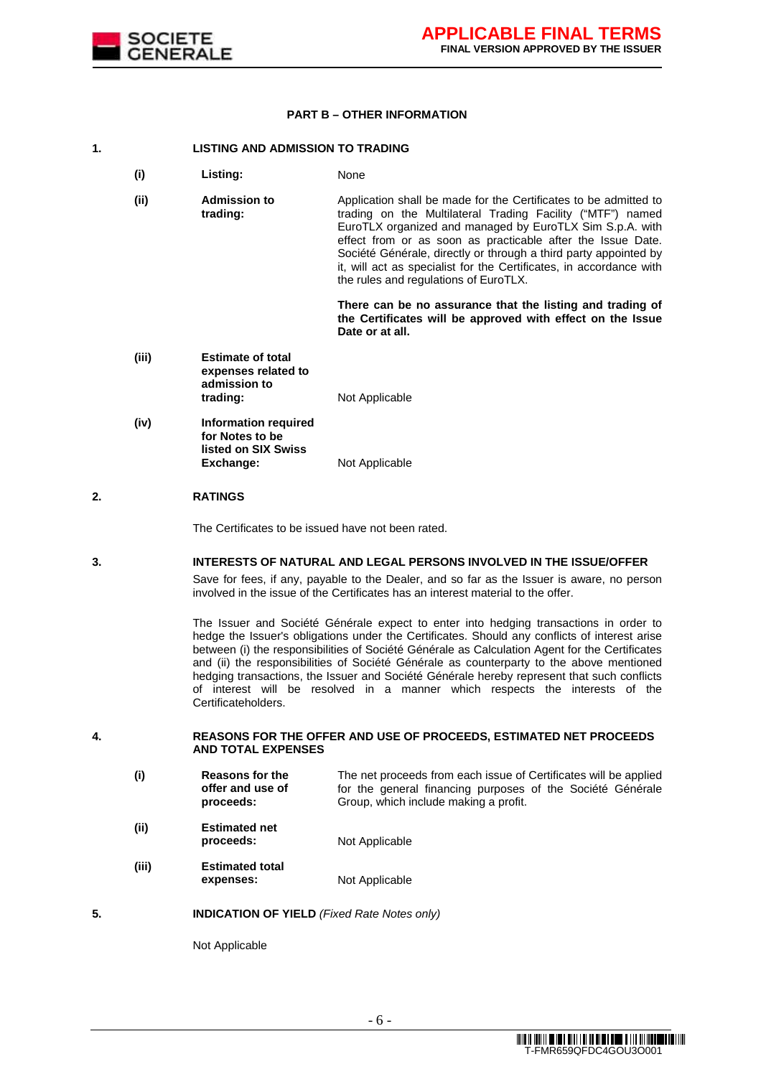

#### **PART B – OTHER INFORMATION**

#### **1. LISTING AND ADMISSION TO TRADING**

- **(i) Listing:** None
- **(ii) Admission to trading:**  Application shall be made for the Certificates to be admitted to trading on the Multilateral Trading Facility ("MTF") named EuroTLX organized and managed by EuroTLX Sim S.p.A. with effect from or as soon as practicable after the Issue Date. Société Générale, directly or through a third party appointed by it, will act as specialist for the Certificates, in accordance with the rules and regulations of EuroTLX.

**There can be no assurance that the listing and trading of the Certificates will be approved with effect on the Issue Date or at all.**

- **(iii) Estimate of total expenses related to admission to trading:** Not Applicable
- **(iv) Information required**  for Notes to be **listed on SIX Swiss Exchange:** Not Applicable

# **2. RATINGS**

The Certificates to be issued have not been rated.

#### **3. INTERESTS OF NATURAL AND LEGAL PERSONS INVOLVED IN THE ISSUE/OFFER**

 Save for fees, if any, payable to the Dealer, and so far as the Issuer is aware, no person involved in the issue of the Certificates has an interest material to the offer.

 The Issuer and Société Générale expect to enter into hedging transactions in order to hedge the Issuer's obligations under the Certificates. Should any conflicts of interest arise between (i) the responsibilities of Société Générale as Calculation Agent for the Certificates and (ii) the responsibilities of Société Générale as counterparty to the above mentioned hedging transactions, the Issuer and Société Générale hereby represent that such conflicts of interest will be resolved in a manner which respects the interests of the Certificateholders.

#### **4. REASONS FOR THE OFFER AND USE OF PROCEEDS, ESTIMATED NET PROCEEDS AND TOTAL EXPENSES**

- **(i) Reasons for the offer and use of proceeds:**  The net proceeds from each issue of Certificates will be applied for the general financing purposes of the Société Générale Group, which include making a profit.
- **(ii) Estimated net proceeds:** Not Applicable
- **(iii) Estimated total expenses:** Not Applicable

#### **5. INDICATION OF YIELD** (Fixed Rate Notes only)

Not Applicable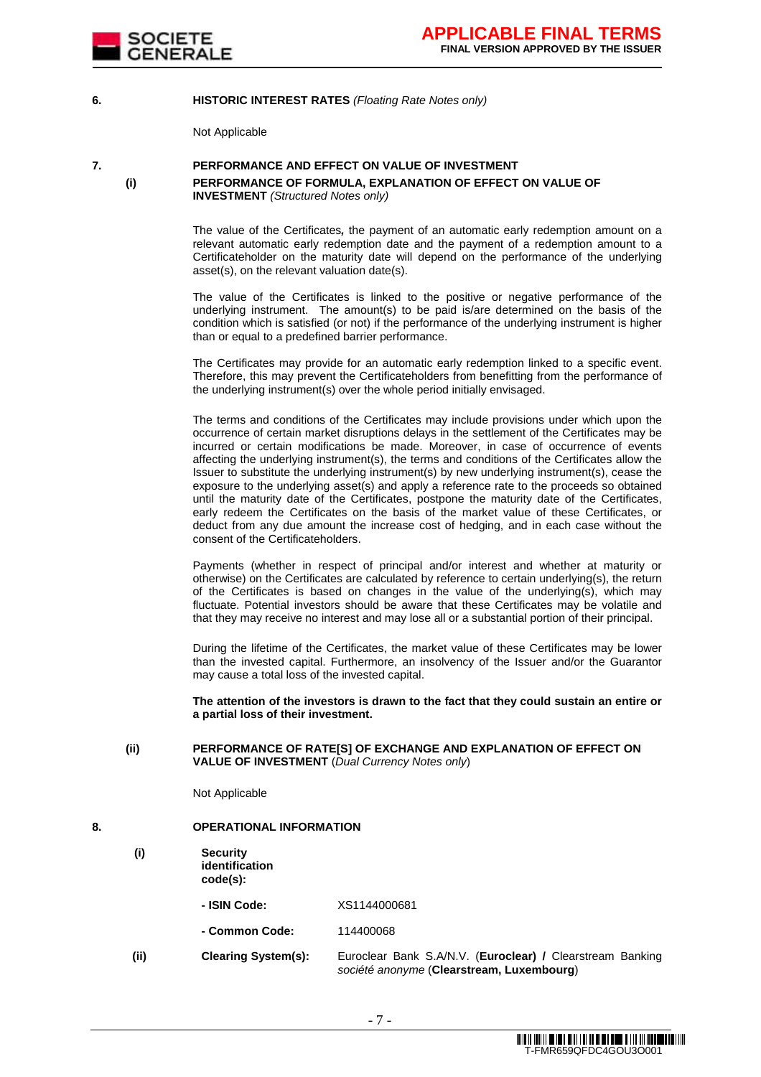

#### **6. HISTORIC INTEREST RATES** (Floating Rate Notes only)

Not Applicable

# **7. PERFORMANCE AND EFFECT ON VALUE OF INVESTMENT (i) PERFORMANCE OF FORMULA, EXPLANATION OF EFFECT ON VALUE OF INVESTMENT** (Structured Notes only)

 The value of the Certificates**,** the payment of an automatic early redemption amount on a relevant automatic early redemption date and the payment of a redemption amount to a Certificateholder on the maturity date will depend on the performance of the underlying asset(s), on the relevant valuation date(s).

The value of the Certificates is linked to the positive or negative performance of the underlying instrument. The amount(s) to be paid is/are determined on the basis of the condition which is satisfied (or not) if the performance of the underlying instrument is higher than or equal to a predefined barrier performance.

 The Certificates may provide for an automatic early redemption linked to a specific event. Therefore, this may prevent the Certificateholders from benefitting from the performance of the underlying instrument(s) over the whole period initially envisaged.

 The terms and conditions of the Certificates may include provisions under which upon the occurrence of certain market disruptions delays in the settlement of the Certificates may be incurred or certain modifications be made. Moreover, in case of occurrence of events affecting the underlying instrument(s), the terms and conditions of the Certificates allow the Issuer to substitute the underlying instrument(s) by new underlying instrument(s), cease the exposure to the underlying asset(s) and apply a reference rate to the proceeds so obtained until the maturity date of the Certificates, postpone the maturity date of the Certificates, early redeem the Certificates on the basis of the market value of these Certificates, or deduct from any due amount the increase cost of hedging, and in each case without the consent of the Certificateholders.

Payments (whether in respect of principal and/or interest and whether at maturity or otherwise) on the Certificates are calculated by reference to certain underlying(s), the return of the Certificates is based on changes in the value of the underlying(s), which may fluctuate. Potential investors should be aware that these Certificates may be volatile and that they may receive no interest and may lose all or a substantial portion of their principal.

 During the lifetime of the Certificates, the market value of these Certificates may be lower than the invested capital. Furthermore, an insolvency of the Issuer and/or the Guarantor may cause a total loss of the invested capital.

**The attention of the investors is drawn to the fact that they could sustain an entire or a partial loss of their investment.**

#### **(ii) PERFORMANCE OF RATE[S] OF EXCHANGE AND EXPLANATION OF EFFECT ON VALUE OF INVESTMENT** (Dual Currency Notes only)

Not Applicable

#### **8. OPERATIONAL INFORMATION**

- **(i) Security identification code(s):** 
	- **- ISIN Code:** XS1144000681
	- **- Common Code:** 114400068
- **(ii) Clearing System(s):** Euroclear Bank S.A/N.V. (**Euroclear) /** Clearstream Banking société anonyme (**Clearstream, Luxembourg**)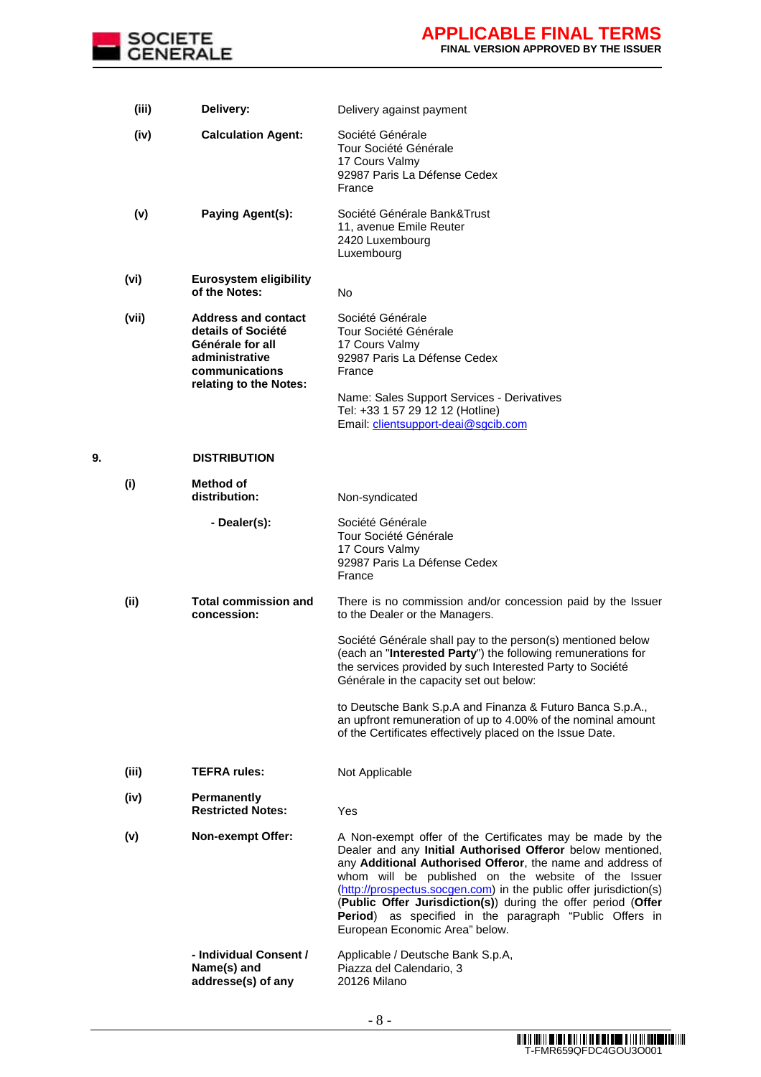

|    | (iii) | Delivery:                                                                                                                          | Delivery against payment                                                                                                                                                                                                                                                                                                                                                                                                                                                         |
|----|-------|------------------------------------------------------------------------------------------------------------------------------------|----------------------------------------------------------------------------------------------------------------------------------------------------------------------------------------------------------------------------------------------------------------------------------------------------------------------------------------------------------------------------------------------------------------------------------------------------------------------------------|
|    | (iv)  | <b>Calculation Agent:</b>                                                                                                          | Société Générale<br>Tour Société Générale<br>17 Cours Valmy<br>92987 Paris La Défense Cedex<br>France                                                                                                                                                                                                                                                                                                                                                                            |
|    | (v)   | <b>Paying Agent(s):</b>                                                                                                            | Société Générale Bank&Trust<br>11, avenue Emile Reuter<br>2420 Luxembourg<br>Luxembourg                                                                                                                                                                                                                                                                                                                                                                                          |
|    | (vi)  | <b>Eurosystem eligibility</b><br>of the Notes:                                                                                     | No                                                                                                                                                                                                                                                                                                                                                                                                                                                                               |
|    | (vii) | <b>Address and contact</b><br>details of Société<br>Générale for all<br>administrative<br>communications<br>relating to the Notes: | Société Générale<br>Tour Société Générale<br>17 Cours Valmy<br>92987 Paris La Défense Cedex<br>France<br>Name: Sales Support Services - Derivatives<br>Tel: +33 1 57 29 12 12 (Hotline)<br>Email: clientsupport-deai@sgcib.com                                                                                                                                                                                                                                                   |
| 9. |       | <b>DISTRIBUTION</b>                                                                                                                |                                                                                                                                                                                                                                                                                                                                                                                                                                                                                  |
|    | (i)   | Method of<br>distribution:                                                                                                         | Non-syndicated                                                                                                                                                                                                                                                                                                                                                                                                                                                                   |
|    |       | - Dealer(s):                                                                                                                       | Société Générale<br>Tour Société Générale<br>17 Cours Valmy<br>92987 Paris La Défense Cedex<br>France                                                                                                                                                                                                                                                                                                                                                                            |
|    | (ii)  | <b>Total commission and</b><br>concession:                                                                                         | There is no commission and/or concession paid by the Issuer<br>to the Dealer or the Managers.                                                                                                                                                                                                                                                                                                                                                                                    |
|    |       |                                                                                                                                    | Société Générale shall pay to the person(s) mentioned below<br>(each an "Interested Party") the following remunerations for<br>the services provided by such Interested Party to Société<br>Générale in the capacity set out below:                                                                                                                                                                                                                                              |
|    |       |                                                                                                                                    | to Deutsche Bank S.p.A and Finanza & Futuro Banca S.p.A.,<br>an upfront remuneration of up to 4.00% of the nominal amount<br>of the Certificates effectively placed on the Issue Date.                                                                                                                                                                                                                                                                                           |
|    | (iii) | <b>TEFRA rules:</b>                                                                                                                | Not Applicable                                                                                                                                                                                                                                                                                                                                                                                                                                                                   |
|    | (iv)  | <b>Permanently</b><br><b>Restricted Notes:</b>                                                                                     | Yes                                                                                                                                                                                                                                                                                                                                                                                                                                                                              |
|    | (v)   | <b>Non-exempt Offer:</b>                                                                                                           | A Non-exempt offer of the Certificates may be made by the<br>Dealer and any Initial Authorised Offeror below mentioned,<br>any Additional Authorised Offeror, the name and address of<br>whom will be published on the website of the Issuer<br>(http://prospectus.socgen.com) in the public offer jurisdiction(s)<br>(Public Offer Jurisdiction(s)) during the offer period (Offer<br>Period) as specified in the paragraph "Public Offers in<br>European Economic Area" below. |
|    |       | - Individual Consent /<br>Name(s) and<br>addresse(s) of any                                                                        | Applicable / Deutsche Bank S.p.A,<br>Piazza del Calendario, 3<br>20126 Milano                                                                                                                                                                                                                                                                                                                                                                                                    |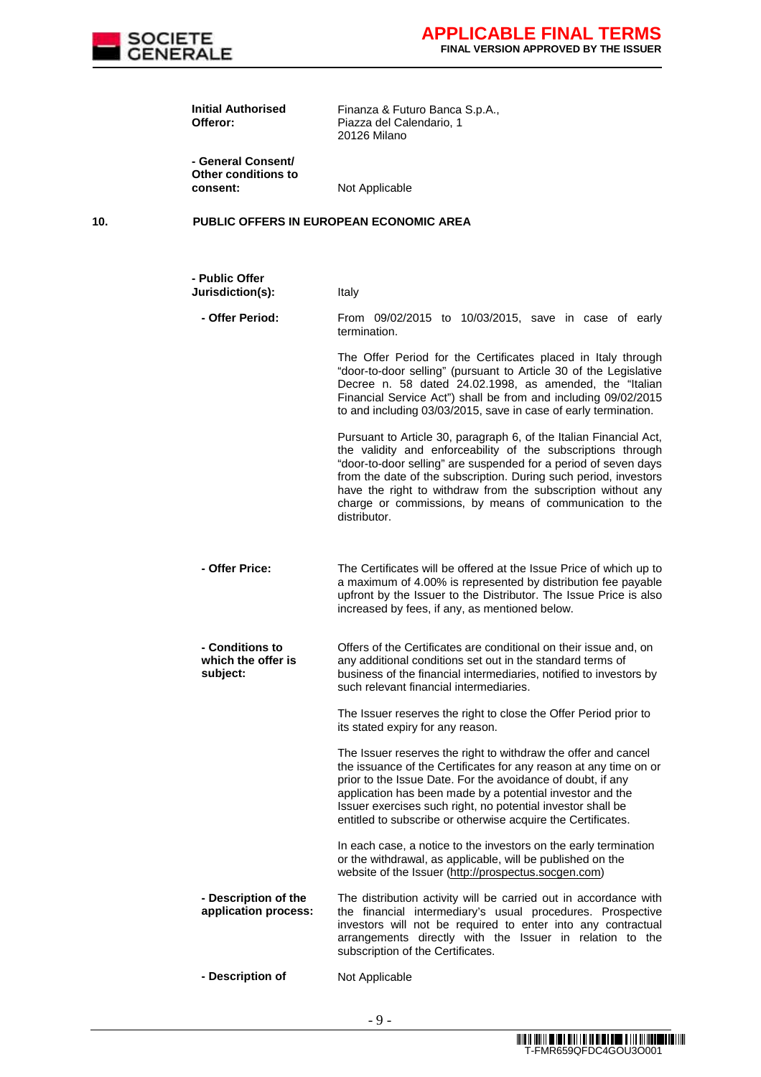

|     | <b>Initial Authorised</b><br>Offeror:                 | Finanza & Futuro Banca S.p.A.,<br>Piazza del Calendario, 1<br>20126 Milano                                                                                                                                                                                                                                                                                                                                           |
|-----|-------------------------------------------------------|----------------------------------------------------------------------------------------------------------------------------------------------------------------------------------------------------------------------------------------------------------------------------------------------------------------------------------------------------------------------------------------------------------------------|
|     | - General Consent/<br>Other conditions to<br>consent: | Not Applicable                                                                                                                                                                                                                                                                                                                                                                                                       |
| 10. |                                                       | <b>PUBLIC OFFERS IN EUROPEAN ECONOMIC AREA</b>                                                                                                                                                                                                                                                                                                                                                                       |
|     | - Public Offer<br>Jurisdiction(s):                    | Italy                                                                                                                                                                                                                                                                                                                                                                                                                |
|     | - Offer Period:                                       | From 09/02/2015 to 10/03/2015, save in case of early<br>termination.                                                                                                                                                                                                                                                                                                                                                 |
|     |                                                       | The Offer Period for the Certificates placed in Italy through<br>"door-to-door selling" (pursuant to Article 30 of the Legislative<br>Decree n. 58 dated 24.02.1998, as amended, the "Italian<br>Financial Service Act") shall be from and including 09/02/2015<br>to and including 03/03/2015, save in case of early termination.                                                                                   |
|     |                                                       | Pursuant to Article 30, paragraph 6, of the Italian Financial Act,<br>the validity and enforceability of the subscriptions through<br>"door-to-door selling" are suspended for a period of seven days<br>from the date of the subscription. During such period, investors<br>have the right to withdraw from the subscription without any<br>charge or commissions, by means of communication to the<br>distributor. |
|     | - Offer Price:                                        | The Certificates will be offered at the Issue Price of which up to<br>a maximum of 4.00% is represented by distribution fee payable<br>upfront by the Issuer to the Distributor. The Issue Price is also<br>increased by fees, if any, as mentioned below.                                                                                                                                                           |
|     | - Conditions to<br>which the offer is<br>subject:     | Offers of the Certificates are conditional on their issue and, on<br>any additional conditions set out in the standard terms of<br>business of the financial intermediaries, notified to investors by<br>such relevant financial intermediaries.                                                                                                                                                                     |
|     |                                                       | The Issuer reserves the right to close the Offer Period prior to<br>its stated expiry for any reason.                                                                                                                                                                                                                                                                                                                |
|     |                                                       | The Issuer reserves the right to withdraw the offer and cancel<br>the issuance of the Certificates for any reason at any time on or<br>prior to the Issue Date. For the avoidance of doubt, if any<br>application has been made by a potential investor and the<br>Issuer exercises such right, no potential investor shall be<br>entitled to subscribe or otherwise acquire the Certificates.                       |
|     |                                                       | In each case, a notice to the investors on the early termination<br>or the withdrawal, as applicable, will be published on the<br>website of the Issuer (http://prospectus.socgen.com)                                                                                                                                                                                                                               |
|     | - Description of the<br>application process:          | The distribution activity will be carried out in accordance with<br>the financial intermediary's usual procedures. Prospective<br>investors will not be required to enter into any contractual<br>arrangements directly with the Issuer in relation to the<br>subscription of the Certificates.                                                                                                                      |
|     | - Description of                                      | Not Applicable                                                                                                                                                                                                                                                                                                                                                                                                       |

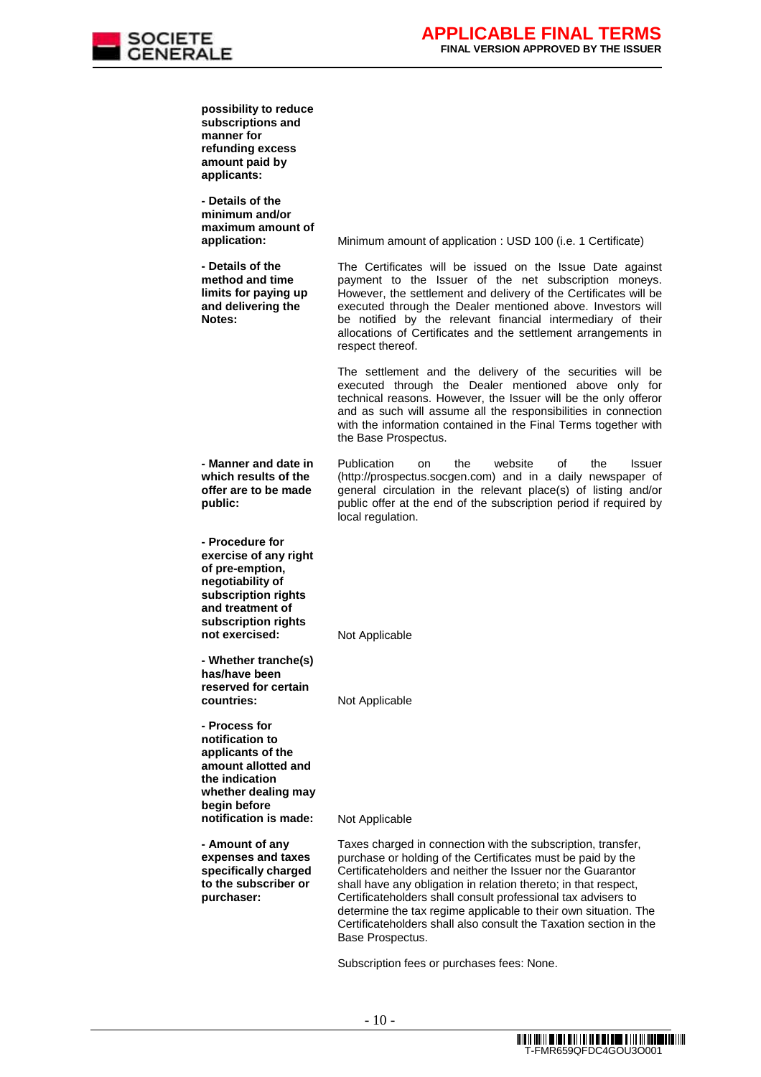

| possibility to reduce<br>subscriptions and<br>manner for<br>refunding excess<br>amount paid by<br>applicants:                                                       |                                                                                                                                                                                                                                                                                                                                                                                                                                                                                            |
|---------------------------------------------------------------------------------------------------------------------------------------------------------------------|--------------------------------------------------------------------------------------------------------------------------------------------------------------------------------------------------------------------------------------------------------------------------------------------------------------------------------------------------------------------------------------------------------------------------------------------------------------------------------------------|
| - Details of the<br>minimum and/or<br>maximum amount of<br>application:                                                                                             | Minimum amount of application : USD 100 (i.e. 1 Certificate)                                                                                                                                                                                                                                                                                                                                                                                                                               |
| - Details of the<br>method and time<br>limits for paying up<br>and delivering the<br>Notes:                                                                         | The Certificates will be issued on the Issue Date against<br>payment to the Issuer of the net subscription moneys.<br>However, the settlement and delivery of the Certificates will be<br>executed through the Dealer mentioned above. Investors will<br>be notified by the relevant financial intermediary of their<br>allocations of Certificates and the settlement arrangements in<br>respect thereof.                                                                                 |
|                                                                                                                                                                     | The settlement and the delivery of the securities will be<br>executed through the Dealer mentioned above only for<br>technical reasons. However, the Issuer will be the only offeror<br>and as such will assume all the responsibilities in connection<br>with the information contained in the Final Terms together with<br>the Base Prospectus.                                                                                                                                          |
| - Manner and date in<br>which results of the<br>offer are to be made<br>public:                                                                                     | Publication<br>website<br>οf<br>the<br>the<br>Issuer<br>on<br>(http://prospectus.socgen.com) and in a daily newspaper of<br>general circulation in the relevant place(s) of listing and/or<br>public offer at the end of the subscription period if required by<br>local regulation.                                                                                                                                                                                                       |
| - Procedure for<br>exercise of any right<br>of pre-emption,<br>negotiability of<br>subscription rights<br>and treatment of<br>subscription rights<br>not exercised: | Not Applicable                                                                                                                                                                                                                                                                                                                                                                                                                                                                             |
| - Whether tranche(s)<br>has/have been<br>reserved for certain<br>countries:                                                                                         | Not Applicable                                                                                                                                                                                                                                                                                                                                                                                                                                                                             |
| - Process for<br>notification to<br>applicants of the<br>amount allotted and<br>the indication<br>whether dealing may<br>begin before<br>notification is made:      | Not Applicable                                                                                                                                                                                                                                                                                                                                                                                                                                                                             |
|                                                                                                                                                                     |                                                                                                                                                                                                                                                                                                                                                                                                                                                                                            |
| - Amount of any<br>expenses and taxes<br>specifically charged<br>to the subscriber or<br>purchaser:                                                                 | Taxes charged in connection with the subscription, transfer,<br>purchase or holding of the Certificates must be paid by the<br>Certificateholders and neither the Issuer nor the Guarantor<br>shall have any obligation in relation thereto; in that respect,<br>Certificateholders shall consult professional tax advisers to<br>determine the tax regime applicable to their own situation. The<br>Certificateholders shall also consult the Taxation section in the<br>Base Prospectus. |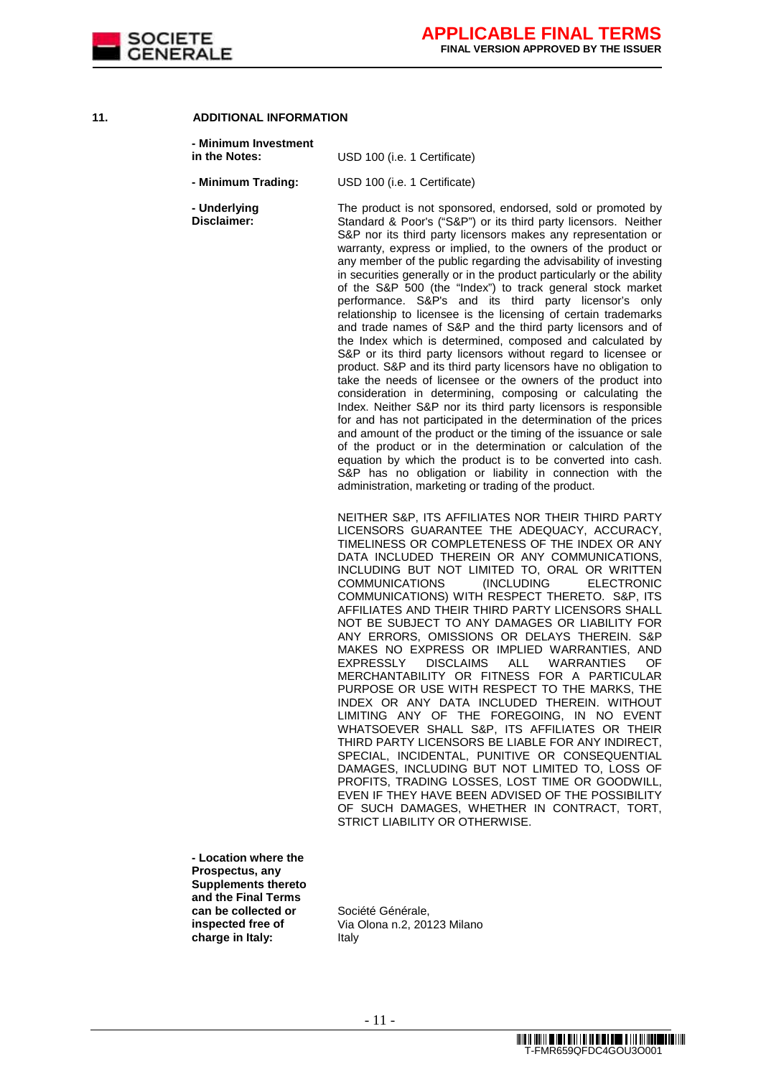

# **11. ADDITIONAL INFORMATION**

| - Minimum Investment<br>in the Notes:   | USD 100 (i.e. 1 Certificate)                                                                                                                                                                                                                                                                                                                                                                                                                                                                                                                                                                                                                                                                                                                                                                                                                                                                                                                                                                                                                                                                                                                                                                                                                                                                                                                                                                                                                                          |
|-----------------------------------------|-----------------------------------------------------------------------------------------------------------------------------------------------------------------------------------------------------------------------------------------------------------------------------------------------------------------------------------------------------------------------------------------------------------------------------------------------------------------------------------------------------------------------------------------------------------------------------------------------------------------------------------------------------------------------------------------------------------------------------------------------------------------------------------------------------------------------------------------------------------------------------------------------------------------------------------------------------------------------------------------------------------------------------------------------------------------------------------------------------------------------------------------------------------------------------------------------------------------------------------------------------------------------------------------------------------------------------------------------------------------------------------------------------------------------------------------------------------------------|
| - Minimum Trading:                      | USD 100 (i.e. 1 Certificate)                                                                                                                                                                                                                                                                                                                                                                                                                                                                                                                                                                                                                                                                                                                                                                                                                                                                                                                                                                                                                                                                                                                                                                                                                                                                                                                                                                                                                                          |
| - Underlying<br>Disclaimer:             | The product is not sponsored, endorsed, sold or promoted by<br>Standard & Poor's ("S&P") or its third party licensors. Neither<br>S&P nor its third party licensors makes any representation or<br>warranty, express or implied, to the owners of the product or<br>any member of the public regarding the advisability of investing<br>in securities generally or in the product particularly or the ability<br>of the S&P 500 (the "Index") to track general stock market<br>performance. S&P's and its third party licensor's only<br>relationship to licensee is the licensing of certain trademarks<br>and trade names of S&P and the third party licensors and of<br>the Index which is determined, composed and calculated by<br>S&P or its third party licensors without regard to licensee or<br>product. S&P and its third party licensors have no obligation to<br>take the needs of licensee or the owners of the product into<br>consideration in determining, composing or calculating the<br>Index. Neither S&P nor its third party licensors is responsible<br>for and has not participated in the determination of the prices<br>and amount of the product or the timing of the issuance or sale<br>of the product or in the determination or calculation of the<br>equation by which the product is to be converted into cash.<br>S&P has no obligation or liability in connection with the<br>administration, marketing or trading of the product. |
|                                         | NEITHER S&P, ITS AFFILIATES NOR THEIR THIRD PARTY<br>LICENSORS GUARANTEE THE ADEQUACY, ACCURACY,<br>TIMELINESS OR COMPLETENESS OF THE INDEX OR ANY<br>DATA INCLUDED THEREIN OR ANY COMMUNICATIONS,<br>INCLUDING BUT NOT LIMITED TO, ORAL OR WRITTEN<br><b>COMMUNICATIONS</b><br>(INCLUDING<br><b>ELECTRONIC</b><br>COMMUNICATIONS) WITH RESPECT THERETO. S&P, ITS<br>AFFILIATES AND THEIR THIRD PARTY LICENSORS SHALL<br>NOT BE SUBJECT TO ANY DAMAGES OR LIABILITY FOR<br>ANY ERRORS, OMISSIONS OR DELAYS THEREIN. S&P<br>MAKES NO EXPRESS OR IMPLIED WARRANTIES, AND<br><b>DISCLAIMS</b><br>ALL<br>EXPRESSLY<br><b>WARRANTIES</b><br>OF.<br>MERCHANTABILITY OR FITNESS FOR A PARTICULAR<br>PURPOSE OR USE WITH RESPECT TO THE MARKS, THE<br>INDEX OR ANY DATA INCLUDED THEREIN. WITHOUT<br>LIMITING ANY OF THE FOREGOING, IN NO EVENT<br>WHATSOEVER SHALL S&P, ITS AFFILIATES OR THEIR<br>THIRD PARTY LICENSORS BE LIABLE FOR ANY INDIRECT,<br>SPECIAL, INCIDENTAL, PUNITIVE OR CONSEQUENTIAL<br>DAMAGES, INCLUDING BUT NOT LIMITED TO, LOSS OF<br>PROFITS, TRADING LOSSES, LOST TIME OR GOODWILL,<br>EVEN IF THEY HAVE BEEN ADVISED OF THE POSSIBILITY<br>OF SUCH DAMAGES, WHETHER IN CONTRACT, TORT,<br>STRICT LIABILITY OR OTHERWISE.                                                                                                                                                                                                                            |
| - Location where the<br>Prospectus, any |                                                                                                                                                                                                                                                                                                                                                                                                                                                                                                                                                                                                                                                                                                                                                                                                                                                                                                                                                                                                                                                                                                                                                                                                                                                                                                                                                                                                                                                                       |

**Supplements thereto and the Final Terms can be collected or inspected free of charge in Italy:** 

Société Générale, Via Olona n.2, 20123 Milano Italy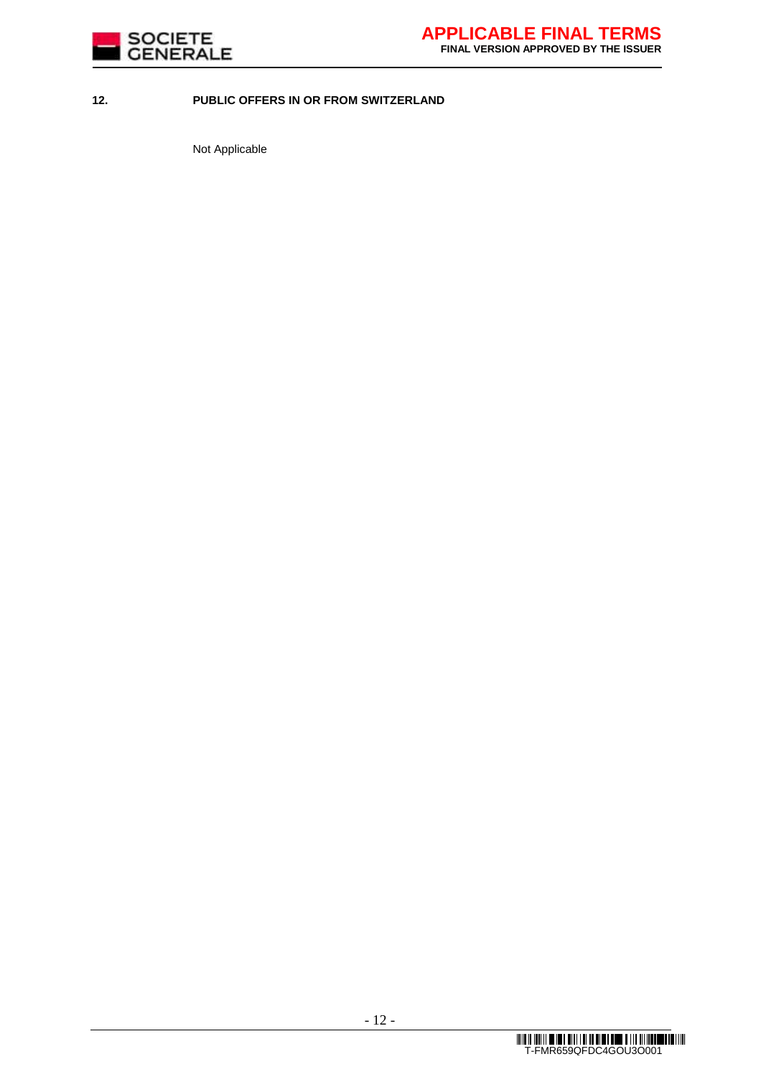

# **12. PUBLIC OFFERS IN OR FROM SWITZERLAND**

Not Applicable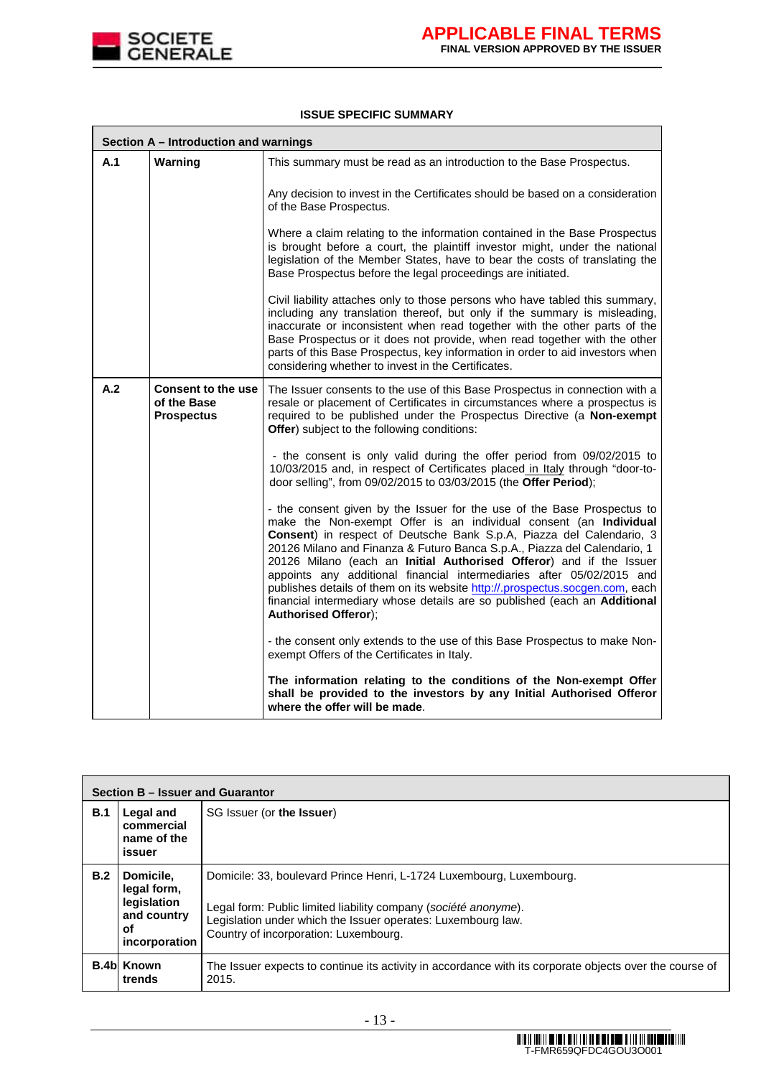

#### **ISSUE SPECIFIC SUMMARY**

| Section A – Introduction and warnings |                                                               |                                                                                                                                                                                                                                                                                                                                                                                                                                                                                                                                                                                                                                              |  |
|---------------------------------------|---------------------------------------------------------------|----------------------------------------------------------------------------------------------------------------------------------------------------------------------------------------------------------------------------------------------------------------------------------------------------------------------------------------------------------------------------------------------------------------------------------------------------------------------------------------------------------------------------------------------------------------------------------------------------------------------------------------------|--|
| A.1                                   | Warning                                                       | This summary must be read as an introduction to the Base Prospectus.                                                                                                                                                                                                                                                                                                                                                                                                                                                                                                                                                                         |  |
|                                       |                                                               | Any decision to invest in the Certificates should be based on a consideration<br>of the Base Prospectus.                                                                                                                                                                                                                                                                                                                                                                                                                                                                                                                                     |  |
|                                       |                                                               | Where a claim relating to the information contained in the Base Prospectus<br>is brought before a court, the plaintiff investor might, under the national<br>legislation of the Member States, have to bear the costs of translating the<br>Base Prospectus before the legal proceedings are initiated.                                                                                                                                                                                                                                                                                                                                      |  |
|                                       |                                                               | Civil liability attaches only to those persons who have tabled this summary,<br>including any translation thereof, but only if the summary is misleading,<br>inaccurate or inconsistent when read together with the other parts of the<br>Base Prospectus or it does not provide, when read together with the other<br>parts of this Base Prospectus, key information in order to aid investors when<br>considering whether to invest in the Certificates.                                                                                                                                                                                   |  |
| A.2                                   | <b>Consent to the use</b><br>of the Base<br><b>Prospectus</b> | The Issuer consents to the use of this Base Prospectus in connection with a<br>resale or placement of Certificates in circumstances where a prospectus is<br>required to be published under the Prospectus Directive (a Non-exempt<br>Offer) subject to the following conditions:                                                                                                                                                                                                                                                                                                                                                            |  |
|                                       |                                                               | - the consent is only valid during the offer period from 09/02/2015 to<br>10/03/2015 and, in respect of Certificates placed in Italy through "door-to-<br>door selling", from 09/02/2015 to 03/03/2015 (the Offer Period);                                                                                                                                                                                                                                                                                                                                                                                                                   |  |
|                                       |                                                               | - the consent given by the Issuer for the use of the Base Prospectus to<br>make the Non-exempt Offer is an individual consent (an Individual<br>Consent) in respect of Deutsche Bank S.p.A, Piazza del Calendario, 3<br>20126 Milano and Finanza & Futuro Banca S.p.A., Piazza del Calendario, 1<br>20126 Milano (each an Initial Authorised Offeror) and if the Issuer<br>appoints any additional financial intermediaries after 05/02/2015 and<br>publishes details of them on its website http://.prospectus.socgen.com, each<br>financial intermediary whose details are so published (each an Additional<br><b>Authorised Offeror);</b> |  |
|                                       |                                                               | - the consent only extends to the use of this Base Prospectus to make Non-<br>exempt Offers of the Certificates in Italy.                                                                                                                                                                                                                                                                                                                                                                                                                                                                                                                    |  |
|                                       |                                                               | The information relating to the conditions of the Non-exempt Offer<br>shall be provided to the investors by any Initial Authorised Offeror<br>where the offer will be made.                                                                                                                                                                                                                                                                                                                                                                                                                                                                  |  |

|     | Section B - Issuer and Guarantor                                              |                                                                                                                                                                                                                                                  |  |  |  |
|-----|-------------------------------------------------------------------------------|--------------------------------------------------------------------------------------------------------------------------------------------------------------------------------------------------------------------------------------------------|--|--|--|
| B.1 | Legal and<br>commercial<br>name of the<br>issuer                              | SG Issuer (or the Issuer)                                                                                                                                                                                                                        |  |  |  |
| B.2 | Domicile.<br>legal form,<br>legislation<br>and country<br>οf<br>incorporation | Domicile: 33, boulevard Prince Henri, L-1724 Luxembourg, Luxembourg.<br>Legal form: Public limited liability company (société anonyme).<br>Legislation under which the Issuer operates: Luxembourg law.<br>Country of incorporation: Luxembourg. |  |  |  |
|     | <b>B.4b Known</b><br>trends                                                   | The Issuer expects to continue its activity in accordance with its corporate objects over the course of<br>2015.                                                                                                                                 |  |  |  |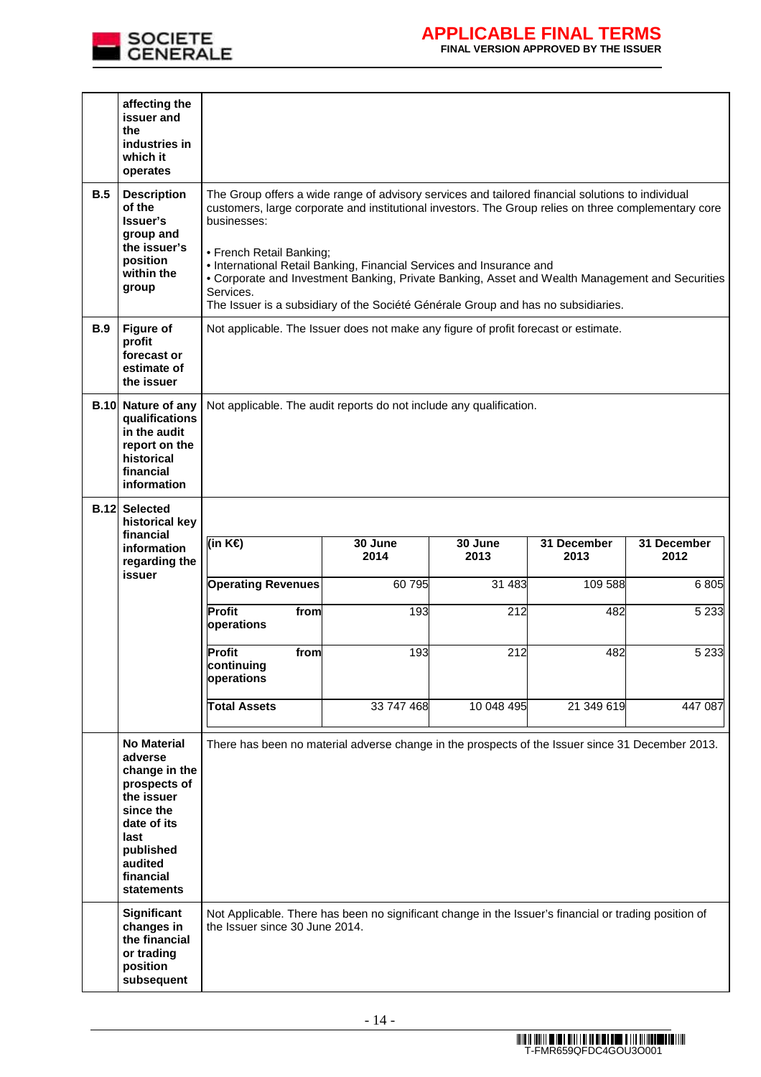

# **APPLICABLE FINAL TERMS**

**FINAL VERSION APPROVED BY THE ISSUER** 

|             | affecting the<br>issuer and<br>the<br>industries in                                                                                                                 |                                                                                                                                                                                                                                                                                                                                                                                                                                                                                                                                   |                                                                                     |                 |                     |                     |  |
|-------------|---------------------------------------------------------------------------------------------------------------------------------------------------------------------|-----------------------------------------------------------------------------------------------------------------------------------------------------------------------------------------------------------------------------------------------------------------------------------------------------------------------------------------------------------------------------------------------------------------------------------------------------------------------------------------------------------------------------------|-------------------------------------------------------------------------------------|-----------------|---------------------|---------------------|--|
|             | which it<br>operates                                                                                                                                                |                                                                                                                                                                                                                                                                                                                                                                                                                                                                                                                                   |                                                                                     |                 |                     |                     |  |
| B.5         | <b>Description</b><br>of the<br>Issuer's<br>group and<br>the issuer's<br>position<br>within the<br>group                                                            | The Group offers a wide range of advisory services and tailored financial solutions to individual<br>customers, large corporate and institutional investors. The Group relies on three complementary core<br>businesses:<br>• French Retail Banking;<br>• International Retail Banking, Financial Services and Insurance and<br>• Corporate and Investment Banking, Private Banking, Asset and Wealth Management and Securities<br>Services.<br>The Issuer is a subsidiary of the Société Générale Group and has no subsidiaries. |                                                                                     |                 |                     |                     |  |
| <b>B.9</b>  | <b>Figure of</b><br>profit<br>forecast or<br>estimate of<br>the issuer                                                                                              |                                                                                                                                                                                                                                                                                                                                                                                                                                                                                                                                   | Not applicable. The Issuer does not make any figure of profit forecast or estimate. |                 |                     |                     |  |
| <b>B.10</b> | Nature of any<br>qualifications<br>in the audit<br>report on the<br>historical<br>financial<br>information                                                          | Not applicable. The audit reports do not include any qualification.                                                                                                                                                                                                                                                                                                                                                                                                                                                               |                                                                                     |                 |                     |                     |  |
|             | <b>B.12 Selected</b><br>historical key                                                                                                                              |                                                                                                                                                                                                                                                                                                                                                                                                                                                                                                                                   |                                                                                     |                 |                     |                     |  |
|             | financial<br>information<br>regarding the                                                                                                                           | (in K€)                                                                                                                                                                                                                                                                                                                                                                                                                                                                                                                           | 30 June<br>2014                                                                     | 30 June<br>2013 | 31 December<br>2013 | 31 December<br>2012 |  |
|             | issuer                                                                                                                                                              | <b>Operating Revenues</b>                                                                                                                                                                                                                                                                                                                                                                                                                                                                                                         | 60795                                                                               | 31 483          | 109 588             | 6805                |  |
|             |                                                                                                                                                                     | Profit<br>from<br>operations                                                                                                                                                                                                                                                                                                                                                                                                                                                                                                      | 193                                                                                 | 212             | 482                 | 5 2 3 3             |  |
|             |                                                                                                                                                                     | <b>Profit</b><br>from<br>continuing<br>operations                                                                                                                                                                                                                                                                                                                                                                                                                                                                                 | 193                                                                                 | 212             | 482                 | 5 2 3 3             |  |
|             |                                                                                                                                                                     | <b>Total Assets</b>                                                                                                                                                                                                                                                                                                                                                                                                                                                                                                               | 33 747 468                                                                          | 10 048 495      | 21 349 619          | 447 087             |  |
|             | <b>No Material</b><br>adverse<br>change in the<br>prospects of<br>the issuer<br>since the<br>date of its<br>last<br>published<br>audited<br>financial<br>statements | There has been no material adverse change in the prospects of the Issuer since 31 December 2013.                                                                                                                                                                                                                                                                                                                                                                                                                                  |                                                                                     |                 |                     |                     |  |
|             | Significant<br>changes in<br>the financial<br>or trading<br>position<br>subsequent                                                                                  | Not Applicable. There has been no significant change in the Issuer's financial or trading position of<br>the Issuer since 30 June 2014.                                                                                                                                                                                                                                                                                                                                                                                           |                                                                                     |                 |                     |                     |  |

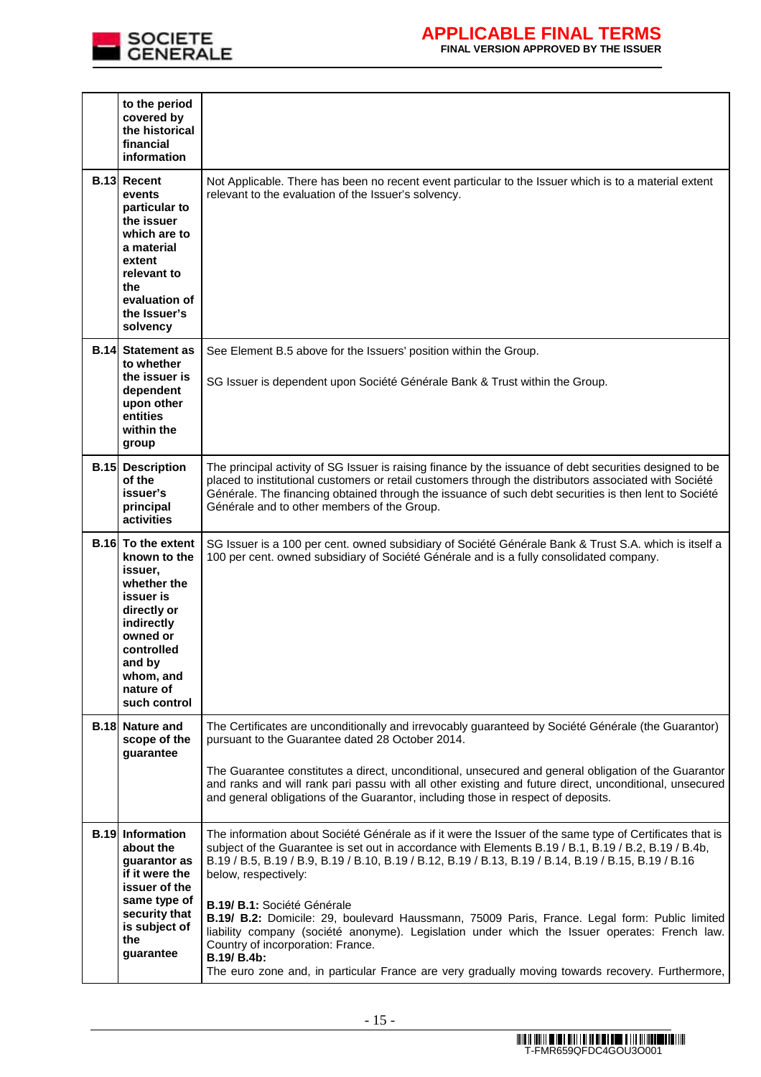

# **APPLICABLE FINAL TERMS**

**FINAL VERSION APPROVED BY THE ISSUER** 

|             | to the period<br>covered by<br>the historical<br>financial<br>information                                                                                                                   |                                                                                                                                                                                                                                                                                                                                                                                                                                                                                                                                                                                                                                       |
|-------------|---------------------------------------------------------------------------------------------------------------------------------------------------------------------------------------------|---------------------------------------------------------------------------------------------------------------------------------------------------------------------------------------------------------------------------------------------------------------------------------------------------------------------------------------------------------------------------------------------------------------------------------------------------------------------------------------------------------------------------------------------------------------------------------------------------------------------------------------|
|             | <b>B.13 Recent</b><br>events<br>particular to<br>the issuer<br>which are to<br>a material<br>extent<br>relevant to<br>the<br>evaluation of<br>the Issuer's<br>solvency                      | Not Applicable. There has been no recent event particular to the Issuer which is to a material extent<br>relevant to the evaluation of the Issuer's solvency.                                                                                                                                                                                                                                                                                                                                                                                                                                                                         |
| <b>B.14</b> | <b>Statement as</b><br>to whether                                                                                                                                                           | See Element B.5 above for the Issuers' position within the Group.                                                                                                                                                                                                                                                                                                                                                                                                                                                                                                                                                                     |
|             | the issuer is<br>dependent<br>upon other<br>entities<br>within the<br>group                                                                                                                 | SG Issuer is dependent upon Société Générale Bank & Trust within the Group.                                                                                                                                                                                                                                                                                                                                                                                                                                                                                                                                                           |
| <b>B.15</b> | <b>Description</b><br>of the<br>issuer's<br>principal<br>activities                                                                                                                         | The principal activity of SG Issuer is raising finance by the issuance of debt securities designed to be<br>placed to institutional customers or retail customers through the distributors associated with Société<br>Générale. The financing obtained through the issuance of such debt securities is then lent to Société<br>Générale and to other members of the Group.                                                                                                                                                                                                                                                            |
|             | <b>B.16</b> To the extent<br>known to the<br>issuer,<br>whether the<br>issuer is<br>directly or<br>indirectly<br>owned or<br>controlled<br>and by<br>whom, and<br>nature of<br>such control | SG Issuer is a 100 per cent. owned subsidiary of Société Générale Bank & Trust S.A. which is itself a<br>100 per cent. owned subsidiary of Société Générale and is a fully consolidated company.                                                                                                                                                                                                                                                                                                                                                                                                                                      |
|             | <b>B.18 Nature and</b><br>scope of the<br>guarantee                                                                                                                                         | The Certificates are unconditionally and irrevocably guaranteed by Société Générale (the Guarantor)<br>pursuant to the Guarantee dated 28 October 2014.                                                                                                                                                                                                                                                                                                                                                                                                                                                                               |
|             |                                                                                                                                                                                             | The Guarantee constitutes a direct, unconditional, unsecured and general obligation of the Guarantor<br>and ranks and will rank pari passu with all other existing and future direct, unconditional, unsecured<br>and general obligations of the Guarantor, including those in respect of deposits.                                                                                                                                                                                                                                                                                                                                   |
|             | <b>B.19 Information</b><br>about the<br>guarantor as<br>if it were the<br>issuer of the<br>same type of<br>security that<br>is subject of<br>the<br>guarantee                               | The information about Société Générale as if it were the Issuer of the same type of Certificates that is<br>subject of the Guarantee is set out in accordance with Elements B.19 / B.1, B.19 / B.2, B.19 / B.4b,<br>B.19 / B.5, B.19 / B.9, B.19 / B.10, B.19 / B.12, B.19 / B.13, B.19 / B.14, B.19 / B.15, B.19 / B.16<br>below, respectively:<br>B.19/ B.1: Société Générale<br>B.19/ B.2: Domicile: 29, boulevard Haussmann, 75009 Paris, France. Legal form: Public limited<br>liability company (société anonyme). Legislation under which the Issuer operates: French law.<br>Country of incorporation: France.<br>B.19/ B.4b: |
|             |                                                                                                                                                                                             | The euro zone and, in particular France are very gradually moving towards recovery. Furthermore,                                                                                                                                                                                                                                                                                                                                                                                                                                                                                                                                      |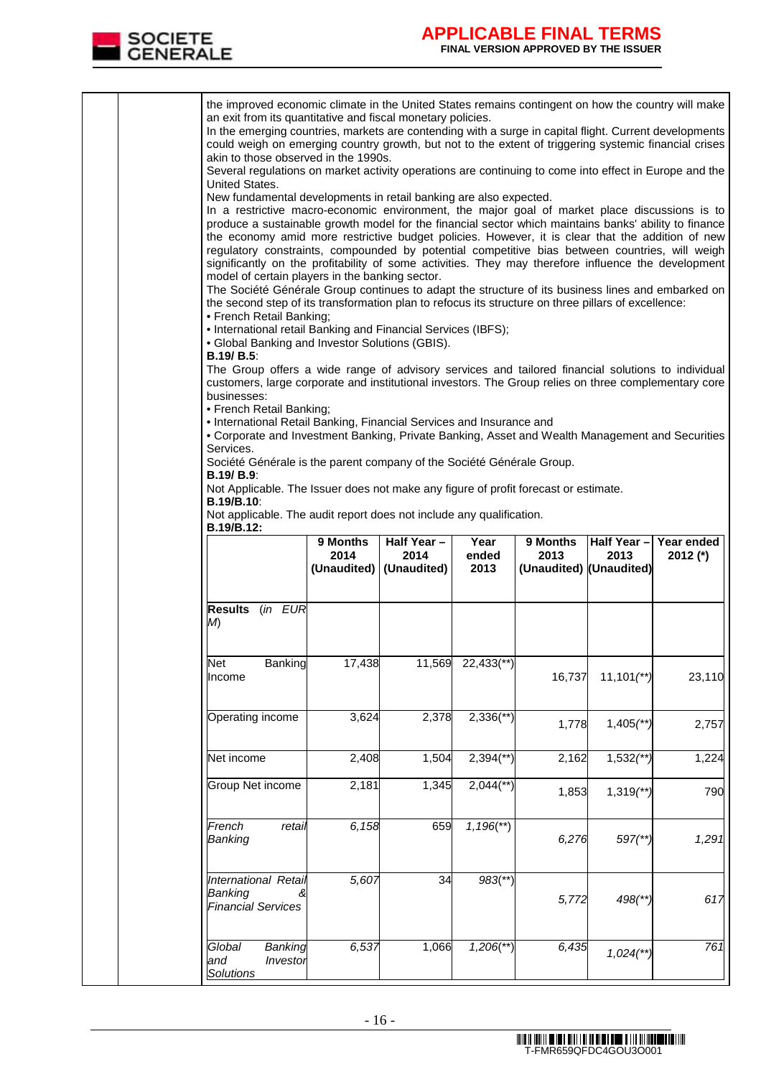

|  | the improved economic climate in the United States remains contingent on how the country will make<br>an exit from its quantitative and fiscal monetary policies.<br>In the emerging countries, markets are contending with a surge in capital flight. Current developments<br>could weigh on emerging country growth, but not to the extent of triggering systemic financial crises<br>akin to those observed in the 1990s.<br>Several regulations on market activity operations are continuing to come into effect in Europe and the<br>United States.<br>New fundamental developments in retail banking are also expected.<br>In a restrictive macro-economic environment, the major goal of market place discussions is to<br>produce a sustainable growth model for the financial sector which maintains banks' ability to finance<br>the economy amid more restrictive budget policies. However, it is clear that the addition of new<br>regulatory constraints, compounded by potential competitive bias between countries, will weigh<br>significantly on the profitability of some activities. They may therefore influence the development<br>model of certain players in the banking sector.<br>The Société Générale Group continues to adapt the structure of its business lines and embarked on<br>the second step of its transformation plan to refocus its structure on three pillars of excellence:<br>• French Retail Banking;<br>• International retail Banking and Financial Services (IBFS);<br>• Global Banking and Investor Solutions (GBIS).<br><b>B.19/ B.5:</b><br>The Group offers a wide range of advisory services and tailored financial solutions to individual<br>customers, large corporate and institutional investors. The Group relies on three complementary core<br>businesses:<br>• French Retail Banking;<br>• International Retail Banking, Financial Services and Insurance and<br>• Corporate and Investment Banking, Private Banking, Asset and Wealth Management and Securities<br>Services.<br>Société Générale is the parent company of the Société Générale Group.<br><b>B.19/ B.9:</b><br>Not Applicable. The Issuer does not make any figure of profit forecast or estimate.<br><b>B.19/B.10:</b> |                  |                           |                         |                         |                          |                        |
|--|----------------------------------------------------------------------------------------------------------------------------------------------------------------------------------------------------------------------------------------------------------------------------------------------------------------------------------------------------------------------------------------------------------------------------------------------------------------------------------------------------------------------------------------------------------------------------------------------------------------------------------------------------------------------------------------------------------------------------------------------------------------------------------------------------------------------------------------------------------------------------------------------------------------------------------------------------------------------------------------------------------------------------------------------------------------------------------------------------------------------------------------------------------------------------------------------------------------------------------------------------------------------------------------------------------------------------------------------------------------------------------------------------------------------------------------------------------------------------------------------------------------------------------------------------------------------------------------------------------------------------------------------------------------------------------------------------------------------------------------------------------------------------------------------------------------------------------------------------------------------------------------------------------------------------------------------------------------------------------------------------------------------------------------------------------------------------------------------------------------------------------------------------------------------------------------------------------------------------------------------------|------------------|---------------------------|-------------------------|-------------------------|--------------------------|------------------------|
|  | Not applicable. The audit report does not include any qualification.<br>B.19/B.12:                                                                                                                                                                                                                                                                                                                                                                                                                                                                                                                                                                                                                                                                                                                                                                                                                                                                                                                                                                                                                                                                                                                                                                                                                                                                                                                                                                                                                                                                                                                                                                                                                                                                                                                                                                                                                                                                                                                                                                                                                                                                                                                                                                 | 9 Months<br>2014 | Half Year-<br>2014        | Year<br>ended           | 9 Months<br>2013        | Half Year-<br>2013       | Year ended<br>2012 (*) |
|  |                                                                                                                                                                                                                                                                                                                                                                                                                                                                                                                                                                                                                                                                                                                                                                                                                                                                                                                                                                                                                                                                                                                                                                                                                                                                                                                                                                                                                                                                                                                                                                                                                                                                                                                                                                                                                                                                                                                                                                                                                                                                                                                                                                                                                                                    |                  | (Unaudited)   (Unaudited) | 2013                    | (Unaudited) (Unaudited) |                          |                        |
|  | Results (in EUR<br>M)                                                                                                                                                                                                                                                                                                                                                                                                                                                                                                                                                                                                                                                                                                                                                                                                                                                                                                                                                                                                                                                                                                                                                                                                                                                                                                                                                                                                                                                                                                                                                                                                                                                                                                                                                                                                                                                                                                                                                                                                                                                                                                                                                                                                                              |                  |                           |                         |                         |                          |                        |
|  | <b>Banking</b><br>Net<br>Income                                                                                                                                                                                                                                                                                                                                                                                                                                                                                                                                                                                                                                                                                                                                                                                                                                                                                                                                                                                                                                                                                                                                                                                                                                                                                                                                                                                                                                                                                                                                                                                                                                                                                                                                                                                                                                                                                                                                                                                                                                                                                                                                                                                                                    | 17,438           |                           | 11,569 22,433(**)       | 16,737                  | $11,101$ <sup>**</sup> ) | 23,110                 |
|  | Operating income                                                                                                                                                                                                                                                                                                                                                                                                                                                                                                                                                                                                                                                                                                                                                                                                                                                                                                                                                                                                                                                                                                                                                                                                                                                                                                                                                                                                                                                                                                                                                                                                                                                                                                                                                                                                                                                                                                                                                                                                                                                                                                                                                                                                                                   | 3,624            | 2,378                     | $2,336$ <sup>**</sup> ) | 1,778                   | $1,405$ (**)             | 2,757                  |
|  | Net income                                                                                                                                                                                                                                                                                                                                                                                                                                                                                                                                                                                                                                                                                                                                                                                                                                                                                                                                                                                                                                                                                                                                                                                                                                                                                                                                                                                                                                                                                                                                                                                                                                                                                                                                                                                                                                                                                                                                                                                                                                                                                                                                                                                                                                         | 2,408            | 1,504                     | $2,394$ <sup>**</sup> ) | 2,162                   | $1,532$ (**)             | 1,224                  |
|  | Group Net income                                                                                                                                                                                                                                                                                                                                                                                                                                                                                                                                                                                                                                                                                                                                                                                                                                                                                                                                                                                                                                                                                                                                                                                                                                                                                                                                                                                                                                                                                                                                                                                                                                                                                                                                                                                                                                                                                                                                                                                                                                                                                                                                                                                                                                   | 2,181            | 1,345                     | $2,044$ <sup>**</sup> ) | 1,853                   | $1,319$ <sup>**</sup> )  | 790                    |
|  | French<br>retail<br>Banking                                                                                                                                                                                                                                                                                                                                                                                                                                                                                                                                                                                                                                                                                                                                                                                                                                                                                                                                                                                                                                                                                                                                                                                                                                                                                                                                                                                                                                                                                                                                                                                                                                                                                                                                                                                                                                                                                                                                                                                                                                                                                                                                                                                                                        | 6,158            | 659                       | $1,196$ <sup>**</sup> ) | 6,276                   | $597$ <sup>(**)</sup>    | 1,291                  |
|  | International Retail<br>Banking<br><b>Financial Services</b>                                                                                                                                                                                                                                                                                                                                                                                                                                                                                                                                                                                                                                                                                                                                                                                                                                                                                                                                                                                                                                                                                                                                                                                                                                                                                                                                                                                                                                                                                                                                                                                                                                                                                                                                                                                                                                                                                                                                                                                                                                                                                                                                                                                       | 5,607            | 34                        | $983$ <sup>**</sup> )   | 5,772                   | $498$ (**)               | 617                    |
|  | Banking<br>Global<br>and<br>Investor<br><b>Solutions</b>                                                                                                                                                                                                                                                                                                                                                                                                                                                                                                                                                                                                                                                                                                                                                                                                                                                                                                                                                                                                                                                                                                                                                                                                                                                                                                                                                                                                                                                                                                                                                                                                                                                                                                                                                                                                                                                                                                                                                                                                                                                                                                                                                                                           | 6,537            | 1,066                     | $1,206$ <sup>**</sup> ) | 6,435                   | $1,024$ <sup>**</sup>    | 761                    |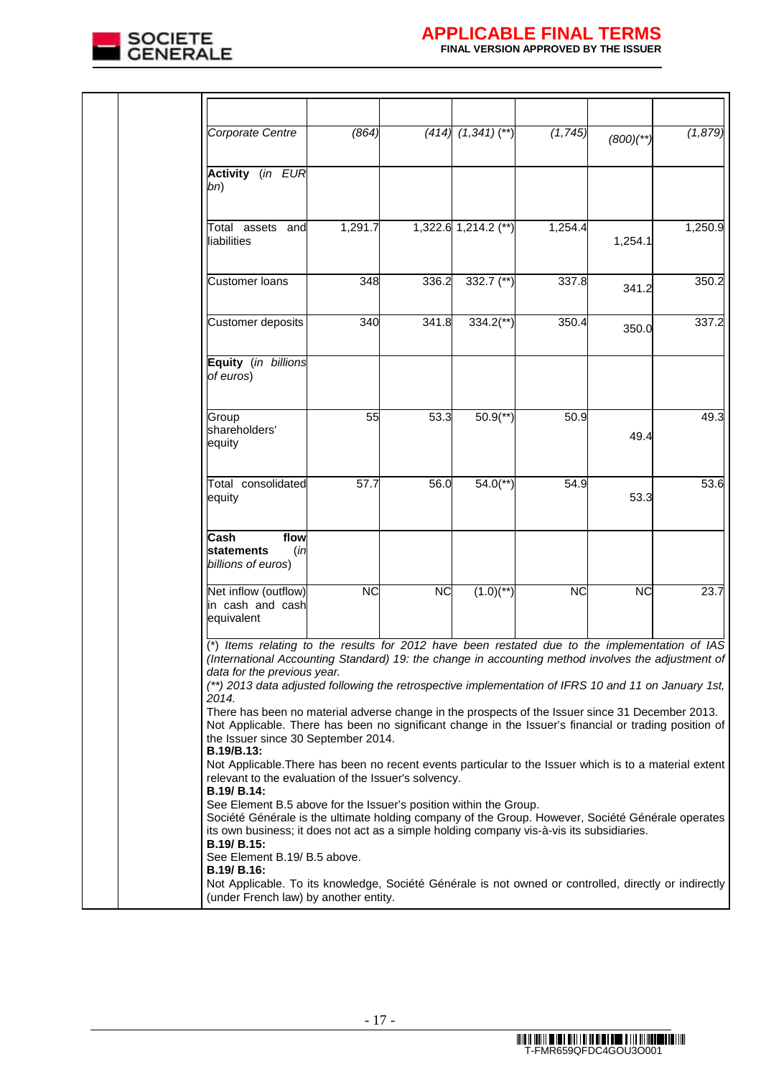

# **APPLICABLE FINAL TERMS**

| Corporate Centre                                                                                                                                                                                                                                                                                                                                     | (864)     |           | $(414)$ $(1,341)$ $(**)$ | (1, 745)  | $(800)(**)$ | (1, 879) |
|------------------------------------------------------------------------------------------------------------------------------------------------------------------------------------------------------------------------------------------------------------------------------------------------------------------------------------------------------|-----------|-----------|--------------------------|-----------|-------------|----------|
| <b>Activity</b> (in EUR<br>bn)                                                                                                                                                                                                                                                                                                                       |           |           |                          |           |             |          |
| Total assets and<br>liabilities                                                                                                                                                                                                                                                                                                                      | 1,291.7   |           | $1,322.6$ 1,214.2 (**)   | 1,254.4   | 1,254.1     | 1,250.9  |
| <b>Customer loans</b>                                                                                                                                                                                                                                                                                                                                | 348       | 336.2     | 332.7 $(**)$             | 337.8     | 341.2       | 350.2    |
| Customer deposits                                                                                                                                                                                                                                                                                                                                    | 340       | 341.8     | $334.2$ <sup>**</sup> )  | 350.4     | 350.0       | 337.2    |
| Equity (in billions<br>of euros)                                                                                                                                                                                                                                                                                                                     |           |           |                          |           |             |          |
| Group<br>shareholders'<br>equity                                                                                                                                                                                                                                                                                                                     | 55        | 53.3      | $50.9$ <sup>**</sup> )   | 50.9      | 49.4        | 49.3     |
| Total consolidated<br>equity                                                                                                                                                                                                                                                                                                                         | 57.7      | 56.0      | $54.0$ <sup>**</sup> )   | 54.9      | 53.3        | 53.6     |
| <b>Cash</b><br>flow<br>statements<br>(in<br>billions of euros)                                                                                                                                                                                                                                                                                       |           |           |                          |           |             |          |
| Net inflow (outflow)<br>in cash and cash<br>equivalent                                                                                                                                                                                                                                                                                               | <b>NC</b> | <b>NC</b> | $(1.0)^{(*)}$            | <b>NC</b> | <b>NC</b>   | 23.7     |
| (*) Items relating to the results for 2012 have been restated due to the implementation of IAS<br>(International Accounting Standard) 19: the change in accounting method involves the adjustment of<br>data for the previous year.<br>(**) 2013 data adjusted following the retrospective implementation of IFRS 10 and 11 on January 1st,<br>2014. |           |           |                          |           |             |          |
| There has been no material adverse change in the prospects of the Issuer since 31 December 2013.<br>Not Applicable. There has been no significant change in the Issuer's financial or trading position of<br>the Issuer since 30 September 2014.<br><b>B.19/B.13:</b>                                                                                |           |           |                          |           |             |          |
| Not Applicable. There has been no recent events particular to the Issuer which is to a material extent<br>relevant to the evaluation of the Issuer's solvency.<br>B.19/ B.14:                                                                                                                                                                        |           |           |                          |           |             |          |
| See Element B.5 above for the Issuer's position within the Group.<br>Société Générale is the ultimate holding company of the Group. However, Société Générale operates<br>its own business; it does not act as a simple holding company vis-à-vis its subsidiaries.<br>B.19/ B.15:<br>See Element B.19/ B.5 above.                                   |           |           |                          |           |             |          |
| B.19/ B.16:<br>Not Applicable. To its knowledge, Société Générale is not owned or controlled, directly or indirectly<br>(under French law) by another entity.                                                                                                                                                                                        |           |           |                          |           |             |          |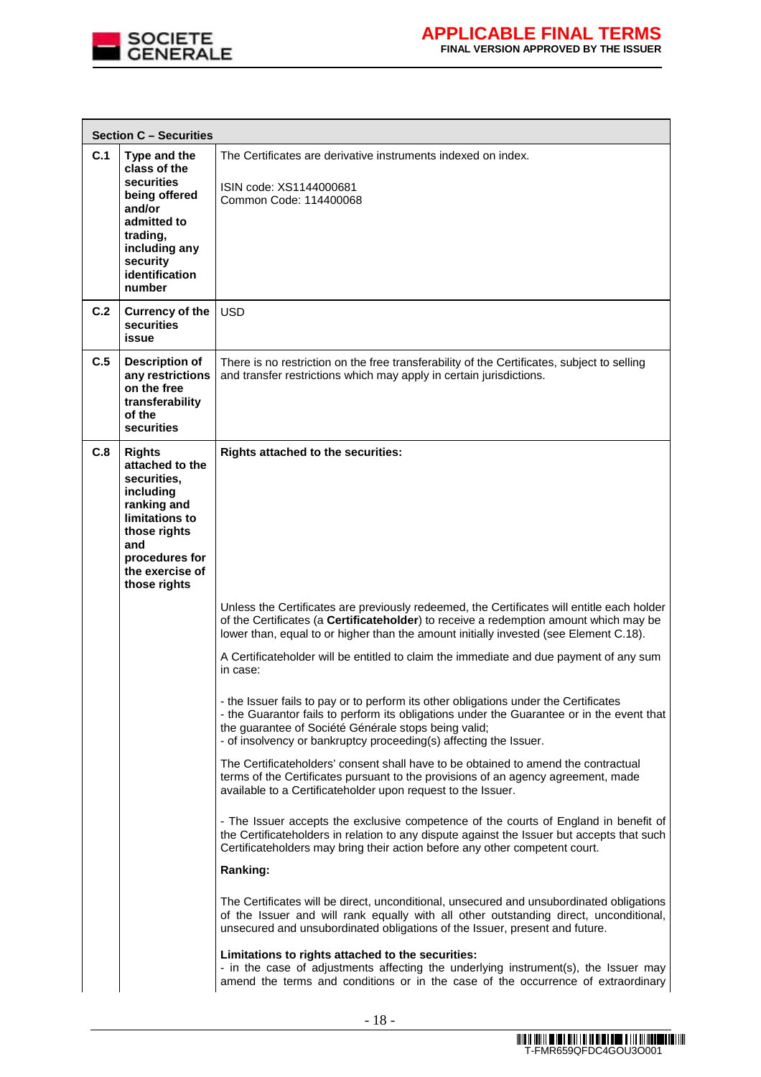

|     | <b>Section C - Securities</b>                                                                                                                                             |                                                                                                                                                                                                                                                                                                                |
|-----|---------------------------------------------------------------------------------------------------------------------------------------------------------------------------|----------------------------------------------------------------------------------------------------------------------------------------------------------------------------------------------------------------------------------------------------------------------------------------------------------------|
| C.1 | Type and the<br>class of the<br>securities<br>being offered<br>and/or<br>admitted to<br>trading,<br>including any<br>security<br>identification<br>number                 | The Certificates are derivative instruments indexed on index.<br>ISIN code: XS1144000681<br>Common Code: 114400068                                                                                                                                                                                             |
| C.2 | <b>Currency of the</b><br>securities<br>issue                                                                                                                             | <b>USD</b>                                                                                                                                                                                                                                                                                                     |
| C.5 | <b>Description of</b><br>any restrictions<br>on the free<br>transferability<br>of the<br>securities                                                                       | There is no restriction on the free transferability of the Certificates, subject to selling<br>and transfer restrictions which may apply in certain jurisdictions.                                                                                                                                             |
| C.8 | <b>Rights</b><br>attached to the<br>securities.<br>including<br>ranking and<br>limitations to<br>those rights<br>and<br>procedures for<br>the exercise of<br>those rights | Rights attached to the securities:                                                                                                                                                                                                                                                                             |
|     |                                                                                                                                                                           | Unless the Certificates are previously redeemed, the Certificates will entitle each holder<br>of the Certificates (a Certificateholder) to receive a redemption amount which may be<br>lower than, equal to or higher than the amount initially invested (see Element C.18).                                   |
|     |                                                                                                                                                                           | A Certificateholder will be entitled to claim the immediate and due payment of any sum<br>in case:                                                                                                                                                                                                             |
|     |                                                                                                                                                                           | - the Issuer fails to pay or to perform its other obligations under the Certificates<br>- the Guarantor fails to perform its obligations under the Guarantee or in the event that<br>the guarantee of Société Générale stops being valid;<br>- of insolvency or bankruptcy proceeding(s) affecting the Issuer. |
|     |                                                                                                                                                                           | The Certificateholders' consent shall have to be obtained to amend the contractual<br>terms of the Certificates pursuant to the provisions of an agency agreement, made<br>available to a Certificateholder upon request to the Issuer.                                                                        |
|     |                                                                                                                                                                           | - The Issuer accepts the exclusive competence of the courts of England in benefit of<br>the Certificateholders in relation to any dispute against the Issuer but accepts that such<br>Certificateholders may bring their action before any other competent court.                                              |
|     |                                                                                                                                                                           | Ranking:                                                                                                                                                                                                                                                                                                       |
|     |                                                                                                                                                                           | The Certificates will be direct, unconditional, unsecured and unsubordinated obligations<br>of the Issuer and will rank equally with all other outstanding direct, unconditional,<br>unsecured and unsubordinated obligations of the Issuer, present and future.                                               |
|     |                                                                                                                                                                           | Limitations to rights attached to the securities:<br>- in the case of adjustments affecting the underlying instrument(s), the Issuer may<br>amend the terms and conditions or in the case of the occurrence of extraordinary                                                                                   |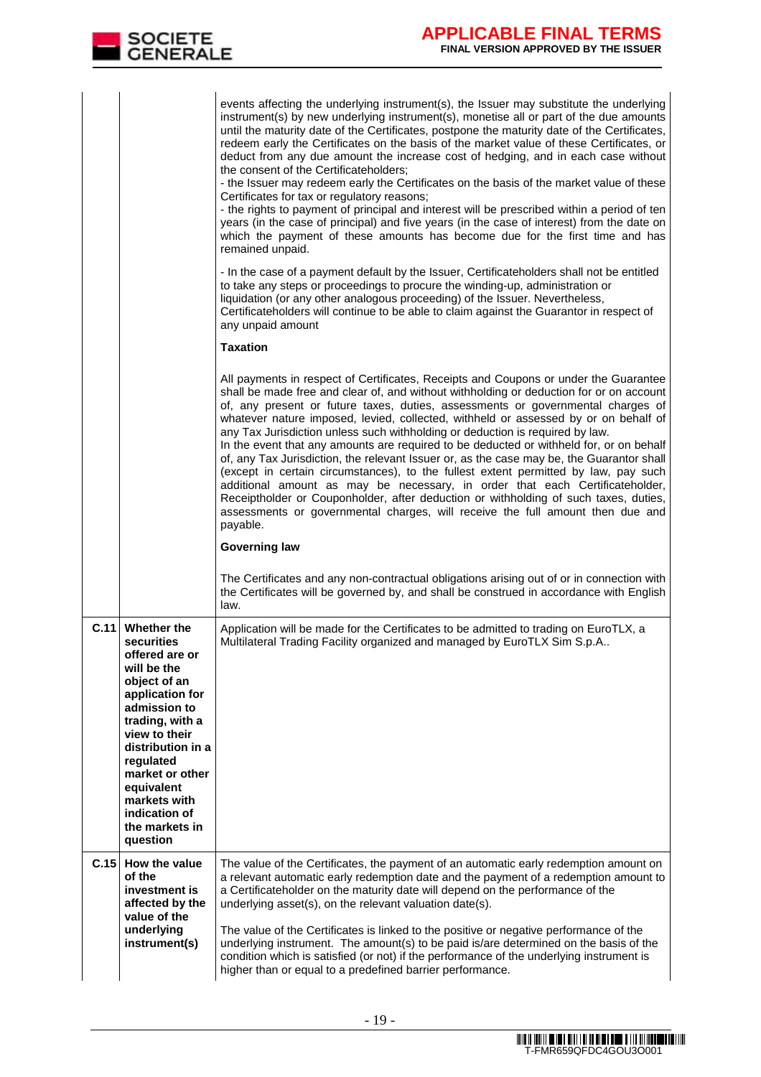|      | SOCIETE<br>GENERALE                                                                                                                                                                                                                                                                 | <b>APPLICABLE FINAL TERMS</b><br><b>FINAL VERSION APPROVED BY THE ISSUER</b>                                                                                                                                                                                                                                                                                                                                                                                                                                                                                                                                                                                                                                                                                                                                                                                                                                                                                                                                                                                                                                                                                                                                    |
|------|-------------------------------------------------------------------------------------------------------------------------------------------------------------------------------------------------------------------------------------------------------------------------------------|-----------------------------------------------------------------------------------------------------------------------------------------------------------------------------------------------------------------------------------------------------------------------------------------------------------------------------------------------------------------------------------------------------------------------------------------------------------------------------------------------------------------------------------------------------------------------------------------------------------------------------------------------------------------------------------------------------------------------------------------------------------------------------------------------------------------------------------------------------------------------------------------------------------------------------------------------------------------------------------------------------------------------------------------------------------------------------------------------------------------------------------------------------------------------------------------------------------------|
|      |                                                                                                                                                                                                                                                                                     | events affecting the underlying instrument(s), the Issuer may substitute the underlying<br>instrument(s) by new underlying instrument(s), monetise all or part of the due amounts<br>until the maturity date of the Certificates, postpone the maturity date of the Certificates,<br>redeem early the Certificates on the basis of the market value of these Certificates, or<br>deduct from any due amount the increase cost of hedging, and in each case without<br>the consent of the Certificateholders:<br>- the Issuer may redeem early the Certificates on the basis of the market value of these<br>Certificates for tax or regulatory reasons;<br>- the rights to payment of principal and interest will be prescribed within a period of ten<br>years (in the case of principal) and five years (in the case of interest) from the date on<br>which the payment of these amounts has become due for the first time and has<br>remained unpaid.                                                                                                                                                                                                                                                        |
|      |                                                                                                                                                                                                                                                                                     | - In the case of a payment default by the Issuer, Certificateholders shall not be entitled<br>to take any steps or proceedings to procure the winding-up, administration or<br>liquidation (or any other analogous proceeding) of the Issuer. Nevertheless,<br>Certificateholders will continue to be able to claim against the Guarantor in respect of<br>any unpaid amount<br><b>Taxation</b>                                                                                                                                                                                                                                                                                                                                                                                                                                                                                                                                                                                                                                                                                                                                                                                                                 |
|      |                                                                                                                                                                                                                                                                                     | All payments in respect of Certificates, Receipts and Coupons or under the Guarantee<br>shall be made free and clear of, and without withholding or deduction for or on account<br>of, any present or future taxes, duties, assessments or governmental charges of<br>whatever nature imposed, levied, collected, withheld or assessed by or on behalf of<br>any Tax Jurisdiction unless such withholding or deduction is required by law.<br>In the event that any amounts are required to be deducted or withheld for, or on behalf<br>of, any Tax Jurisdiction, the relevant Issuer or, as the case may be, the Guarantor shall<br>(except in certain circumstances), to the fullest extent permitted by law, pay such<br>additional amount as may be necessary, in order that each Certificateholder,<br>Receiptholder or Couponholder, after deduction or withholding of such taxes, duties,<br>assessments or governmental charges, will receive the full amount then due and<br>payable.<br><b>Governing law</b><br>The Certificates and any non-contractual obligations arising out of or in connection with<br>the Certificates will be governed by, and shall be construed in accordance with English |
| C.11 | Whether the<br>securities<br>offered are or<br>will be the<br>object of an<br>application for<br>admission to<br>trading, with a<br>view to their<br>distribution in a<br>regulated<br>market or other<br>equivalent<br>markets with<br>indication of<br>the markets in<br>question | law.<br>Application will be made for the Certificates to be admitted to trading on EuroTLX, a<br>Multilateral Trading Facility organized and managed by EuroTLX Sim S.p.A                                                                                                                                                                                                                                                                                                                                                                                                                                                                                                                                                                                                                                                                                                                                                                                                                                                                                                                                                                                                                                       |
| C.15 | How the value<br>of the<br>investment is<br>affected by the<br>value of the<br>underlying<br>instrument(s)                                                                                                                                                                          | The value of the Certificates, the payment of an automatic early redemption amount on<br>a relevant automatic early redemption date and the payment of a redemption amount to<br>a Certificateholder on the maturity date will depend on the performance of the<br>underlying asset(s), on the relevant valuation date(s).<br>The value of the Certificates is linked to the positive or negative performance of the<br>underlying instrument. The amount(s) to be paid is/are determined on the basis of the<br>condition which is satisfied (or not) if the performance of the underlying instrument is<br>higher than or equal to a predefined barrier performance.                                                                                                                                                                                                                                                                                                                                                                                                                                                                                                                                          |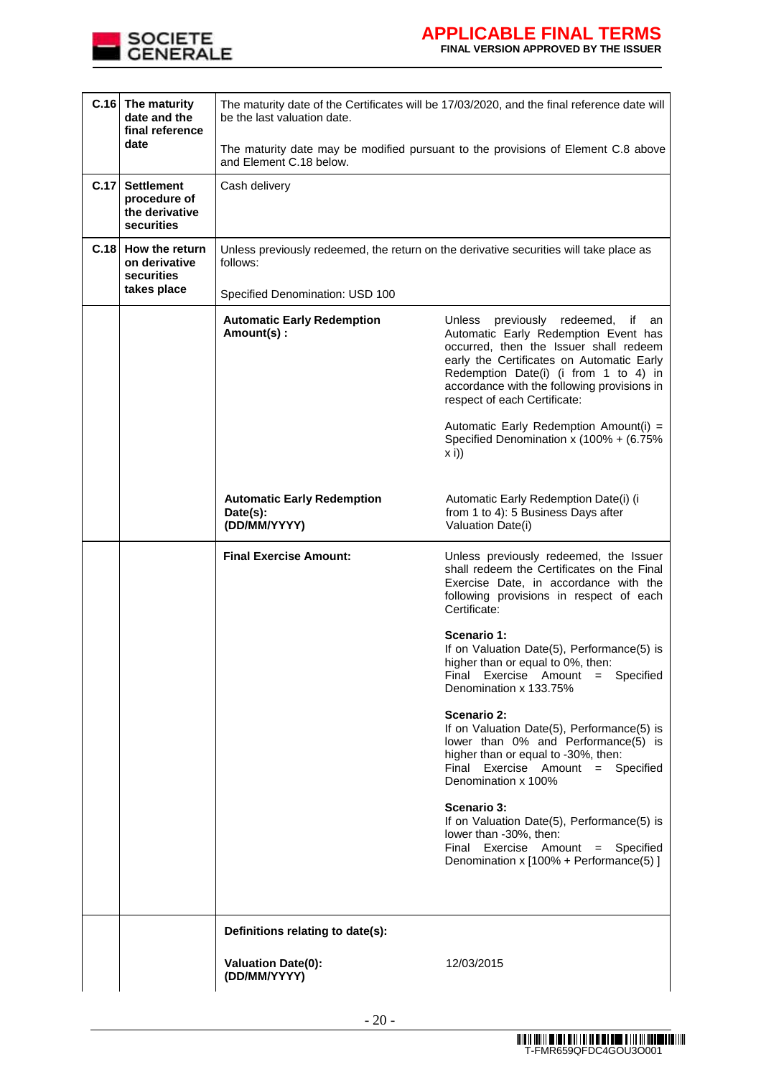

# **APPLICABLE FINAL TERMS FINAL VERSION APPROVED BY THE ISSUER**

| $C.16$ The maturity<br>date and the<br>final reference |                                                                   | The maturity date of the Certificates will be 17/03/2020, and the final reference date will<br>be the last valuation date. |                                                                                                                                                                                                                                                                                                                                                                                        |  |  |  |
|--------------------------------------------------------|-------------------------------------------------------------------|----------------------------------------------------------------------------------------------------------------------------|----------------------------------------------------------------------------------------------------------------------------------------------------------------------------------------------------------------------------------------------------------------------------------------------------------------------------------------------------------------------------------------|--|--|--|
|                                                        | date                                                              | The maturity date may be modified pursuant to the provisions of Element C.8 above<br>and Element C.18 below.               |                                                                                                                                                                                                                                                                                                                                                                                        |  |  |  |
| C.17                                                   | <b>Settlement</b><br>procedure of<br>the derivative<br>securities | Cash delivery                                                                                                              |                                                                                                                                                                                                                                                                                                                                                                                        |  |  |  |
|                                                        | C.18 How the return<br>on derivative<br>securities                | Unless previously redeemed, the return on the derivative securities will take place as<br>follows:                         |                                                                                                                                                                                                                                                                                                                                                                                        |  |  |  |
|                                                        | takes place                                                       | Specified Denomination: USD 100                                                                                            |                                                                                                                                                                                                                                                                                                                                                                                        |  |  |  |
|                                                        |                                                                   | <b>Automatic Early Redemption</b><br>Amount(s):                                                                            | Unless<br>previously redeemed,<br>if<br>an<br>Automatic Early Redemption Event has<br>occurred, then the Issuer shall redeem<br>early the Certificates on Automatic Early<br>Redemption Date(i) (i from 1 to 4) in<br>accordance with the following provisions in<br>respect of each Certificate:<br>Automatic Early Redemption Amount(i) =<br>Specified Denomination x (100% + (6.75% |  |  |  |
|                                                        |                                                                   |                                                                                                                            | $x$ i))                                                                                                                                                                                                                                                                                                                                                                                |  |  |  |
|                                                        |                                                                   | <b>Automatic Early Redemption</b><br>Date(s):<br>(DD/MM/YYYY)                                                              | Automatic Early Redemption Date(i) (i<br>from 1 to 4): 5 Business Days after<br>Valuation Date(i)                                                                                                                                                                                                                                                                                      |  |  |  |
|                                                        |                                                                   | <b>Final Exercise Amount:</b>                                                                                              | Unless previously redeemed, the Issuer<br>shall redeem the Certificates on the Final<br>Exercise Date, in accordance with the<br>following provisions in respect of each<br>Certificate:                                                                                                                                                                                               |  |  |  |
|                                                        |                                                                   |                                                                                                                            | Scenario 1:<br>If on Valuation Date(5), Performance(5) is<br>higher than or equal to 0%, then:<br>Final Exercise Amount = Specified<br>Denomination x 133.75%                                                                                                                                                                                                                          |  |  |  |
|                                                        |                                                                   |                                                                                                                            | Scenario 2:<br>If on Valuation Date(5), Performance(5) is<br>lower than 0% and Performance(5) is<br>higher than or equal to -30%, then:<br>Final Exercise Amount = Specified<br>Denomination x 100%                                                                                                                                                                                    |  |  |  |
|                                                        |                                                                   |                                                                                                                            | Scenario 3:<br>If on Valuation Date(5), Performance(5) is<br>lower than -30%, then:<br>Final Exercise Amount = Specified<br>Denomination x [100% + Performance(5)]                                                                                                                                                                                                                     |  |  |  |
|                                                        |                                                                   |                                                                                                                            |                                                                                                                                                                                                                                                                                                                                                                                        |  |  |  |
|                                                        |                                                                   | Definitions relating to date(s):                                                                                           |                                                                                                                                                                                                                                                                                                                                                                                        |  |  |  |
|                                                        |                                                                   | <b>Valuation Date(0):</b><br>(DD/MM/YYYY)                                                                                  | 12/03/2015                                                                                                                                                                                                                                                                                                                                                                             |  |  |  |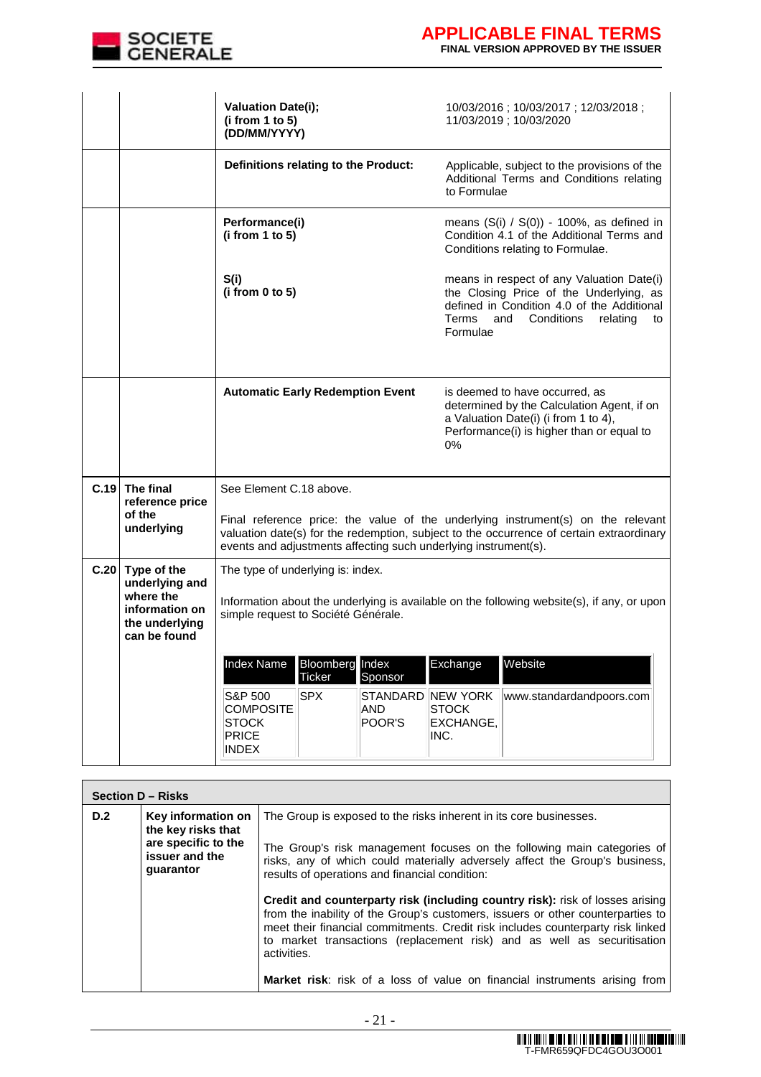

.

|      |                                                               | <b>Valuation Date(i);</b><br>(i from 1 to 5)<br>(DD/MM/YYYY)                                                                      | 10/03/2016; 10/03/2017; 12/03/2018;<br>11/03/2019; 10/03/2020                                                                                                                                         |  |  |
|------|---------------------------------------------------------------|-----------------------------------------------------------------------------------------------------------------------------------|-------------------------------------------------------------------------------------------------------------------------------------------------------------------------------------------------------|--|--|
|      |                                                               | Definitions relating to the Product:                                                                                              | Applicable, subject to the provisions of the<br>Additional Terms and Conditions relating<br>to Formulae                                                                                               |  |  |
|      |                                                               | Performance(i)<br>(i from 1 to 5)                                                                                                 | means $(S(i) / S(0)) - 100\%$ , as defined in<br>Condition 4.1 of the Additional Terms and<br>Conditions relating to Formulae.                                                                        |  |  |
|      |                                                               | S(i)<br>(i from 0 to 5)                                                                                                           | means in respect of any Valuation Date(i)<br>the Closing Price of the Underlying, as<br>defined in Condition 4.0 of the Additional<br><b>Terms</b><br>and<br>Conditions<br>relating<br>to<br>Formulae |  |  |
|      |                                                               | <b>Automatic Early Redemption Event</b>                                                                                           | is deemed to have occurred, as<br>determined by the Calculation Agent, if on<br>a Valuation Date(i) (i from 1 to 4),<br>Performance(i) is higher than or equal to<br>0%                               |  |  |
| C.19 | The final<br>reference price                                  | See Element C.18 above.                                                                                                           |                                                                                                                                                                                                       |  |  |
|      | of the<br>underlying                                          | events and adjustments affecting such underlying instrument(s).                                                                   | Final reference price: the value of the underlying instrument(s) on the relevant<br>valuation date(s) for the redemption, subject to the occurrence of certain extraordinary                          |  |  |
|      | $C.20$ Type of the<br>underlying and                          | The type of underlying is: index.                                                                                                 |                                                                                                                                                                                                       |  |  |
|      | where the<br>information on<br>the underlying<br>can be found | Information about the underlying is available on the following website(s), if any, or upon<br>simple request to Société Générale. |                                                                                                                                                                                                       |  |  |
|      |                                                               | Index Name<br><b>Bloomberg</b> Index<br>Ticker<br>Sponsor                                                                         | Exchange<br>Website                                                                                                                                                                                   |  |  |
|      |                                                               | S&P 500<br><b>SPX</b><br><b>COMPOSITE</b><br>AND<br>POOR'S<br><b>STOCK</b><br><b>PRICE</b><br><b>INDEX</b>                        | STANDARD NEW YORK<br>www.standardandpoors.com<br><b>STOCK</b><br>EXCHANGE,<br>INC.                                                                                                                    |  |  |

|                                                                                                       | Section D - Risks |                                                                                                                                                                                                                                                                                                                                                                                                                                    |  |  |  |  |
|-------------------------------------------------------------------------------------------------------|-------------------|------------------------------------------------------------------------------------------------------------------------------------------------------------------------------------------------------------------------------------------------------------------------------------------------------------------------------------------------------------------------------------------------------------------------------------|--|--|--|--|
| D.2<br>Key information on<br>the key risks that<br>are specific to the<br>issuer and the<br>guarantor |                   | The Group is exposed to the risks inherent in its core businesses.<br>The Group's risk management focuses on the following main categories of<br>risks, any of which could materially adversely affect the Group's business,<br>results of operations and financial condition:                                                                                                                                                     |  |  |  |  |
|                                                                                                       |                   | <b>Credit and counterparty risk (including country risk):</b> risk of losses arising<br>from the inability of the Group's customers, issuers or other counterparties to<br>meet their financial commitments. Credit risk includes counterparty risk linked<br>to market transactions (replacement risk) and as well as securitisation<br>activities.<br>Market risk: risk of a loss of value on financial instruments arising from |  |  |  |  |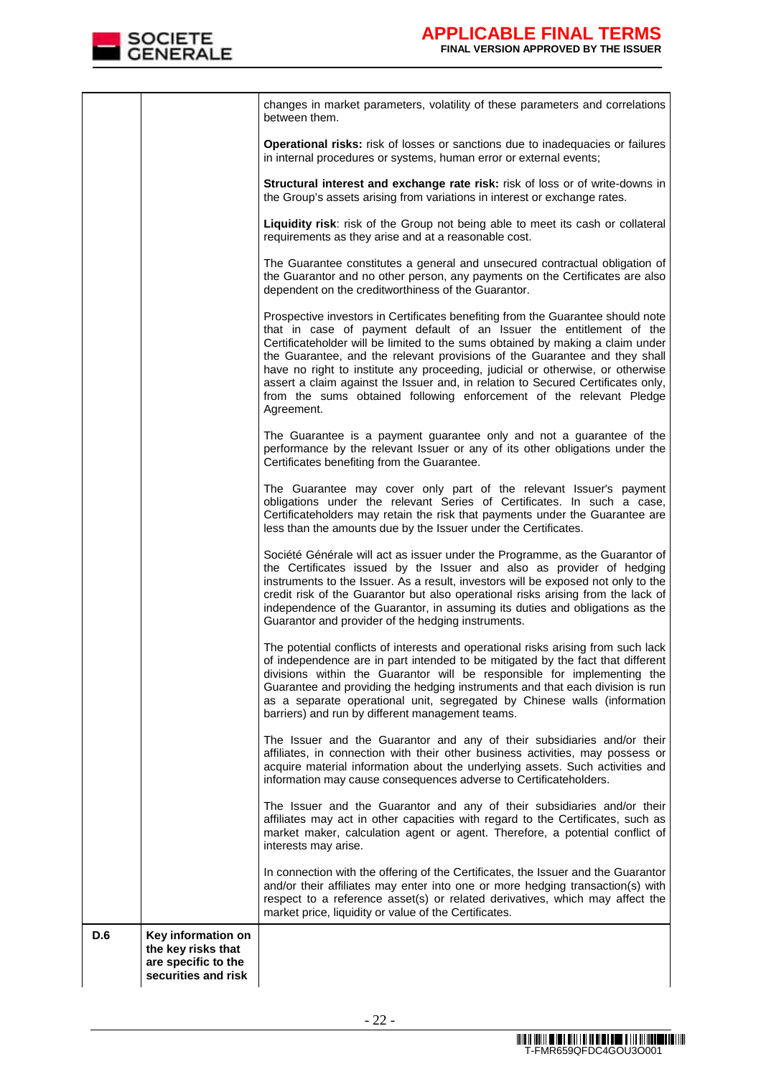

| D.6 | Key information on<br>the key risks that<br>are specific to the<br>securities and risk |                                                                                                                                                                                                                                                                                                                                                                                                                                                                                                                                                                                   |
|-----|----------------------------------------------------------------------------------------|-----------------------------------------------------------------------------------------------------------------------------------------------------------------------------------------------------------------------------------------------------------------------------------------------------------------------------------------------------------------------------------------------------------------------------------------------------------------------------------------------------------------------------------------------------------------------------------|
|     |                                                                                        | In connection with the offering of the Certificates, the Issuer and the Guarantor<br>and/or their affiliates may enter into one or more hedging transaction(s) with<br>respect to a reference asset(s) or related derivatives, which may affect the<br>market price, liquidity or value of the Certificates.                                                                                                                                                                                                                                                                      |
|     |                                                                                        | The Issuer and the Guarantor and any of their subsidiaries and/or their<br>affiliates may act in other capacities with regard to the Certificates, such as<br>market maker, calculation agent or agent. Therefore, a potential conflict of<br>interests may arise.                                                                                                                                                                                                                                                                                                                |
|     |                                                                                        | The Issuer and the Guarantor and any of their subsidiaries and/or their<br>affiliates, in connection with their other business activities, may possess or<br>acquire material information about the underlying assets. Such activities and<br>information may cause consequences adverse to Certificateholders.                                                                                                                                                                                                                                                                   |
|     |                                                                                        | The potential conflicts of interests and operational risks arising from such lack<br>of independence are in part intended to be mitigated by the fact that different<br>divisions within the Guarantor will be responsible for implementing the<br>Guarantee and providing the hedging instruments and that each division is run<br>as a separate operational unit, segregated by Chinese walls (information<br>barriers) and run by different management teams.                                                                                                                  |
|     |                                                                                        | Société Générale will act as issuer under the Programme, as the Guarantor of<br>the Certificates issued by the Issuer and also as provider of hedging<br>instruments to the Issuer. As a result, investors will be exposed not only to the<br>credit risk of the Guarantor but also operational risks arising from the lack of<br>independence of the Guarantor, in assuming its duties and obligations as the<br>Guarantor and provider of the hedging instruments.                                                                                                              |
|     |                                                                                        | The Guarantee may cover only part of the relevant Issuer's payment<br>obligations under the relevant Series of Certificates. In such a case,<br>Certificateholders may retain the risk that payments under the Guarantee are<br>less than the amounts due by the Issuer under the Certificates.                                                                                                                                                                                                                                                                                   |
|     |                                                                                        | The Guarantee is a payment guarantee only and not a guarantee of the<br>performance by the relevant Issuer or any of its other obligations under the<br>Certificates benefiting from the Guarantee.                                                                                                                                                                                                                                                                                                                                                                               |
|     |                                                                                        | Prospective investors in Certificates benefiting from the Guarantee should note<br>that in case of payment default of an Issuer the entitlement of the<br>Certificateholder will be limited to the sums obtained by making a claim under<br>the Guarantee, and the relevant provisions of the Guarantee and they shall<br>have no right to institute any proceeding, judicial or otherwise, or otherwise<br>assert a claim against the Issuer and, in relation to Secured Certificates only,<br>from the sums obtained following enforcement of the relevant Pledge<br>Agreement. |
|     |                                                                                        | The Guarantee constitutes a general and unsecured contractual obligation of<br>the Guarantor and no other person, any payments on the Certificates are also<br>dependent on the creditworthiness of the Guarantor.                                                                                                                                                                                                                                                                                                                                                                |
|     |                                                                                        | Liquidity risk: risk of the Group not being able to meet its cash or collateral<br>requirements as they arise and at a reasonable cost.                                                                                                                                                                                                                                                                                                                                                                                                                                           |
|     |                                                                                        | Structural interest and exchange rate risk: risk of loss or of write-downs in<br>the Group's assets arising from variations in interest or exchange rates.                                                                                                                                                                                                                                                                                                                                                                                                                        |
|     |                                                                                        | Operational risks: risk of losses or sanctions due to inadequacies or failures<br>in internal procedures or systems, human error or external events;                                                                                                                                                                                                                                                                                                                                                                                                                              |
|     |                                                                                        | changes in market parameters, volatility of these parameters and correlations<br>between them.                                                                                                                                                                                                                                                                                                                                                                                                                                                                                    |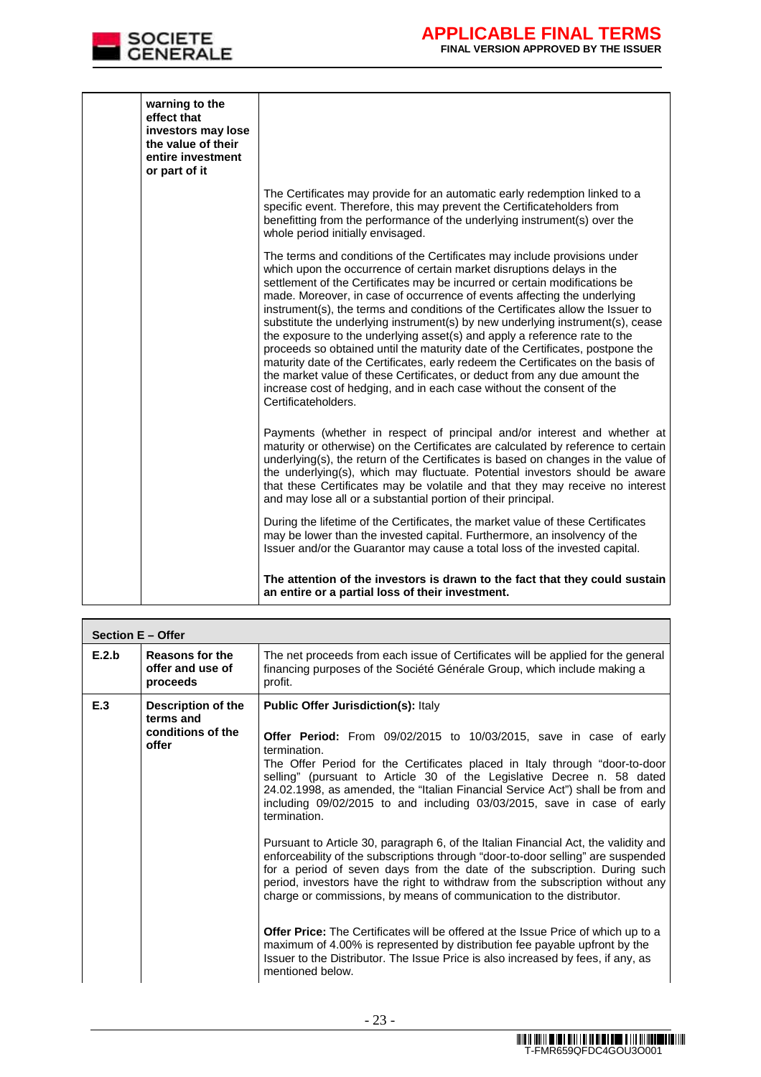

| effect that<br>or part of it | warning to the<br>investors may lose<br>the value of their<br>entire investment |                                                                                                                                                                                                                                                                                                                                                                                                                                                                                                                                                                                                                                                                                                                                                                                                                                                                                                                   |
|------------------------------|---------------------------------------------------------------------------------|-------------------------------------------------------------------------------------------------------------------------------------------------------------------------------------------------------------------------------------------------------------------------------------------------------------------------------------------------------------------------------------------------------------------------------------------------------------------------------------------------------------------------------------------------------------------------------------------------------------------------------------------------------------------------------------------------------------------------------------------------------------------------------------------------------------------------------------------------------------------------------------------------------------------|
|                              |                                                                                 | The Certificates may provide for an automatic early redemption linked to a<br>specific event. Therefore, this may prevent the Certificateholders from<br>benefitting from the performance of the underlying instrument(s) over the<br>whole period initially envisaged.                                                                                                                                                                                                                                                                                                                                                                                                                                                                                                                                                                                                                                           |
|                              |                                                                                 | The terms and conditions of the Certificates may include provisions under<br>which upon the occurrence of certain market disruptions delays in the<br>settlement of the Certificates may be incurred or certain modifications be<br>made. Moreover, in case of occurrence of events affecting the underlying<br>instrument(s), the terms and conditions of the Certificates allow the Issuer to<br>substitute the underlying instrument(s) by new underlying instrument(s), cease<br>the exposure to the underlying asset(s) and apply a reference rate to the<br>proceeds so obtained until the maturity date of the Certificates, postpone the<br>maturity date of the Certificates, early redeem the Certificates on the basis of<br>the market value of these Certificates, or deduct from any due amount the<br>increase cost of hedging, and in each case without the consent of the<br>Certificateholders. |
|                              |                                                                                 | Payments (whether in respect of principal and/or interest and whether at<br>maturity or otherwise) on the Certificates are calculated by reference to certain<br>underlying(s), the return of the Certificates is based on changes in the value of<br>the underlying(s), which may fluctuate. Potential investors should be aware<br>that these Certificates may be volatile and that they may receive no interest<br>and may lose all or a substantial portion of their principal.                                                                                                                                                                                                                                                                                                                                                                                                                               |
|                              |                                                                                 | During the lifetime of the Certificates, the market value of these Certificates<br>may be lower than the invested capital. Furthermore, an insolvency of the<br>Issuer and/or the Guarantor may cause a total loss of the invested capital.                                                                                                                                                                                                                                                                                                                                                                                                                                                                                                                                                                                                                                                                       |
|                              |                                                                                 | The attention of the investors is drawn to the fact that they could sustain<br>an entire or a partial loss of their investment.                                                                                                                                                                                                                                                                                                                                                                                                                                                                                                                                                                                                                                                                                                                                                                                   |

|       | Section E - Offer                                             |                                                                                                                                                                                                                                                                                                                                                                                                                                                                                                                                                                                                                                                                                                                                                                                                                                                                                                                                                                                                                                                                                                                                                                            |  |  |  |
|-------|---------------------------------------------------------------|----------------------------------------------------------------------------------------------------------------------------------------------------------------------------------------------------------------------------------------------------------------------------------------------------------------------------------------------------------------------------------------------------------------------------------------------------------------------------------------------------------------------------------------------------------------------------------------------------------------------------------------------------------------------------------------------------------------------------------------------------------------------------------------------------------------------------------------------------------------------------------------------------------------------------------------------------------------------------------------------------------------------------------------------------------------------------------------------------------------------------------------------------------------------------|--|--|--|
| E.2.b | Reasons for the<br>offer and use of<br>proceeds               | The net proceeds from each issue of Certificates will be applied for the general<br>financing purposes of the Société Générale Group, which include making a<br>profit.                                                                                                                                                                                                                                                                                                                                                                                                                                                                                                                                                                                                                                                                                                                                                                                                                                                                                                                                                                                                    |  |  |  |
| E.3   | Description of the<br>terms and<br>conditions of the<br>offer | <b>Public Offer Jurisdiction(s): Italy</b><br>Offer Period: From 09/02/2015 to 10/03/2015, save in case of early<br>termination.<br>The Offer Period for the Certificates placed in Italy through "door-to-door<br>selling" (pursuant to Article 30 of the Legislative Decree n. 58 dated<br>24.02.1998, as amended, the "Italian Financial Service Act") shall be from and<br>including 09/02/2015 to and including 03/03/2015, save in case of early<br>termination.<br>Pursuant to Article 30, paragraph 6, of the Italian Financial Act, the validity and<br>enforceability of the subscriptions through "door-to-door selling" are suspended<br>for a period of seven days from the date of the subscription. During such<br>period, investors have the right to withdraw from the subscription without any<br>charge or commissions, by means of communication to the distributor.<br><b>Offer Price:</b> The Certificates will be offered at the Issue Price of which up to a<br>maximum of 4.00% is represented by distribution fee payable upfront by the<br>Issuer to the Distributor. The Issue Price is also increased by fees, if any, as<br>mentioned below. |  |  |  |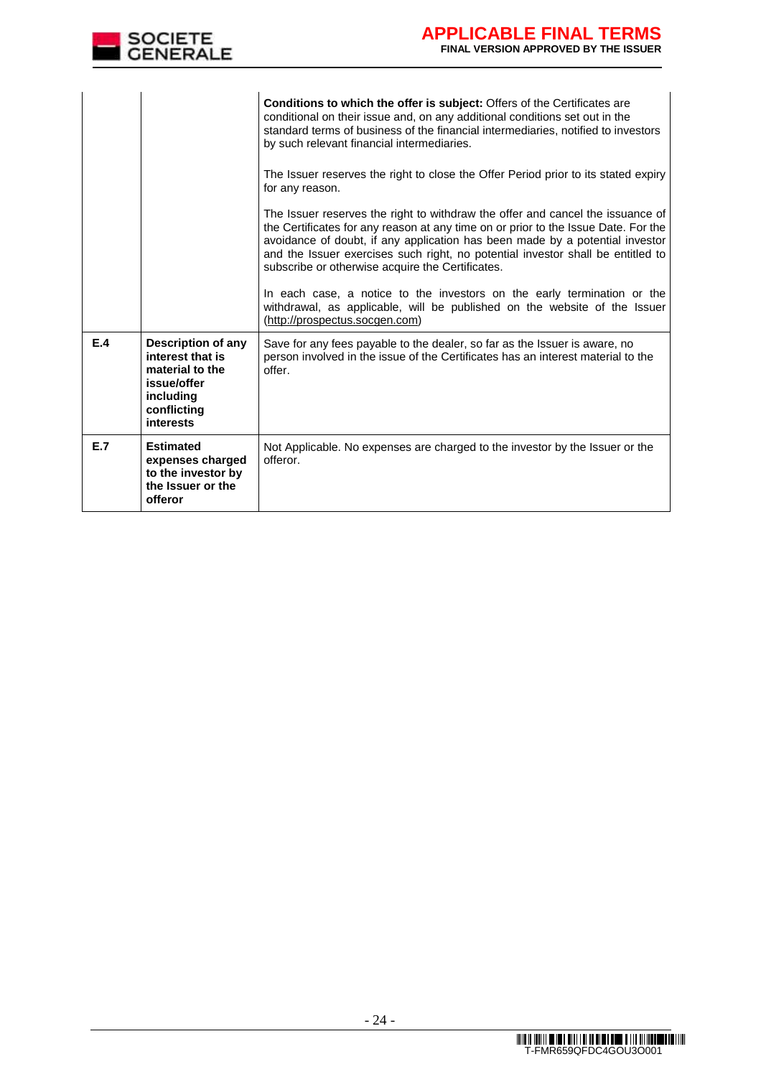

|     |                                                                                                                   | <b>Conditions to which the offer is subject:</b> Offers of the Certificates are<br>conditional on their issue and, on any additional conditions set out in the<br>standard terms of business of the financial intermediaries, notified to investors<br>by such relevant financial intermediaries.                                                                                           |
|-----|-------------------------------------------------------------------------------------------------------------------|---------------------------------------------------------------------------------------------------------------------------------------------------------------------------------------------------------------------------------------------------------------------------------------------------------------------------------------------------------------------------------------------|
|     |                                                                                                                   | The Issuer reserves the right to close the Offer Period prior to its stated expiry<br>for any reason.                                                                                                                                                                                                                                                                                       |
|     |                                                                                                                   | The Issuer reserves the right to withdraw the offer and cancel the issuance of<br>the Certificates for any reason at any time on or prior to the Issue Date. For the<br>avoidance of doubt, if any application has been made by a potential investor<br>and the Issuer exercises such right, no potential investor shall be entitled to<br>subscribe or otherwise acquire the Certificates. |
|     |                                                                                                                   | In each case, a notice to the investors on the early termination or the<br>withdrawal, as applicable, will be published on the website of the Issuer<br>(http://prospectus.socgen.com)                                                                                                                                                                                                      |
| E.4 | Description of any<br>interest that is<br>material to the<br>issue/offer<br>including<br>conflicting<br>interests | Save for any fees payable to the dealer, so far as the Issuer is aware, no<br>person involved in the issue of the Certificates has an interest material to the<br>offer.                                                                                                                                                                                                                    |
| E.7 | <b>Estimated</b><br>expenses charged<br>to the investor by<br>the Issuer or the<br>offeror                        | Not Applicable. No expenses are charged to the investor by the Issuer or the<br>offeror.                                                                                                                                                                                                                                                                                                    |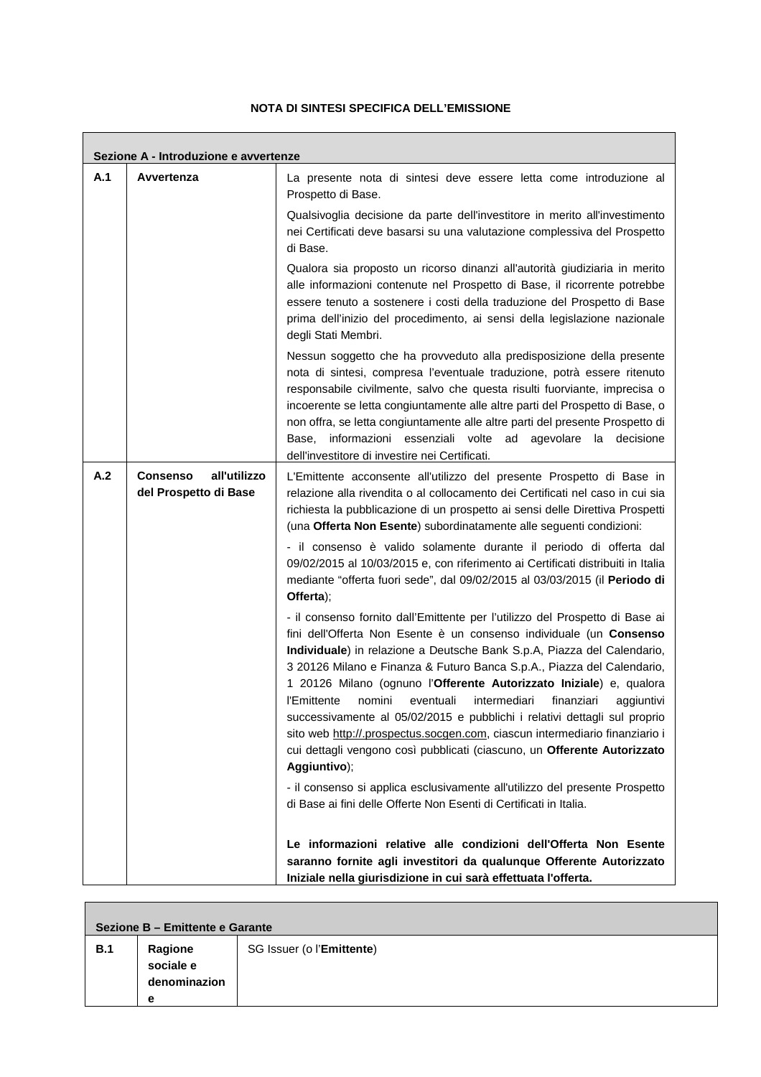# **NOTA DI SINTESI SPECIFICA DELL'EMISSIONE**

 $\mathsf{r}$ 

and the control of the control of the control of

|     | Sezione A - Introduzione e avvertenze                    |                                                                                                                                                                                                                                                                                                                                                                                                                                                                                                                                                                                                                                                                                                                           |
|-----|----------------------------------------------------------|---------------------------------------------------------------------------------------------------------------------------------------------------------------------------------------------------------------------------------------------------------------------------------------------------------------------------------------------------------------------------------------------------------------------------------------------------------------------------------------------------------------------------------------------------------------------------------------------------------------------------------------------------------------------------------------------------------------------------|
| A.1 | Avvertenza                                               | La presente nota di sintesi deve essere letta come introduzione al<br>Prospetto di Base.                                                                                                                                                                                                                                                                                                                                                                                                                                                                                                                                                                                                                                  |
|     |                                                          | Qualsivoglia decisione da parte dell'investitore in merito all'investimento<br>nei Certificati deve basarsi su una valutazione complessiva del Prospetto<br>di Base.                                                                                                                                                                                                                                                                                                                                                                                                                                                                                                                                                      |
|     |                                                          | Qualora sia proposto un ricorso dinanzi all'autorità giudiziaria in merito<br>alle informazioni contenute nel Prospetto di Base, il ricorrente potrebbe<br>essere tenuto a sostenere i costi della traduzione del Prospetto di Base<br>prima dell'inizio del procedimento, ai sensi della legislazione nazionale<br>degli Stati Membri.                                                                                                                                                                                                                                                                                                                                                                                   |
|     |                                                          | Nessun soggetto che ha provveduto alla predisposizione della presente<br>nota di sintesi, compresa l'eventuale traduzione, potrà essere ritenuto<br>responsabile civilmente, salvo che questa risulti fuorviante, imprecisa o<br>incoerente se letta congiuntamente alle altre parti del Prospetto di Base, o<br>non offra, se letta congiuntamente alle altre parti del presente Prospetto di<br>Base, informazioni essenziali volte ad agevolare la decisione<br>dell'investitore di investire nei Certificati.                                                                                                                                                                                                         |
| A.2 | all'utilizzo<br><b>Consenso</b><br>del Prospetto di Base | L'Emittente acconsente all'utilizzo del presente Prospetto di Base in<br>relazione alla rivendita o al collocamento dei Certificati nel caso in cui sia<br>richiesta la pubblicazione di un prospetto ai sensi delle Direttiva Prospetti<br>(una Offerta Non Esente) subordinatamente alle seguenti condizioni:                                                                                                                                                                                                                                                                                                                                                                                                           |
|     |                                                          | - il consenso è valido solamente durante il periodo di offerta dal<br>09/02/2015 al 10/03/2015 e, con riferimento ai Certificati distribuiti in Italia<br>mediante "offerta fuori sede", dal 09/02/2015 al 03/03/2015 (il Periodo di<br>Offerta);                                                                                                                                                                                                                                                                                                                                                                                                                                                                         |
|     |                                                          | - il consenso fornito dall'Emittente per l'utilizzo del Prospetto di Base ai<br>fini dell'Offerta Non Esente è un consenso individuale (un Consenso<br>Individuale) in relazione a Deutsche Bank S.p.A, Piazza del Calendario,<br>3 20126 Milano e Finanza & Futuro Banca S.p.A., Piazza del Calendario,<br>1 20126 Milano (ognuno l'Offerente Autorizzato Iniziale) e, qualora<br>l'Emittente<br>nomini<br>intermediari<br>finanziari<br>eventuali<br>aggiuntivi<br>successivamente al 05/02/2015 e pubblichi i relativi dettagli sul proprio<br>sito web http://.prospectus.socgen.com, ciascun intermediario finanziario i<br>cui dettagli vengono così pubblicati (ciascuno, un Offerente Autorizzato<br>Aggiuntivo); |
|     |                                                          | - il consenso si applica esclusivamente all'utilizzo del presente Prospetto<br>di Base ai fini delle Offerte Non Esenti di Certificati in Italia.                                                                                                                                                                                                                                                                                                                                                                                                                                                                                                                                                                         |
|     |                                                          | Le informazioni relative alle condizioni dell'Offerta Non Esente<br>saranno fornite agli investitori da qualunque Offerente Autorizzato<br>Iniziale nella giurisdizione in cui sarà effettuata l'offerta.                                                                                                                                                                                                                                                                                                                                                                                                                                                                                                                 |

|     | Sezione B - Emittente e Garante           |                           |  |  |  |
|-----|-------------------------------------------|---------------------------|--|--|--|
| B.1 | Ragione<br>sociale e<br>denominazion<br>е | SG Issuer (o l'Emittente) |  |  |  |

٦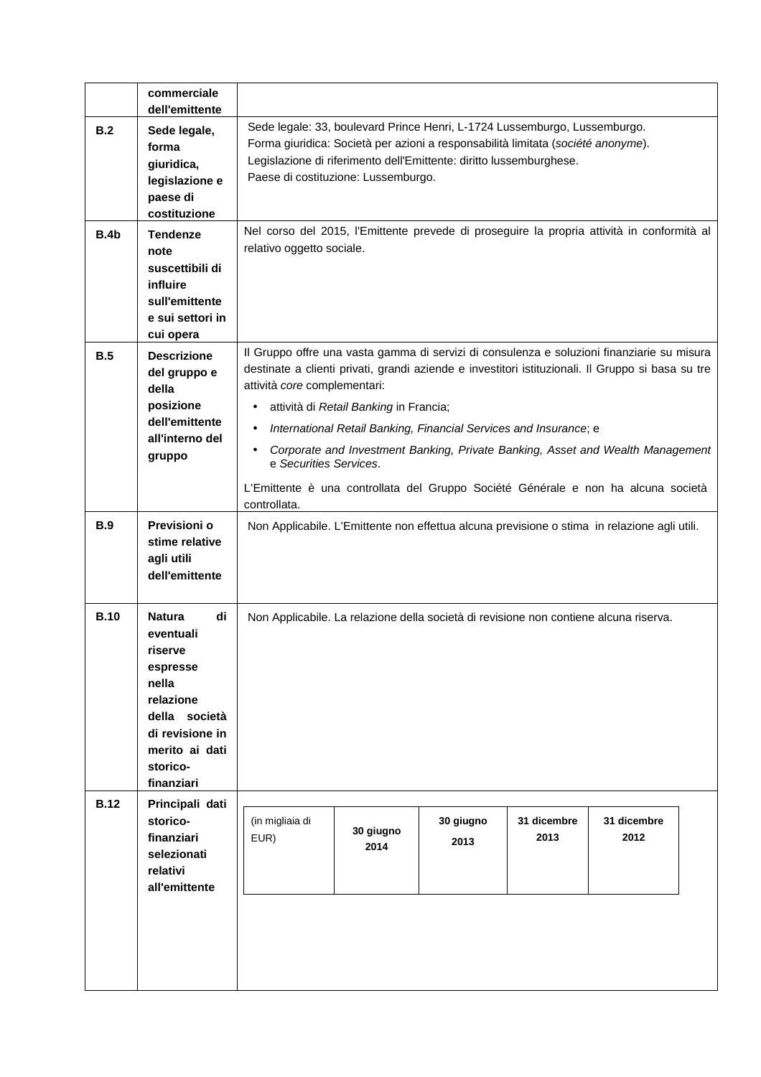|             | commerciale<br>dell'emittente                                                                                                                          |                                                                                                                                                                                                                                                                                                                                                                                                                                                                                                                                                      |                   |                   |                     |                     |  |
|-------------|--------------------------------------------------------------------------------------------------------------------------------------------------------|------------------------------------------------------------------------------------------------------------------------------------------------------------------------------------------------------------------------------------------------------------------------------------------------------------------------------------------------------------------------------------------------------------------------------------------------------------------------------------------------------------------------------------------------------|-------------------|-------------------|---------------------|---------------------|--|
| B.2         | Sede legale,<br>forma<br>giuridica,<br>legislazione e<br>paese di<br>costituzione                                                                      | Sede legale: 33, boulevard Prince Henri, L-1724 Lussemburgo, Lussemburgo.<br>Forma giuridica: Società per azioni a responsabilità limitata (société anonyme).<br>Legislazione di riferimento dell'Emittente: diritto lussemburghese.<br>Paese di costituzione: Lussemburgo.                                                                                                                                                                                                                                                                          |                   |                   |                     |                     |  |
| <b>B.4b</b> | <b>Tendenze</b><br>note<br>suscettibili di<br>influire<br>sull'emittente<br>e sui settori in<br>cui opera                                              | Nel corso del 2015, l'Emittente prevede di proseguire la propria attività in conformità al<br>relativo oggetto sociale.                                                                                                                                                                                                                                                                                                                                                                                                                              |                   |                   |                     |                     |  |
| B.5         | <b>Descrizione</b><br>del gruppo e<br>della<br>posizione<br>dell'emittente<br>all'interno del<br>gruppo                                                | Il Gruppo offre una vasta gamma di servizi di consulenza e soluzioni finanziarie su misura<br>destinate a clienti privati, grandi aziende e investitori istituzionali. Il Gruppo si basa su tre<br>attività core complementari:<br>attività di Retail Banking in Francia;<br>٠<br>International Retail Banking, Financial Services and Insurance; e<br>Corporate and Investment Banking, Private Banking, Asset and Wealth Management<br>e Securities Services.<br>L'Emittente è una controllata del Gruppo Société Générale e non ha alcuna società |                   |                   |                     |                     |  |
| <b>B.9</b>  | Previsioni o<br>stime relative<br>agli utili<br>dell'emittente                                                                                         | controllata.<br>Non Applicabile. L'Emittente non effettua alcuna previsione o stima in relazione agli utili.                                                                                                                                                                                                                                                                                                                                                                                                                                         |                   |                   |                     |                     |  |
| <b>B.10</b> | di<br>Natura<br>eventuali<br>riserve<br>espresse<br>nella<br>relazione<br>della società<br>di revisione in<br>merito ai dati<br>storico-<br>finanziari | Non Applicabile. La relazione della società di revisione non contiene alcuna riserva.                                                                                                                                                                                                                                                                                                                                                                                                                                                                |                   |                   |                     |                     |  |
| <b>B.12</b> | Principali dati<br>storico-<br>finanziari<br>selezionati<br>relativi<br>all'emittente                                                                  | (in migliaia di<br>EUR)                                                                                                                                                                                                                                                                                                                                                                                                                                                                                                                              | 30 giugno<br>2014 | 30 giugno<br>2013 | 31 dicembre<br>2013 | 31 dicembre<br>2012 |  |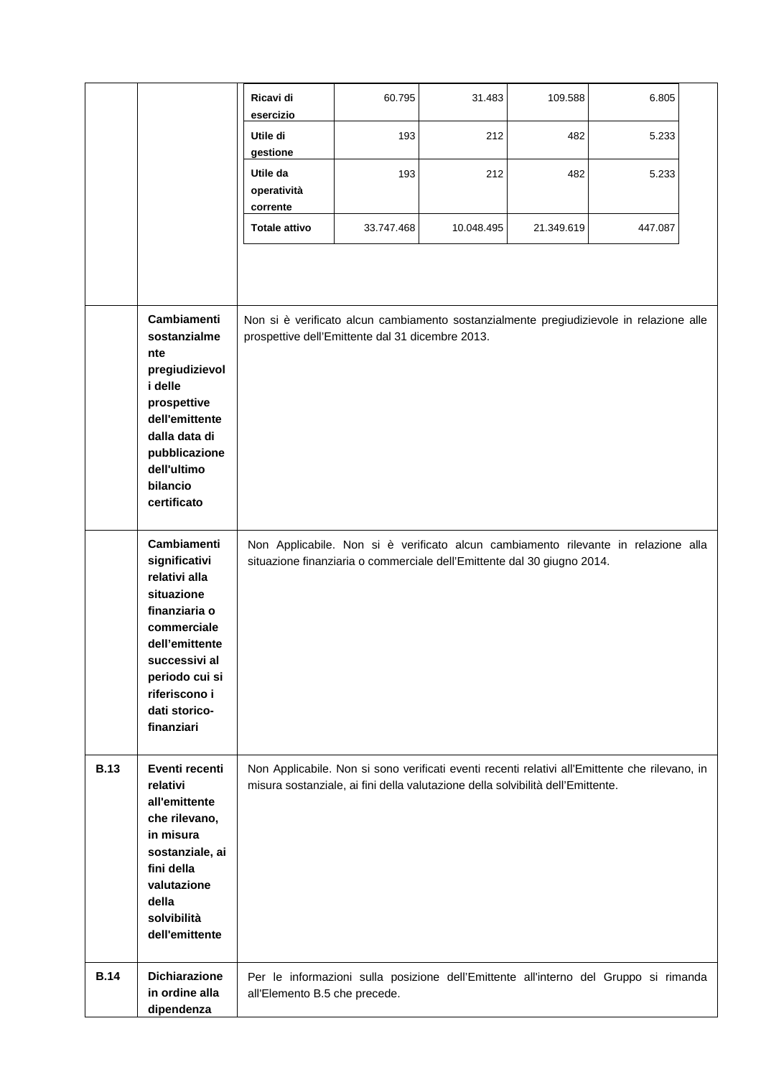|             |                                                                                                                                                                                                  | Ricavi di<br>esercizio                                                                                                                      | 60.795     | 31.483                                                                          | 109.588    | 6.805                                                                                          |  |
|-------------|--------------------------------------------------------------------------------------------------------------------------------------------------------------------------------------------------|---------------------------------------------------------------------------------------------------------------------------------------------|------------|---------------------------------------------------------------------------------|------------|------------------------------------------------------------------------------------------------|--|
|             |                                                                                                                                                                                                  | Utile di<br>gestione                                                                                                                        | 193        | 212                                                                             | 482        | 5.233                                                                                          |  |
|             |                                                                                                                                                                                                  | Utile da<br>operatività<br>corrente                                                                                                         | 193        | 212                                                                             | 482        | 5.233                                                                                          |  |
|             |                                                                                                                                                                                                  | <b>Totale attivo</b>                                                                                                                        | 33.747.468 | 10.048.495                                                                      | 21.349.619 | 447.087                                                                                        |  |
|             |                                                                                                                                                                                                  |                                                                                                                                             |            |                                                                                 |            |                                                                                                |  |
|             | Cambiamenti<br>sostanzialme<br>nte<br>pregiudizievol<br>i delle<br>prospettive<br>dell'emittente<br>dalla data di<br>pubblicazione                                                               | Non si è verificato alcun cambiamento sostanzialmente pregiudizievole in relazione alle<br>prospettive dell'Emittente dal 31 dicembre 2013. |            |                                                                                 |            |                                                                                                |  |
|             | dell'ultimo<br>bilancio<br>certificato                                                                                                                                                           |                                                                                                                                             |            |                                                                                 |            |                                                                                                |  |
|             | Cambiamenti<br>significativi<br>relativi alla<br>situazione<br>finanziaria o<br>commerciale<br>dell'emittente<br>successivi al<br>periodo cui si<br>riferiscono i<br>dati storico-<br>finanziari |                                                                                                                                             |            | situazione finanziaria o commerciale dell'Emittente dal 30 giugno 2014.         |            | Non Applicabile. Non si è verificato alcun cambiamento rilevante in relazione alla             |  |
| <b>B.13</b> | Eventi recenti<br>relativi<br>all'emittente<br>che rilevano,<br>in misura<br>sostanziale, ai<br>fini della<br>valutazione<br>della<br>solvibilità<br>dell'emittente                              |                                                                                                                                             |            | misura sostanziale, ai fini della valutazione della solvibilità dell'Emittente. |            | Non Applicabile. Non si sono verificati eventi recenti relativi all'Emittente che rilevano, in |  |
| <b>B.14</b> | <b>Dichiarazione</b><br>in ordine alla<br>dipendenza                                                                                                                                             | all'Elemento B.5 che precede.                                                                                                               |            |                                                                                 |            | Per le informazioni sulla posizione dell'Emittente all'interno del Gruppo si rimanda           |  |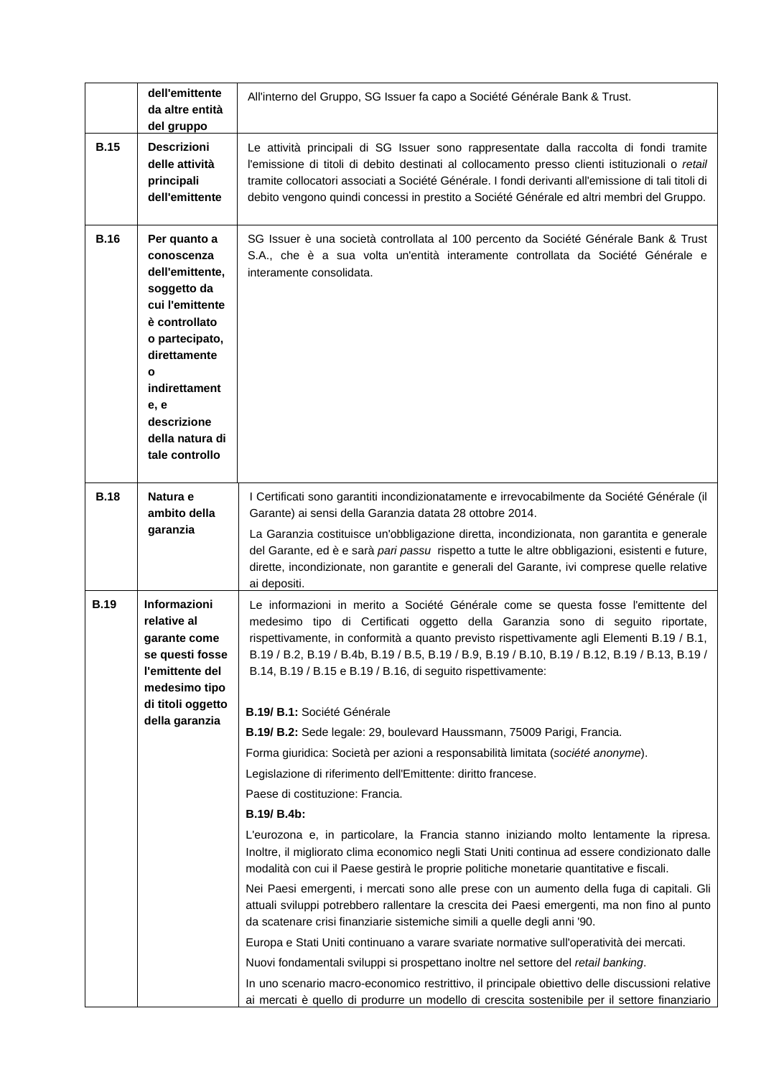|             | dell'emittente<br>da altre entità<br>del gruppo                                                                                                                                                                      | All'interno del Gruppo, SG Issuer fa capo a Société Générale Bank & Trust.                                                                                                                                                                                                                                                                                                                                                                                                                                                                                                                                                                                                                                                                                                                                                                                                                                                                                                                                                                                                                                                                                                                                                                                                                                                                                                                                                                                                                                |
|-------------|----------------------------------------------------------------------------------------------------------------------------------------------------------------------------------------------------------------------|-----------------------------------------------------------------------------------------------------------------------------------------------------------------------------------------------------------------------------------------------------------------------------------------------------------------------------------------------------------------------------------------------------------------------------------------------------------------------------------------------------------------------------------------------------------------------------------------------------------------------------------------------------------------------------------------------------------------------------------------------------------------------------------------------------------------------------------------------------------------------------------------------------------------------------------------------------------------------------------------------------------------------------------------------------------------------------------------------------------------------------------------------------------------------------------------------------------------------------------------------------------------------------------------------------------------------------------------------------------------------------------------------------------------------------------------------------------------------------------------------------------|
| <b>B.15</b> | <b>Descrizioni</b><br>delle attività<br>principali<br>dell'emittente                                                                                                                                                 | Le attività principali di SG Issuer sono rappresentate dalla raccolta di fondi tramite<br>l'emissione di titoli di debito destinati al collocamento presso clienti istituzionali o retail<br>tramite collocatori associati a Société Générale. I fondi derivanti all'emissione di tali titoli di<br>debito vengono quindi concessi in prestito a Société Générale ed altri membri del Gruppo.                                                                                                                                                                                                                                                                                                                                                                                                                                                                                                                                                                                                                                                                                                                                                                                                                                                                                                                                                                                                                                                                                                             |
| <b>B.16</b> | Per quanto a<br>conoscenza<br>dell'emittente,<br>soggetto da<br>cui l'emittente<br>è controllato<br>o partecipato,<br>direttamente<br>O<br>indirettament<br>e, e<br>descrizione<br>della natura di<br>tale controllo | SG Issuer è una società controllata al 100 percento da Société Générale Bank & Trust<br>S.A., che è a sua volta un'entità interamente controllata da Société Générale e<br>interamente consolidata.                                                                                                                                                                                                                                                                                                                                                                                                                                                                                                                                                                                                                                                                                                                                                                                                                                                                                                                                                                                                                                                                                                                                                                                                                                                                                                       |
| <b>B.18</b> | Natura e<br>ambito della<br>garanzia                                                                                                                                                                                 | I Certificati sono garantiti incondizionatamente e irrevocabilmente da Société Générale (il<br>Garante) ai sensi della Garanzia datata 28 ottobre 2014.<br>La Garanzia costituisce un'obbligazione diretta, incondizionata, non garantita e generale<br>del Garante, ed è e sarà pari passu rispetto a tutte le altre obbligazioni, esistenti e future,<br>dirette, incondizionate, non garantite e generali del Garante, ivi comprese quelle relative<br>ai depositi.                                                                                                                                                                                                                                                                                                                                                                                                                                                                                                                                                                                                                                                                                                                                                                                                                                                                                                                                                                                                                                    |
| <b>B.19</b> | Informazioni<br>relative al<br>qarante come<br>se questi fosse<br>l'emittente del<br>medesimo tipo<br>di titoli oggetto<br>della garanzia                                                                            | Le informazioni in merito a Société Générale come se questa fosse l'emittente del<br>medesimo tipo di Certificati oggetto della Garanzia sono di seguito riportate,<br>rispettivamente, in conformità a quanto previsto rispettivamente agli Elementi B.19 / B.1,<br>B.19 / B.2, B.19 / B.4b, B.19 / B.5, B.19 / B.9, B.19 / B.10, B.19 / B.12, B.19 / B.13, B.19 /<br>B.14, B.19 / B.15 e B.19 / B.16, di seguito rispettivamente:<br>B.19/ B.1: Société Générale<br>B.19/ B.2: Sede legale: 29, boulevard Haussmann, 75009 Parigi, Francia.<br>Forma giuridica: Società per azioni a responsabilità limitata (société anonyme).<br>Legislazione di riferimento dell'Emittente: diritto francese.<br>Paese di costituzione: Francia.<br>B.19/ B.4b:<br>L'eurozona e, in particolare, la Francia stanno iniziando molto lentamente la ripresa.<br>Inoltre, il migliorato clima economico negli Stati Uniti continua ad essere condizionato dalle<br>modalità con cui il Paese gestirà le proprie politiche monetarie quantitative e fiscali.<br>Nei Paesi emergenti, i mercati sono alle prese con un aumento della fuga di capitali. Gli<br>attuali sviluppi potrebbero rallentare la crescita dei Paesi emergenti, ma non fino al punto<br>da scatenare crisi finanziarie sistemiche simili a quelle degli anni '90.<br>Europa e Stati Uniti continuano a varare svariate normative sull'operatività dei mercati.<br>Nuovi fondamentali sviluppi si prospettano inoltre nel settore del retail banking. |
|             |                                                                                                                                                                                                                      | In uno scenario macro-economico restrittivo, il principale obiettivo delle discussioni relative<br>ai mercati è quello di produrre un modello di crescita sostenibile per il settore finanziario                                                                                                                                                                                                                                                                                                                                                                                                                                                                                                                                                                                                                                                                                                                                                                                                                                                                                                                                                                                                                                                                                                                                                                                                                                                                                                          |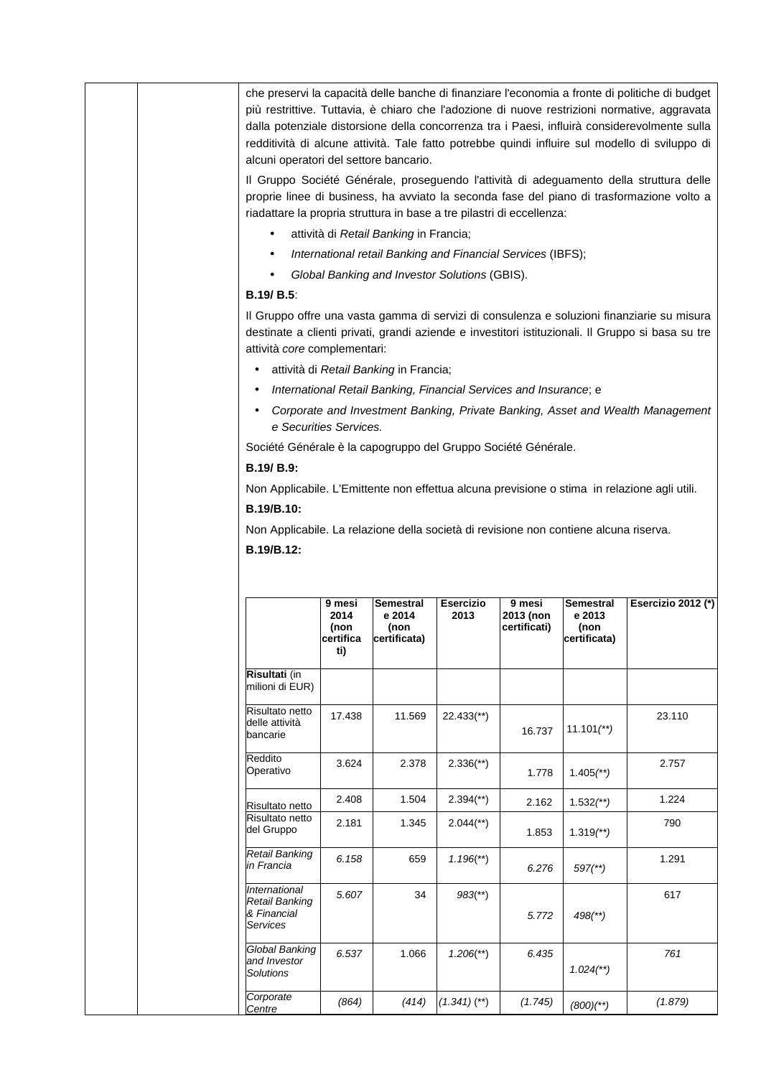| che preservi la capacità delle banche di finanziare l'economia a fronte di politiche di budget<br>più restrittive. Tuttavia, è chiaro che l'adozione di nuove restrizioni normative, aggravata<br>dalla potenziale distorsione della concorrenza tra i Paesi, influirà considerevolmente sulla<br>redditività di alcune attività. Tale fatto potrebbe quindi influire sul modello di sviluppo di<br>alcuni operatori del settore bancario. |                                                                                                                                                                                                                                                               |                                                                   |                           |                           |                                |                                                                                                                                                                                                 |
|--------------------------------------------------------------------------------------------------------------------------------------------------------------------------------------------------------------------------------------------------------------------------------------------------------------------------------------------------------------------------------------------------------------------------------------------|---------------------------------------------------------------------------------------------------------------------------------------------------------------------------------------------------------------------------------------------------------------|-------------------------------------------------------------------|---------------------------|---------------------------|--------------------------------|-------------------------------------------------------------------------------------------------------------------------------------------------------------------------------------------------|
|                                                                                                                                                                                                                                                                                                                                                                                                                                            | Il Gruppo Société Générale, proseguendo l'attività di adeguamento della struttura delle<br>proprie linee di business, ha avviato la seconda fase del piano di trasformazione volto a<br>riadattare la propria struttura in base a tre pilastri di eccellenza: |                                                                   |                           |                           |                                |                                                                                                                                                                                                 |
| $\bullet$                                                                                                                                                                                                                                                                                                                                                                                                                                  |                                                                                                                                                                                                                                                               | attività di Retail Banking in Francia;                            |                           |                           |                                |                                                                                                                                                                                                 |
| $\bullet$                                                                                                                                                                                                                                                                                                                                                                                                                                  |                                                                                                                                                                                                                                                               | International retail Banking and Financial Services (IBFS);       |                           |                           |                                |                                                                                                                                                                                                 |
|                                                                                                                                                                                                                                                                                                                                                                                                                                            |                                                                                                                                                                                                                                                               | Global Banking and Investor Solutions (GBIS).                     |                           |                           |                                |                                                                                                                                                                                                 |
| <b>B.19/ B.5:</b>                                                                                                                                                                                                                                                                                                                                                                                                                          |                                                                                                                                                                                                                                                               |                                                                   |                           |                           |                                |                                                                                                                                                                                                 |
| attività core complementari:                                                                                                                                                                                                                                                                                                                                                                                                               |                                                                                                                                                                                                                                                               |                                                                   |                           |                           |                                | Il Gruppo offre una vasta gamma di servizi di consulenza e soluzioni finanziarie su misura<br>destinate a clienti privati, grandi aziende e investitori istituzionali. Il Gruppo si basa su tre |
| $\bullet$                                                                                                                                                                                                                                                                                                                                                                                                                                  |                                                                                                                                                                                                                                                               | attività di Retail Banking in Francia;                            |                           |                           |                                |                                                                                                                                                                                                 |
| $\bullet$                                                                                                                                                                                                                                                                                                                                                                                                                                  |                                                                                                                                                                                                                                                               | International Retail Banking, Financial Services and Insurance; e |                           |                           |                                |                                                                                                                                                                                                 |
|                                                                                                                                                                                                                                                                                                                                                                                                                                            | e Securities Services.                                                                                                                                                                                                                                        |                                                                   |                           |                           |                                | Corporate and Investment Banking, Private Banking, Asset and Wealth Management                                                                                                                  |
| Société Générale è la capogruppo del Gruppo Société Générale.                                                                                                                                                                                                                                                                                                                                                                              |                                                                                                                                                                                                                                                               |                                                                   |                           |                           |                                |                                                                                                                                                                                                 |
| B.19/ B.9:                                                                                                                                                                                                                                                                                                                                                                                                                                 |                                                                                                                                                                                                                                                               |                                                                   |                           |                           |                                |                                                                                                                                                                                                 |
|                                                                                                                                                                                                                                                                                                                                                                                                                                            |                                                                                                                                                                                                                                                               |                                                                   |                           |                           |                                | Non Applicabile. L'Emittente non effettua alcuna previsione o stima in relazione agli utili.                                                                                                    |
| B.19/B.10:                                                                                                                                                                                                                                                                                                                                                                                                                                 |                                                                                                                                                                                                                                                               |                                                                   |                           |                           |                                |                                                                                                                                                                                                 |
|                                                                                                                                                                                                                                                                                                                                                                                                                                            |                                                                                                                                                                                                                                                               |                                                                   |                           |                           |                                |                                                                                                                                                                                                 |
| Non Applicabile. La relazione della società di revisione non contiene alcuna riserva.                                                                                                                                                                                                                                                                                                                                                      |                                                                                                                                                                                                                                                               |                                                                   |                           |                           |                                |                                                                                                                                                                                                 |
| B.19/B.12:                                                                                                                                                                                                                                                                                                                                                                                                                                 | 9 mesi                                                                                                                                                                                                                                                        | <b>Semestral</b>                                                  | <b>Esercizio</b>          | 9 mesi                    | Semestral                      |                                                                                                                                                                                                 |
|                                                                                                                                                                                                                                                                                                                                                                                                                                            | 2014<br>(non<br>certifica<br>ti)                                                                                                                                                                                                                              | e 2014<br>(non<br>certificata)                                    | 2013                      | 2013 (non<br>certificati) | e 2013<br>(non<br>certificata) | Esercizio 2012 (*)                                                                                                                                                                              |
| Risultati (in<br>milioni di EUR)                                                                                                                                                                                                                                                                                                                                                                                                           |                                                                                                                                                                                                                                                               |                                                                   |                           |                           |                                |                                                                                                                                                                                                 |
| Risultato netto<br>delle attività<br>bancarie                                                                                                                                                                                                                                                                                                                                                                                              | 17.438                                                                                                                                                                                                                                                        | 11.569                                                            | $22.433$ <sup>**</sup> )  | 16.737                    | $11.101$ <sup>**</sup> )       | 23.110                                                                                                                                                                                          |
| Reddito<br>Operativo                                                                                                                                                                                                                                                                                                                                                                                                                       | 3.624                                                                                                                                                                                                                                                         | 2.378                                                             | $2.336$ <sup>(**)</sup>   | 1.778                     | $1.405$ <sup>**</sup> )        | 2.757                                                                                                                                                                                           |
|                                                                                                                                                                                                                                                                                                                                                                                                                                            | 2.408                                                                                                                                                                                                                                                         | 1.504                                                             | $2.394$ <sup>(**)</sup> ) | 2.162                     | $1.532$ <sup>**</sup> )        | 1.224                                                                                                                                                                                           |
| Risultato netto<br>Risultato netto<br>del Gruppo                                                                                                                                                                                                                                                                                                                                                                                           | 2.181                                                                                                                                                                                                                                                         | 1.345                                                             | $2.044$ <sup>**</sup> )   | 1.853                     | $1.319$ <sup>**</sup> )        | 790                                                                                                                                                                                             |
| Retail Banking<br>in Francia                                                                                                                                                                                                                                                                                                                                                                                                               | 6.158                                                                                                                                                                                                                                                         | 659                                                               | $1.196$ <sup>**</sup> )   | 6.276                     | $597$ <sup>(**)</sup>          | 1.291                                                                                                                                                                                           |
| International<br>Retail Banking<br>& Financial<br>Services                                                                                                                                                                                                                                                                                                                                                                                 | 5.607                                                                                                                                                                                                                                                         | 34                                                                | $983$ <sup>**</sup> )     | 5.772                     | $498$ <sup>(**)</sup>          | 617                                                                                                                                                                                             |
| Global Banking<br>and Investor<br>Solutions                                                                                                                                                                                                                                                                                                                                                                                                | 6.537                                                                                                                                                                                                                                                         | 1.066                                                             | $1.206$ <sup>**</sup> )   | 6.435                     | $1.024$ <sup>**</sup> )        | 761                                                                                                                                                                                             |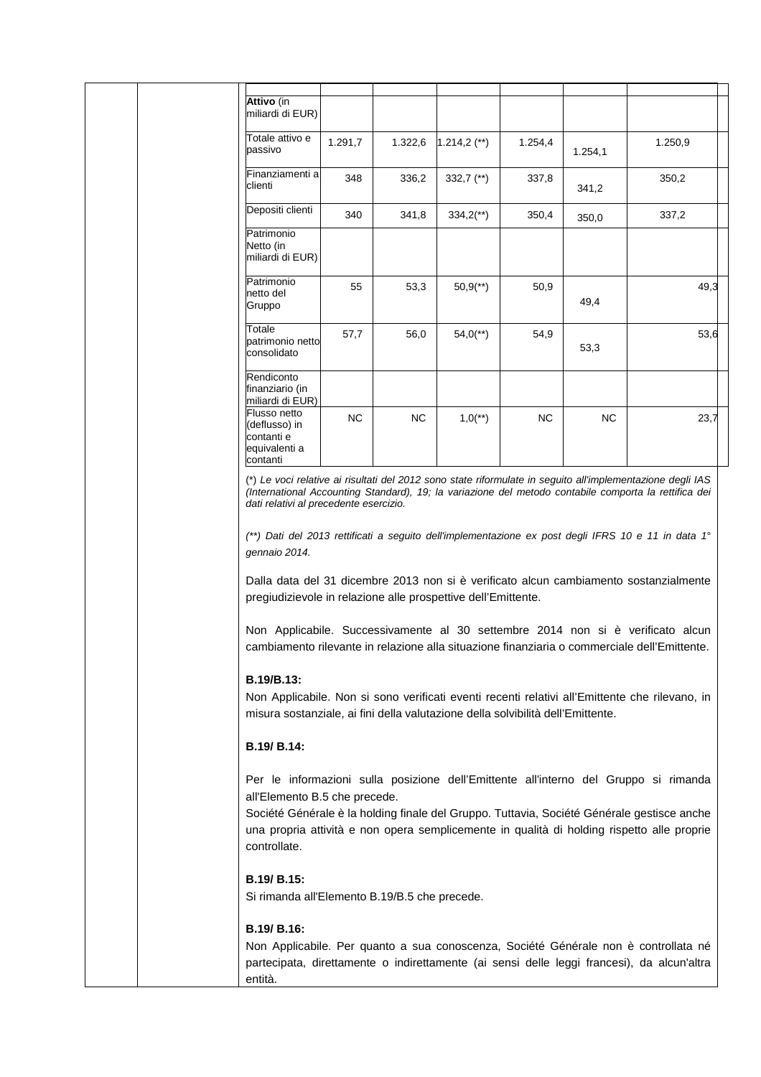| Attivo (in<br>miliardi di EUR)                                           |           |           |                         |           |                |         |
|--------------------------------------------------------------------------|-----------|-----------|-------------------------|-----------|----------------|---------|
| Totale attivo e<br>passivo                                               | 1.291,7   | 1.322,6   | $1.214,2$ (**)          | 1.254,4   | 1.254,1        | 1.250,9 |
| Finanziamenti al<br>clienti                                              | 348       | 336,2     | 332,7 $(*)$             | 337,8     | 341,2          | 350,2   |
| Depositi clienti                                                         | 340       | 341,8     | $334,2$ <sup>**</sup> ) | 350,4     | 350,0          | 337,2   |
| Patrimonio<br>Netto (in<br>miliardi di EUR)                              |           |           |                         |           |                |         |
| Patrimonio<br>netto del<br>Gruppo                                        | 55        | 53,3      | $50,9$ <sup>**</sup> )  | 50,9      | 49,4           | 49,3    |
| Totale<br>patrimonio netto<br>consolidato                                | 57,7      | 56,0      | $54,0$ <sup>**</sup> )  | 54,9      | 53,3           | 53,6    |
| Rendiconto<br>finanziario (in<br>miliardi di EUR)                        |           |           |                         |           |                |         |
| Flusso netto<br>(deflusso) in<br>contanti e<br>equivalenti a<br>contanti | <b>NC</b> | <b>NC</b> | $1,0$ <sup>**</sup> )   | <b>NC</b> | N <sub>C</sub> | 23,7    |

(\*) Le voci relative ai risultati del 2012 sono state riformulate in seguito all'implementazione degli IAS (International Accounting Standard), 19; la variazione del metodo contabile comporta la rettifica dei dati relativi al precedente esercizio.

(\*\*) Dati del 2013 rettificati a seguito dell'implementazione ex post degli IFRS 10 e 11 in data 1° gennaio 2014.

Dalla data del 31 dicembre 2013 non si è verificato alcun cambiamento sostanzialmente pregiudizievole in relazione alle prospettive dell'Emittente.

Non Applicabile. Successivamente al 30 settembre 2014 non si è verificato alcun cambiamento rilevante in relazione alla situazione finanziaria o commerciale dell'Emittente.

## **B.19/B.13:**

Non Applicabile. Non si sono verificati eventi recenti relativi all'Emittente che rilevano, in misura sostanziale, ai fini della valutazione della solvibilità dell'Emittente.

#### **B.19/ B.14:**

Per le informazioni sulla posizione dell'Emittente all'interno del Gruppo si rimanda all'Elemento B.5 che precede.

Société Générale è la holding finale del Gruppo. Tuttavia, Société Générale gestisce anche una propria attività e non opera semplicemente in qualità di holding rispetto alle proprie controllate.

# **B.19/ B.15:**

Si rimanda all'Elemento B.19/B.5 che precede.

# **B.19/ B.16:**

Non Applicabile. Per quanto a sua conoscenza, Société Générale non è controllata né partecipata, direttamente o indirettamente (ai sensi delle leggi francesi), da alcun'altra entità.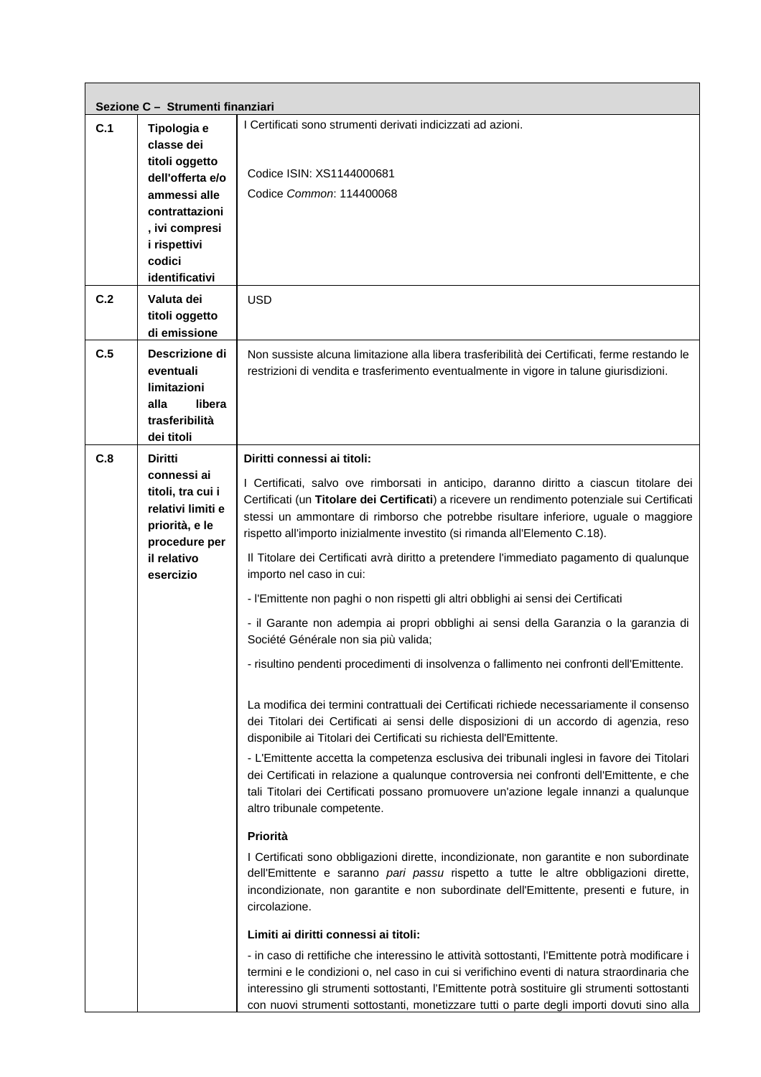|     | Sezione C - Strumenti finanziari                                                                                     |                                                                                                                                                                                                                                                                                                                                                                                               |
|-----|----------------------------------------------------------------------------------------------------------------------|-----------------------------------------------------------------------------------------------------------------------------------------------------------------------------------------------------------------------------------------------------------------------------------------------------------------------------------------------------------------------------------------------|
| C.1 | Tipologia e<br>classe dei                                                                                            | I Certificati sono strumenti derivati indicizzati ad azioni.                                                                                                                                                                                                                                                                                                                                  |
|     | titoli oggetto<br>dell'offerta e/o                                                                                   | Codice ISIN: XS1144000681                                                                                                                                                                                                                                                                                                                                                                     |
|     | ammessi alle                                                                                                         | Codice Common: 114400068                                                                                                                                                                                                                                                                                                                                                                      |
|     | contrattazioni<br>, ivi compresi                                                                                     |                                                                                                                                                                                                                                                                                                                                                                                               |
|     | i rispettivi<br>codici                                                                                               |                                                                                                                                                                                                                                                                                                                                                                                               |
|     | identificativi                                                                                                       |                                                                                                                                                                                                                                                                                                                                                                                               |
| C.2 | Valuta dei<br>titoli oggetto<br>di emissione                                                                         | <b>USD</b>                                                                                                                                                                                                                                                                                                                                                                                    |
| C.5 | Descrizione di<br>eventuali<br>limitazioni<br>alla<br>libera<br>trasferibilità<br>dei titoli                         | Non sussiste alcuna limitazione alla libera trasferibilità dei Certificati, ferme restando le<br>restrizioni di vendita e trasferimento eventualmente in vigore in talune giurisdizioni.                                                                                                                                                                                                      |
| C.8 | <b>Diritti</b>                                                                                                       | Diritti connessi ai titoli:                                                                                                                                                                                                                                                                                                                                                                   |
|     | connessi ai<br>titoli, tra cui i<br>relativi limiti e<br>priorità, e le<br>procedure per<br>il relativo<br>esercizio | I Certificati, salvo ove rimborsati in anticipo, daranno diritto a ciascun titolare dei<br>Certificati (un Titolare dei Certificati) a ricevere un rendimento potenziale sui Certificati<br>stessi un ammontare di rimborso che potrebbe risultare inferiore, uguale o maggiore<br>rispetto all'importo inizialmente investito (si rimanda all'Elemento C.18).                                |
|     |                                                                                                                      | Il Titolare dei Certificati avrà diritto a pretendere l'immediato pagamento di qualunque<br>importo nel caso in cui:                                                                                                                                                                                                                                                                          |
|     |                                                                                                                      | - l'Emittente non paghi o non rispetti gli altri obblighi ai sensi dei Certificati                                                                                                                                                                                                                                                                                                            |
|     |                                                                                                                      | - il Garante non adempia ai propri obblighi ai sensi della Garanzia o la garanzia di<br>Société Générale non sia più valida;                                                                                                                                                                                                                                                                  |
|     |                                                                                                                      | - risultino pendenti procedimenti di insolvenza o fallimento nei confronti dell'Emittente.                                                                                                                                                                                                                                                                                                    |
|     |                                                                                                                      | La modifica dei termini contrattuali dei Certificati richiede necessariamente il consenso<br>dei Titolari dei Certificati ai sensi delle disposizioni di un accordo di agenzia, reso<br>disponibile ai Titolari dei Certificati su richiesta dell'Emittente.                                                                                                                                  |
|     |                                                                                                                      | - L'Emittente accetta la competenza esclusiva dei tribunali inglesi in favore dei Titolari<br>dei Certificati in relazione a qualunque controversia nei confronti dell'Emittente, e che<br>tali Titolari dei Certificati possano promuovere un'azione legale innanzi a qualunque<br>altro tribunale competente.                                                                               |
|     |                                                                                                                      | Priorità                                                                                                                                                                                                                                                                                                                                                                                      |
|     |                                                                                                                      | I Certificati sono obbligazioni dirette, incondizionate, non garantite e non subordinate<br>dell'Emittente e saranno pari passu rispetto a tutte le altre obbligazioni dirette,<br>incondizionate, non garantite e non subordinate dell'Emittente, presenti e future, in<br>circolazione.                                                                                                     |
|     |                                                                                                                      | Limiti ai diritti connessi ai titoli:                                                                                                                                                                                                                                                                                                                                                         |
|     |                                                                                                                      | - in caso di rettifiche che interessino le attività sottostanti, l'Emittente potrà modificare i<br>termini e le condizioni o, nel caso in cui si verifichino eventi di natura straordinaria che<br>interessino gli strumenti sottostanti, l'Emittente potrà sostituire gli strumenti sottostanti<br>con nuovi strumenti sottostanti, monetizzare tutti o parte degli importi dovuti sino alla |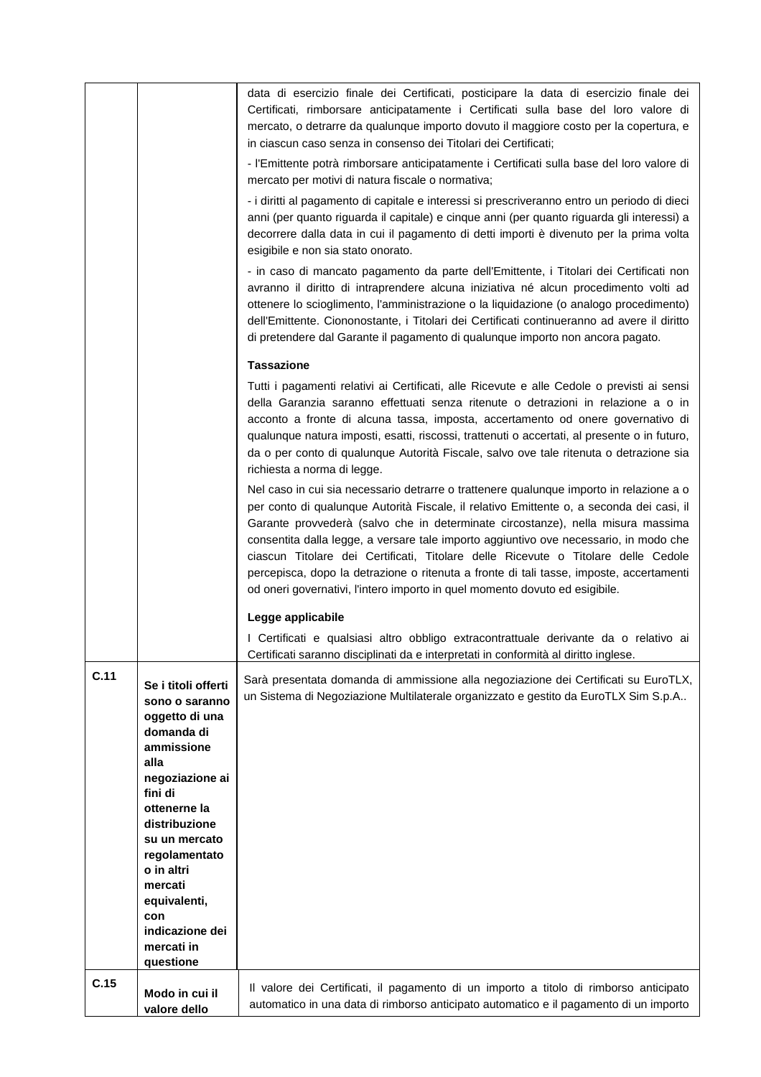|      |                                                                                                                                                                                                                                                                                            | data di esercizio finale dei Certificati, posticipare la data di esercizio finale dei<br>Certificati, rimborsare anticipatamente i Certificati sulla base del loro valore di<br>mercato, o detrarre da qualunque importo dovuto il maggiore costo per la copertura, e<br>in ciascun caso senza in consenso dei Titolari dei Certificati;<br>- l'Emittente potrà rimborsare anticipatamente i Certificati sulla base del loro valore di<br>mercato per motivi di natura fiscale o normativa;<br>- i diritti al pagamento di capitale e interessi si prescriveranno entro un periodo di dieci<br>anni (per quanto riguarda il capitale) e cinque anni (per quanto riguarda gli interessi) a<br>decorrere dalla data in cui il pagamento di detti importi è divenuto per la prima volta<br>esigibile e non sia stato onorato.<br>- in caso di mancato pagamento da parte dell'Emittente, i Titolari dei Certificati non<br>avranno il diritto di intraprendere alcuna iniziativa né alcun procedimento volti ad<br>ottenere lo scioglimento, l'amministrazione o la liquidazione (o analogo procedimento)<br>dell'Emittente. Ciononostante, i Titolari dei Certificati continueranno ad avere il diritto<br>di pretendere dal Garante il pagamento di qualunque importo non ancora pagato. |
|------|--------------------------------------------------------------------------------------------------------------------------------------------------------------------------------------------------------------------------------------------------------------------------------------------|-----------------------------------------------------------------------------------------------------------------------------------------------------------------------------------------------------------------------------------------------------------------------------------------------------------------------------------------------------------------------------------------------------------------------------------------------------------------------------------------------------------------------------------------------------------------------------------------------------------------------------------------------------------------------------------------------------------------------------------------------------------------------------------------------------------------------------------------------------------------------------------------------------------------------------------------------------------------------------------------------------------------------------------------------------------------------------------------------------------------------------------------------------------------------------------------------------------------------------------------------------------------------------------------|
|      |                                                                                                                                                                                                                                                                                            | <b>Tassazione</b>                                                                                                                                                                                                                                                                                                                                                                                                                                                                                                                                                                                                                                                                                                                                                                                                                                                                                                                                                                                                                                                                                                                                                                                                                                                                       |
|      |                                                                                                                                                                                                                                                                                            | Tutti i pagamenti relativi ai Certificati, alle Ricevute e alle Cedole o previsti ai sensi<br>della Garanzia saranno effettuati senza ritenute o detrazioni in relazione a o in<br>acconto a fronte di alcuna tassa, imposta, accertamento od onere governativo di<br>qualunque natura imposti, esatti, riscossi, trattenuti o accertati, al presente o in futuro,<br>da o per conto di qualunque Autorità Fiscale, salvo ove tale ritenuta o detrazione sia<br>richiesta a norma di legge.                                                                                                                                                                                                                                                                                                                                                                                                                                                                                                                                                                                                                                                                                                                                                                                             |
|      |                                                                                                                                                                                                                                                                                            | Nel caso in cui sia necessario detrarre o trattenere qualunque importo in relazione a o<br>per conto di qualunque Autorità Fiscale, il relativo Emittente o, a seconda dei casi, il<br>Garante provvederà (salvo che in determinate circostanze), nella misura massima<br>consentita dalla legge, a versare tale importo aggiuntivo ove necessario, in modo che<br>ciascun Titolare dei Certificati, Titolare delle Ricevute o Titolare delle Cedole<br>percepisca, dopo la detrazione o ritenuta a fronte di tali tasse, imposte, accertamenti<br>od oneri governativi, l'intero importo in quel momento dovuto ed esigibile.                                                                                                                                                                                                                                                                                                                                                                                                                                                                                                                                                                                                                                                          |
|      |                                                                                                                                                                                                                                                                                            | Legge applicabile                                                                                                                                                                                                                                                                                                                                                                                                                                                                                                                                                                                                                                                                                                                                                                                                                                                                                                                                                                                                                                                                                                                                                                                                                                                                       |
|      |                                                                                                                                                                                                                                                                                            | I Certificati e qualsiasi altro obbligo extracontrattuale derivante da o relativo ai<br>Certificati saranno disciplinati da e interpretati in conformità al diritto inglese.                                                                                                                                                                                                                                                                                                                                                                                                                                                                                                                                                                                                                                                                                                                                                                                                                                                                                                                                                                                                                                                                                                            |
| C.11 | Se i titoli offerti<br>sono o saranno<br>oggetto di una<br>domanda di<br>ammissione<br>alla<br>negoziazione ai<br>fini di<br>ottenerne la<br>distribuzione<br>su un mercato<br>regolamentato<br>o in altri<br>mercati<br>equivalenti,<br>con<br>indicazione dei<br>mercati in<br>questione | Sarà presentata domanda di ammissione alla negoziazione dei Certificati su EuroTLX,<br>un Sistema di Negoziazione Multilaterale organizzato e gestito da EuroTLX Sim S.p.A                                                                                                                                                                                                                                                                                                                                                                                                                                                                                                                                                                                                                                                                                                                                                                                                                                                                                                                                                                                                                                                                                                              |
| C.15 | Modo in cui il                                                                                                                                                                                                                                                                             | Il valore dei Certificati, il pagamento di un importo a titolo di rimborso anticipato                                                                                                                                                                                                                                                                                                                                                                                                                                                                                                                                                                                                                                                                                                                                                                                                                                                                                                                                                                                                                                                                                                                                                                                                   |
|      | valore dello                                                                                                                                                                                                                                                                               | automatico in una data di rimborso anticipato automatico e il pagamento di un importo                                                                                                                                                                                                                                                                                                                                                                                                                                                                                                                                                                                                                                                                                                                                                                                                                                                                                                                                                                                                                                                                                                                                                                                                   |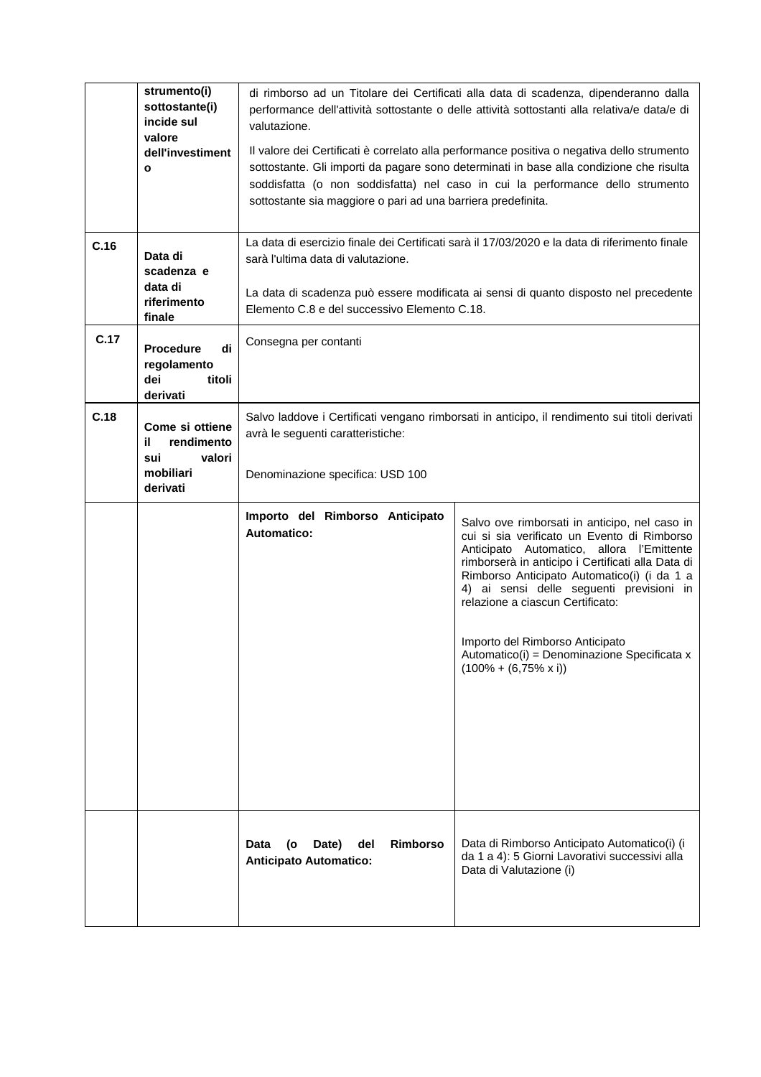|      | strumento(i)<br>sottostante(i)<br>incide sul<br>valore<br>dell'investiment<br>$\mathbf{o}$ | di rimborso ad un Titolare dei Certificati alla data di scadenza, dipenderanno dalla<br>performance dell'attività sottostante o delle attività sottostanti alla relativa/e data/e di<br>valutazione.<br>Il valore dei Certificati è correlato alla performance positiva o negativa dello strumento<br>sottostante. Gli importi da pagare sono determinati in base alla condizione che risulta<br>soddisfatta (o non soddisfatta) nel caso in cui la performance dello strumento<br>sottostante sia maggiore o pari ad una barriera predefinita. |                                                                                                                                                                                                                                                                                                                                                                                                                                                  |  |  |
|------|--------------------------------------------------------------------------------------------|-------------------------------------------------------------------------------------------------------------------------------------------------------------------------------------------------------------------------------------------------------------------------------------------------------------------------------------------------------------------------------------------------------------------------------------------------------------------------------------------------------------------------------------------------|--------------------------------------------------------------------------------------------------------------------------------------------------------------------------------------------------------------------------------------------------------------------------------------------------------------------------------------------------------------------------------------------------------------------------------------------------|--|--|
| C.16 | Data di<br>scadenza e<br>data di<br>riferimento<br>finale                                  | La data di esercizio finale dei Certificati sarà il 17/03/2020 e la data di riferimento finale<br>sarà l'ultima data di valutazione.<br>La data di scadenza può essere modificata ai sensi di quanto disposto nel precedente<br>Elemento C.8 e del successivo Elemento C.18.                                                                                                                                                                                                                                                                    |                                                                                                                                                                                                                                                                                                                                                                                                                                                  |  |  |
| C.17 | di<br><b>Procedure</b><br>regolamento<br>dei<br>titoli<br>derivati                         | Consegna per contanti                                                                                                                                                                                                                                                                                                                                                                                                                                                                                                                           |                                                                                                                                                                                                                                                                                                                                                                                                                                                  |  |  |
| C.18 | Come si ottiene<br>rendimento<br>il.<br>sui<br>valori<br>mobiliari<br>derivati             | Salvo laddove i Certificati vengano rimborsati in anticipo, il rendimento sui titoli derivati<br>avrà le seguenti caratteristiche:<br>Denominazione specifica: USD 100                                                                                                                                                                                                                                                                                                                                                                          |                                                                                                                                                                                                                                                                                                                                                                                                                                                  |  |  |
|      |                                                                                            | Importo del Rimborso Anticipato<br><b>Automatico:</b>                                                                                                                                                                                                                                                                                                                                                                                                                                                                                           | Salvo ove rimborsati in anticipo, nel caso in<br>cui si sia verificato un Evento di Rimborso<br>Anticipato Automatico, allora l'Emittente<br>rimborserà in anticipo i Certificati alla Data di<br>Rimborso Anticipato Automatico(i) (i da 1 a<br>4) ai sensi delle seguenti previsioni in<br>relazione a ciascun Certificato:<br>Importo del Rimborso Anticipato<br>Automatico(i) = Denominazione Specificata x<br>$(100\% + (6,75\% \times i))$ |  |  |
|      |                                                                                            | Date)<br><b>Rimborso</b><br>Data<br>(o<br>del<br><b>Anticipato Automatico:</b>                                                                                                                                                                                                                                                                                                                                                                                                                                                                  | Data di Rimborso Anticipato Automatico(i) (i<br>da 1 a 4): 5 Giorni Lavorativi successivi alla<br>Data di Valutazione (i)                                                                                                                                                                                                                                                                                                                        |  |  |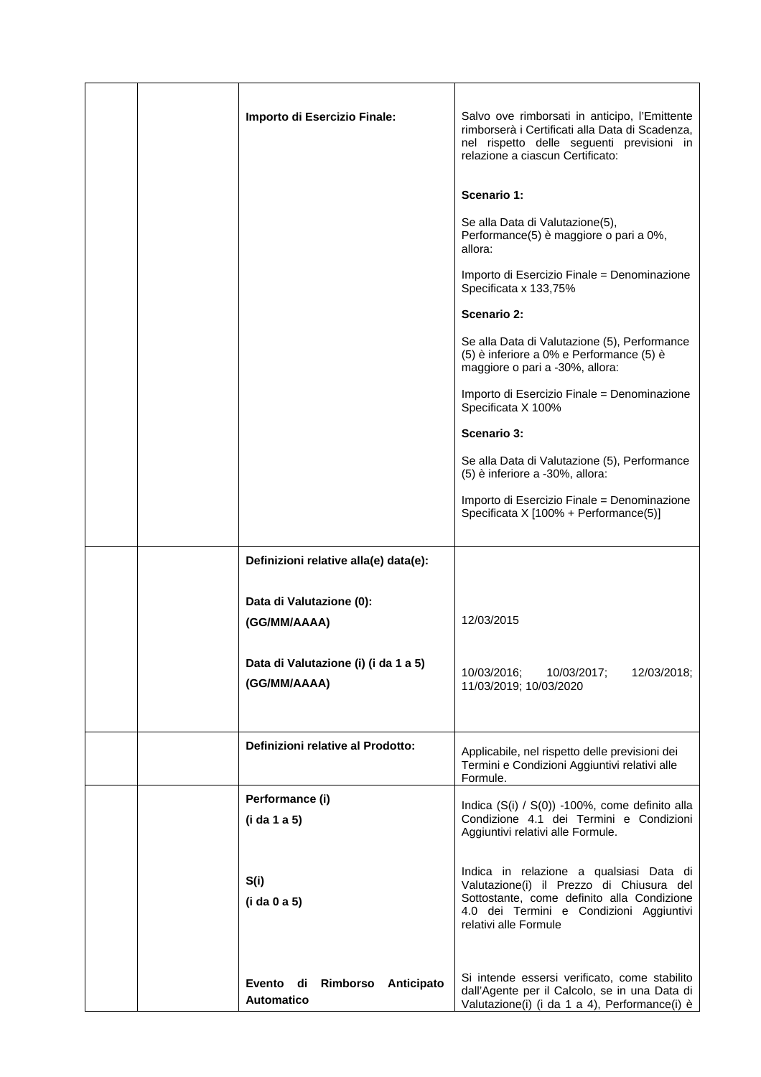|  | Importo di Esercizio Finale:                             | Salvo ove rimborsati in anticipo, l'Emittente<br>rimborserà i Certificati alla Data di Scadenza,<br>nel rispetto delle seguenti previsioni in<br>relazione a ciascun Certificato:                     |
|--|----------------------------------------------------------|-------------------------------------------------------------------------------------------------------------------------------------------------------------------------------------------------------|
|  |                                                          | Scenario 1:                                                                                                                                                                                           |
|  |                                                          | Se alla Data di Valutazione(5),<br>Performance(5) è maggiore o pari a 0%,<br>allora:                                                                                                                  |
|  |                                                          | Importo di Esercizio Finale = Denominazione<br>Specificata x 133,75%                                                                                                                                  |
|  |                                                          | Scenario 2:                                                                                                                                                                                           |
|  |                                                          | Se alla Data di Valutazione (5), Performance<br>(5) è inferiore a 0% e Performance (5) è<br>maggiore o pari a -30%, allora:                                                                           |
|  |                                                          | Importo di Esercizio Finale = Denominazione<br>Specificata X 100%                                                                                                                                     |
|  |                                                          | Scenario 3:                                                                                                                                                                                           |
|  |                                                          | Se alla Data di Valutazione (5), Performance<br>(5) è inferiore a -30%, allora:                                                                                                                       |
|  |                                                          | Importo di Esercizio Finale = Denominazione<br>Specificata X [100% + Performance(5)]                                                                                                                  |
|  | Definizioni relative alla(e) data(e):                    |                                                                                                                                                                                                       |
|  | Data di Valutazione (0):                                 |                                                                                                                                                                                                       |
|  | (GG/MM/AAAA)                                             | 12/03/2015                                                                                                                                                                                            |
|  | Data di Valutazione (i) (i da 1 a 5)<br>(GG/MM/AAAA)     | 10/03/2016;<br>10/03/2017;<br>12/03/2018;<br>11/03/2019; 10/03/2020                                                                                                                                   |
|  | Definizioni relative al Prodotto:                        | Applicabile, nel rispetto delle previsioni dei<br>Termini e Condizioni Aggiuntivi relativi alle<br>Formule.                                                                                           |
|  | Performance (i)<br>(i da 1 a 5)                          | Indica (S(i) / S(0)) -100%, come definito alla<br>Condizione 4.1 dei Termini e Condizioni<br>Aggiuntivi relativi alle Formule.                                                                        |
|  | S(i)<br>(i da 0 a 5)                                     | Indica in relazione a qualsiasi Data di<br>Valutazione(i) il Prezzo di Chiusura del<br>Sottostante, come definito alla Condizione<br>4.0 dei Termini e Condizioni Aggiuntivi<br>relativi alle Formule |
|  | Evento di<br>Rimborso<br>Anticipato<br><b>Automatico</b> | Si intende essersi verificato, come stabilito<br>dall'Agente per il Calcolo, se in una Data di<br>Valutazione(i) (i da 1 a 4), Performance(i) è                                                       |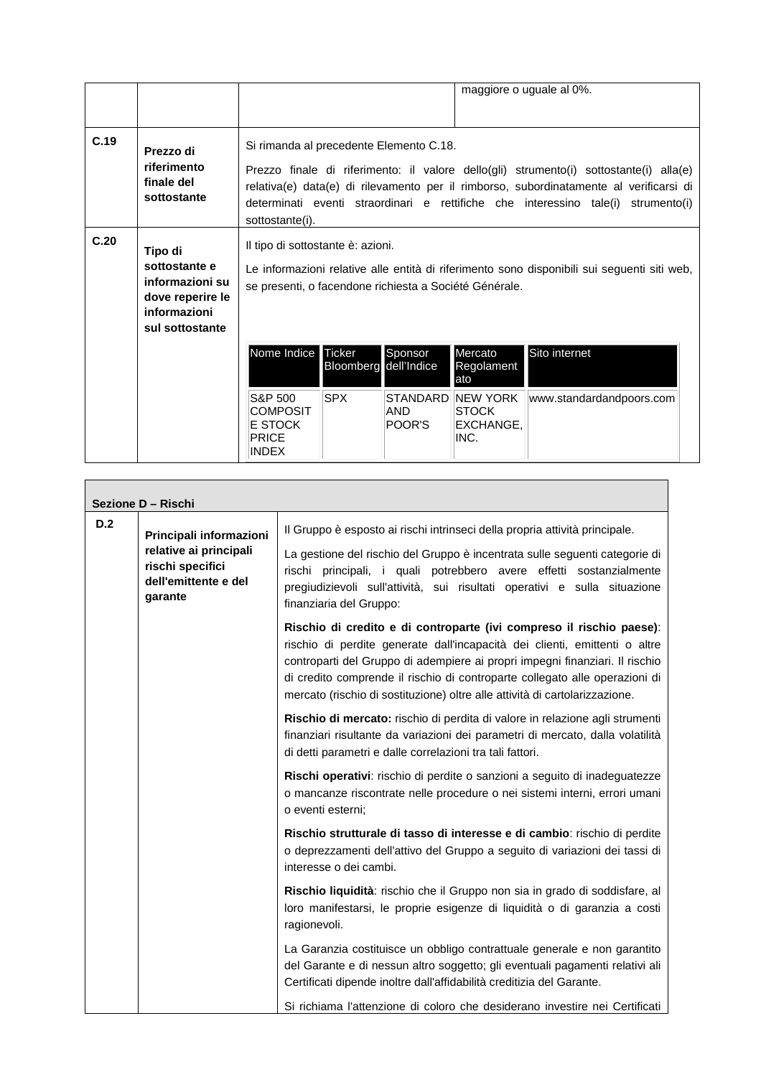|      |                                                                                                    |                                                                                                                                                                                            |                                               |                           |                                                                                  | maggiore o uguale al 0%.                                                                                                                                                                                                                                              |
|------|----------------------------------------------------------------------------------------------------|--------------------------------------------------------------------------------------------------------------------------------------------------------------------------------------------|-----------------------------------------------|---------------------------|----------------------------------------------------------------------------------|-----------------------------------------------------------------------------------------------------------------------------------------------------------------------------------------------------------------------------------------------------------------------|
| C.19 | Prezzo di<br>riferimento<br>finale del<br>sottostante                                              | Si rimanda al precedente Elemento C.18.<br>sottostante(i).                                                                                                                                 |                                               |                           |                                                                                  | Prezzo finale di riferimento: il valore dello(gli) strumento(i) sottostante(i) alla(e)<br>relativa(e) data(e) di rilevamento per il rimborso, subordinatamente al verificarsi di<br>determinati eventi straordinari e rettifiche che interessino tale(i) strumento(i) |
| C.20 | Tipo di<br>sottostante e<br>informazioni su<br>dove reperire le<br>informazioni<br>sul sottostante | Il tipo di sottostante è: azioni.<br>Le informazioni relative alle entità di riferimento sono disponibili sui seguenti siti web,<br>se presenti, o facendone richiesta a Société Générale. |                                               |                           |                                                                                  |                                                                                                                                                                                                                                                                       |
|      |                                                                                                    | Nome Indice<br>S&P 500<br><b>COMPOSIT</b><br><b>E STOCK</b>                                                                                                                                | Ticker<br>Bloomberg dell'Indice<br><b>SPX</b> | Sponsor<br>AND.<br>POOR'S | Mercato<br>Regolament<br>lato<br>STANDARD NEW YORK<br><b>ISTOCK</b><br>EXCHANGE, | Sito internet<br>www.standardandpoors.com                                                                                                                                                                                                                             |
|      |                                                                                                    | PRICE<br><b>INDEX</b>                                                                                                                                                                      |                                               |                           | INC.                                                                             |                                                                                                                                                                                                                                                                       |

| Sezione D - Rischi |                                                                               |                                                                                                                                                                                                                                                                                                                                                                                                  |  |
|--------------------|-------------------------------------------------------------------------------|--------------------------------------------------------------------------------------------------------------------------------------------------------------------------------------------------------------------------------------------------------------------------------------------------------------------------------------------------------------------------------------------------|--|
| D.2                | Principali informazioni                                                       | Il Gruppo è esposto ai rischi intrinseci della propria attività principale.                                                                                                                                                                                                                                                                                                                      |  |
|                    | relative ai principali<br>rischi specifici<br>dell'emittente e del<br>garante | La gestione del rischio del Gruppo è incentrata sulle seguenti categorie di<br>rischi principali, i quali potrebbero avere effetti sostanzialmente<br>pregiudizievoli sull'attività, sui risultati operativi e sulla situazione<br>finanziaria del Gruppo:                                                                                                                                       |  |
|                    |                                                                               | Rischio di credito e di controparte (ivi compreso il rischio paese):<br>rischio di perdite generate dall'incapacità dei clienti, emittenti o altre<br>controparti del Gruppo di adempiere ai propri impegni finanziari. Il rischio<br>di credito comprende il rischio di controparte collegato alle operazioni di<br>mercato (rischio di sostituzione) oltre alle attività di cartolarizzazione. |  |
|                    |                                                                               | Rischio di mercato: rischio di perdita di valore in relazione agli strumenti<br>finanziari risultante da variazioni dei parametri di mercato, dalla volatilità<br>di detti parametri e dalle correlazioni tra tali fattori.                                                                                                                                                                      |  |
|                    |                                                                               | Rischi operativi: rischio di perdite o sanzioni a seguito di inadeguatezze<br>o mancanze riscontrate nelle procedure o nei sistemi interni, errori umani<br>o eventi esterni;                                                                                                                                                                                                                    |  |
|                    |                                                                               | Rischio strutturale di tasso di interesse e di cambio: rischio di perdite<br>o deprezzamenti dell'attivo del Gruppo a seguito di variazioni dei tassi di<br>interesse o dei cambi.                                                                                                                                                                                                               |  |
|                    |                                                                               | Rischio liquidità: rischio che il Gruppo non sia in grado di soddisfare, al<br>loro manifestarsi, le proprie esigenze di liquidità o di garanzia a costi<br>ragionevoli.                                                                                                                                                                                                                         |  |
|                    |                                                                               | La Garanzia costituisce un obbligo contrattuale generale e non garantito<br>del Garante e di nessun altro soggetto; gli eventuali pagamenti relativi ali<br>Certificati dipende inoltre dall'affidabilità creditizia del Garante.                                                                                                                                                                |  |
|                    |                                                                               | Si richiama l'attenzione di coloro che desiderano investire nei Certificati                                                                                                                                                                                                                                                                                                                      |  |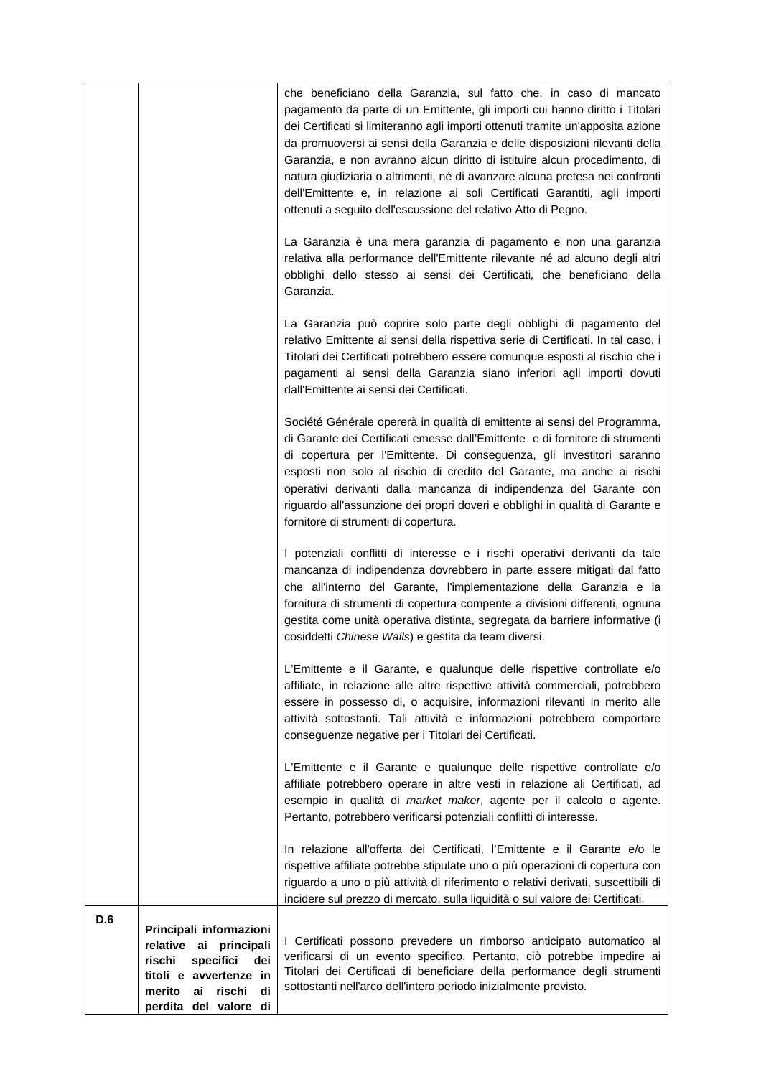| D.6 | Principali informazioni<br>relative ai principali | In relazione all'offerta dei Certificati, l'Emittente e il Garante e/o le<br>rispettive affiliate potrebbe stipulate uno o più operazioni di copertura con<br>riguardo a uno o più attività di riferimento o relativi derivati, suscettibili di<br>incidere sul prezzo di mercato, sulla liquidità o sul valore dei Certificati.<br>I Certificati possono prevedere un rimborso anticipato automatico al<br>verificarsi di un evento specifico. Pertanto, ciò potrebbe impedire ai                                                                                                                                               |
|-----|---------------------------------------------------|----------------------------------------------------------------------------------------------------------------------------------------------------------------------------------------------------------------------------------------------------------------------------------------------------------------------------------------------------------------------------------------------------------------------------------------------------------------------------------------------------------------------------------------------------------------------------------------------------------------------------------|
|     |                                                   | L'Emittente e il Garante e qualunque delle rispettive controllate e/o<br>affiliate potrebbero operare in altre vesti in relazione ali Certificati, ad<br>esempio in qualità di market maker, agente per il calcolo o agente.<br>Pertanto, potrebbero verificarsi potenziali conflitti di interesse.                                                                                                                                                                                                                                                                                                                              |
|     |                                                   | L'Emittente e il Garante, e qualunque delle rispettive controllate e/o<br>affiliate, in relazione alle altre rispettive attività commerciali, potrebbero<br>essere in possesso di, o acquisire, informazioni rilevanti in merito alle<br>attività sottostanti. Tali attività e informazioni potrebbero comportare<br>conseguenze negative per i Titolari dei Certificati.                                                                                                                                                                                                                                                        |
|     |                                                   | I potenziali conflitti di interesse e i rischi operativi derivanti da tale<br>mancanza di indipendenza dovrebbero in parte essere mitigati dal fatto<br>che all'interno del Garante, l'implementazione della Garanzia e la<br>fornitura di strumenti di copertura compente a divisioni differenti, ognuna<br>gestita come unità operativa distinta, segregata da barriere informative (i<br>cosiddetti Chinese Walls) e gestita da team diversi.                                                                                                                                                                                 |
|     |                                                   | Société Générale opererà in qualità di emittente ai sensi del Programma,<br>di Garante dei Certificati emesse dall'Emittente e di fornitore di strumenti<br>di copertura per l'Emittente. Di conseguenza, gli investitori saranno<br>esposti non solo al rischio di credito del Garante, ma anche ai rischi<br>operativi derivanti dalla mancanza di indipendenza del Garante con<br>riguardo all'assunzione dei propri doveri e obblighi in qualità di Garante e<br>fornitore di strumenti di copertura.                                                                                                                        |
|     |                                                   | La Garanzia può coprire solo parte degli obblighi di pagamento del<br>relativo Emittente ai sensi della rispettiva serie di Certificati. In tal caso, i<br>Titolari dei Certificati potrebbero essere comunque esposti al rischio che i<br>pagamenti ai sensi della Garanzia siano inferiori agli importi dovuti<br>dall'Emittente ai sensi dei Certificati.                                                                                                                                                                                                                                                                     |
|     |                                                   | La Garanzia è una mera garanzia di pagamento e non una garanzia<br>relativa alla performance dell'Emittente rilevante né ad alcuno degli altri<br>obblighi dello stesso ai sensi dei Certificati, che beneficiano della<br>Garanzia.                                                                                                                                                                                                                                                                                                                                                                                             |
|     |                                                   | che beneficiano della Garanzia, sul fatto che, in caso di mancato<br>pagamento da parte di un Emittente, gli importi cui hanno diritto i Titolari<br>dei Certificati si limiteranno agli importi ottenuti tramite un'apposita azione<br>da promuoversi ai sensi della Garanzia e delle disposizioni rilevanti della<br>Garanzia, e non avranno alcun diritto di istituire alcun procedimento, di<br>natura giudiziaria o altrimenti, né di avanzare alcuna pretesa nei confronti<br>dell'Emittente e, in relazione ai soli Certificati Garantiti, agli importi<br>ottenuti a seguito dell'escussione del relativo Atto di Pegno. |
|     |                                                   |                                                                                                                                                                                                                                                                                                                                                                                                                                                                                                                                                                                                                                  |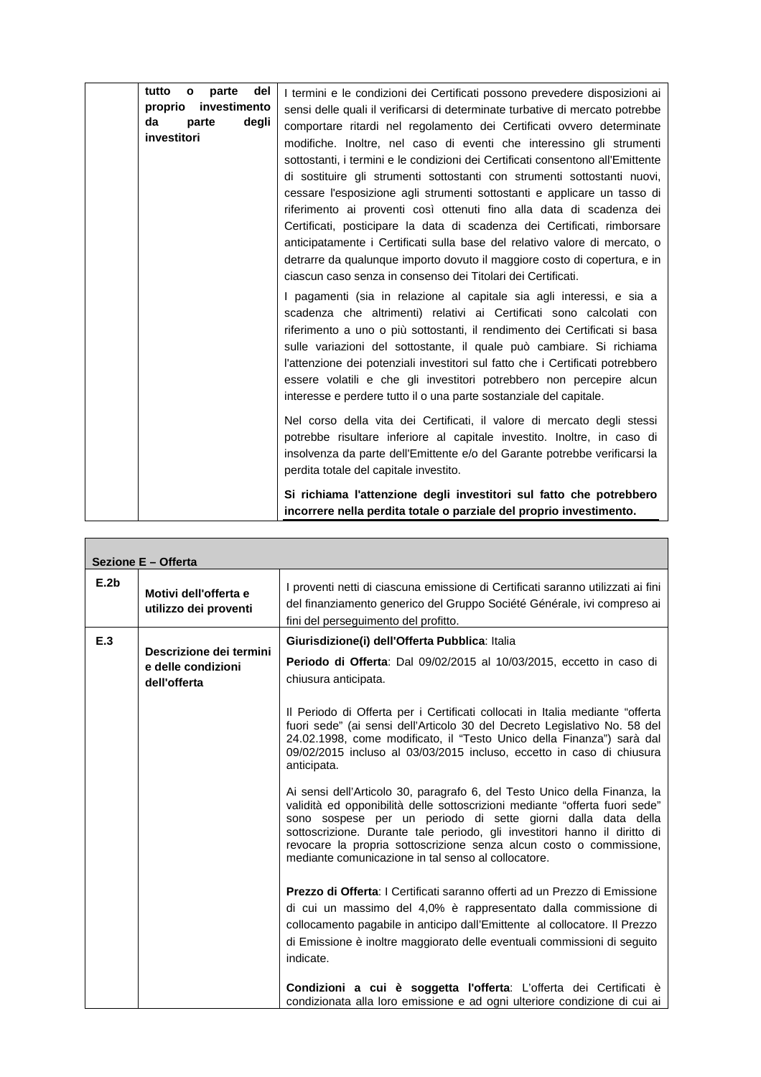| tutto<br>del<br>parte<br>$\mathbf{o}$<br>investimento<br>proprio<br>da<br>degli<br>parte<br>investitori | I termini e le condizioni dei Certificati possono prevedere disposizioni ai<br>sensi delle quali il verificarsi di determinate turbative di mercato potrebbe<br>comportare ritardi nel regolamento dei Certificati ovvero determinate<br>modifiche. Inoltre, nel caso di eventi che interessino gli strumenti<br>sottostanti, i termini e le condizioni dei Certificati consentono all'Emittente<br>di sostituire gli strumenti sottostanti con strumenti sottostanti nuovi,<br>cessare l'esposizione agli strumenti sottostanti e applicare un tasso di<br>riferimento ai proventi così ottenuti fino alla data di scadenza dei<br>Certificati, posticipare la data di scadenza dei Certificati, rimborsare<br>anticipatamente i Certificati sulla base del relativo valore di mercato, o<br>detrarre da qualunque importo dovuto il maggiore costo di copertura, e in<br>ciascun caso senza in consenso dei Titolari dei Certificati.<br>I pagamenti (sia in relazione al capitale sia agli interessi, e sia a<br>scadenza che altrimenti) relativi ai Certificati sono calcolati con<br>riferimento a uno o più sottostanti, il rendimento dei Certificati si basa<br>sulle variazioni del sottostante, il quale può cambiare. Si richiama<br>l'attenzione dei potenziali investitori sul fatto che i Certificati potrebbero<br>essere volatili e che gli investitori potrebbero non percepire alcun<br>interesse e perdere tutto il o una parte sostanziale del capitale.<br>Nel corso della vita dei Certificati, il valore di mercato degli stessi<br>potrebbe risultare inferiore al capitale investito. Inoltre, in caso di<br>insolvenza da parte dell'Emittente e/o del Garante potrebbe verificarsi la<br>perdita totale del capitale investito. |
|---------------------------------------------------------------------------------------------------------|-------------------------------------------------------------------------------------------------------------------------------------------------------------------------------------------------------------------------------------------------------------------------------------------------------------------------------------------------------------------------------------------------------------------------------------------------------------------------------------------------------------------------------------------------------------------------------------------------------------------------------------------------------------------------------------------------------------------------------------------------------------------------------------------------------------------------------------------------------------------------------------------------------------------------------------------------------------------------------------------------------------------------------------------------------------------------------------------------------------------------------------------------------------------------------------------------------------------------------------------------------------------------------------------------------------------------------------------------------------------------------------------------------------------------------------------------------------------------------------------------------------------------------------------------------------------------------------------------------------------------------------------------------------------------------------------------------------------------------------------------------------|
|                                                                                                         | Si richiama l'attenzione degli investitori sul fatto che potrebbero<br>incorrere nella perdita totale o parziale del proprio investimento.                                                                                                                                                                                                                                                                                                                                                                                                                                                                                                                                                                                                                                                                                                                                                                                                                                                                                                                                                                                                                                                                                                                                                                                                                                                                                                                                                                                                                                                                                                                                                                                                                  |

| Sezione E - Offerta |                                                |                                                                                                                                                                                                                                                                                                                                                                                                                                     |  |
|---------------------|------------------------------------------------|-------------------------------------------------------------------------------------------------------------------------------------------------------------------------------------------------------------------------------------------------------------------------------------------------------------------------------------------------------------------------------------------------------------------------------------|--|
| E.2b                | Motivi dell'offerta e<br>utilizzo dei proventi | I proventi netti di ciascuna emissione di Certificati saranno utilizzati ai fini<br>del finanziamento generico del Gruppo Société Générale, ivi compreso ai<br>fini del perseguimento del profitto.                                                                                                                                                                                                                                 |  |
| E.3                 | Descrizione dei termini                        | Giurisdizione(i) dell'Offerta Pubblica: Italia                                                                                                                                                                                                                                                                                                                                                                                      |  |
|                     | e delle condizioni<br>dell'offerta             | Periodo di Offerta: Dal 09/02/2015 al 10/03/2015, eccetto in caso di<br>chiusura anticipata.                                                                                                                                                                                                                                                                                                                                        |  |
|                     |                                                | Il Periodo di Offerta per i Certificati collocati in Italia mediante "offerta<br>fuori sede" (ai sensi dell'Articolo 30 del Decreto Legislativo No. 58 del<br>24.02.1998, come modificato, il "Testo Unico della Finanza") sarà dal<br>09/02/2015 incluso al 03/03/2015 incluso, eccetto in caso di chiusura<br>anticipata.                                                                                                         |  |
|                     |                                                | Ai sensi dell'Articolo 30, paragrafo 6, del Testo Unico della Finanza, la<br>validità ed opponibilità delle sottoscrizioni mediante "offerta fuori sede"<br>sono sospese per un periodo di sette giorni dalla data della<br>sottoscrizione. Durante tale periodo, gli investitori hanno il diritto di<br>revocare la propria sottoscrizione senza alcun costo o commissione,<br>mediante comunicazione in tal senso al collocatore. |  |
|                     |                                                | Prezzo di Offerta: I Certificati saranno offerti ad un Prezzo di Emissione<br>di cui un massimo del 4,0% è rappresentato dalla commissione di<br>collocamento pagabile in anticipo dall'Emittente al collocatore. Il Prezzo<br>di Emissione è inoltre maggiorato delle eventuali commissioni di seguito<br>indicate.                                                                                                                |  |
|                     |                                                | Condizioni a cui è soggetta l'offerta: L'offerta dei Certificati è<br>condizionata alla loro emissione e ad ogni ulteriore condizione di cui ai                                                                                                                                                                                                                                                                                     |  |